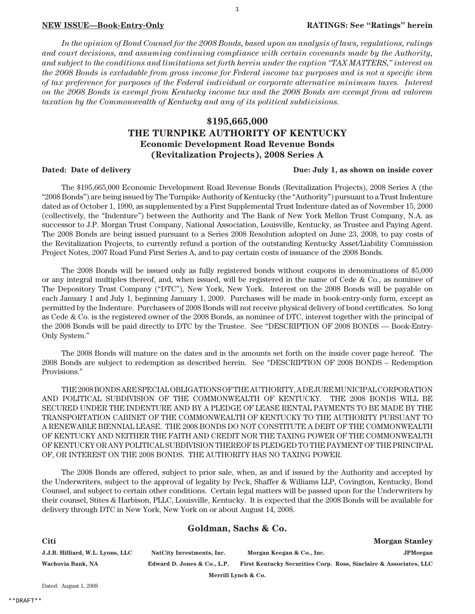### **NEW ISSUE—Book-Entry-Only RATINGS: See "Ratings" herein**

*In the opinion of Bond Counsel for the 2008 Bonds, based upon an analysis of laws, regulations, rulings and court decisions, and assuming continuing compliance with certain covenants made by the Authority, and subject to the conditions and limitations set forth herein under the caption "TAX MATTERS," interest on the 2008 Bonds is excludable from gross income for Federal income tax purposes and is not a specifi c item of tax preference for purposes of the Federal individual or corporate alternative minimum taxes. Interest on the 2008 Bonds is exempt from Kentucky income tax and the 2008 Bonds are exempt from ad valorem taxation by the Commonwealth of Kentucky and any of its political subdivisions.*

# **\$195,665,000 THE TURNPIKE AUTHORITY OF KENTUCKY Economic Development Road Revenue Bonds (Revitalization Projects), 2008 Series A**

### **Dated: Date of delivery Community Community Community Community Community Community Community Community Community Community Community Community Community Community Community Community Community Community Community Communi**

The \$195,665,000 Economic Development Road Revenue Bonds (Revitalization Projects), 2008 Series A (the "2008 Bonds") are being issued by The Turnpike Authority of Kentucky (the "Authority") pursuant to a Trust Indenture dated as of October 1, 1990, as supplemented by a First Supplemental Trust Indenture dated as of November 15, 2000 (collectively, the "Indenture") between the Authority and The Bank of New York Mellon Trust Company, N.A. as successor to J.P. Morgan Trust Company, National Association, Louisville, Kentucky, as Trustee and Paying Agent. The 2008 Bonds are being issued pursuant to a Series 2008 Resolution adopted on June 23, 2008, to pay costs of the Revitalization Projects, to currently refund a portion of the outstanding Kentucky Asset/Liability Commission Project Notes, 2007 Road Fund First Series A, and to pay certain costs of issuance of the 2008 Bonds.

The 2008 Bonds will be issued only as fully registered bonds without coupons in denominations of \$5,000 or any integral multiples thereof, and, when issued, will be registered in the name of Cede & Co., as nominee of The Depository Trust Company ("DTC"), New York, New York. Interest on the 2008 Bonds will be payable on each January 1 and July 1, beginning January 1, 2009. Purchases will be made in book-entry-only form, except as permitted by the Indenture. Purchasers of 2008 Bonds will not receive physical delivery of bond certificates. So long as Cede & Co. is the registered owner of the 2008 Bonds, as nominee of DTC, interest together with the principal of the 2008 Bonds will be paid directly to DTC by the Trustee. See "DESCRIPTION OF 2008 BONDS — Book-Entry-Only System."

The 2008 Bonds will mature on the dates and in the amounts set forth on the inside cover page hereof. The 2008 Bonds are subject to redemption as described herein. See "DESCRIPTION OF 2008 BONDS – Redemption Provisions."

THE 2008 BONDS ARE SPECIAL OBLIGATIONS OF THE AUTHORITY, A DE JURE MUNICIPAL CORPORATION AND POLITICAL SUBDIVISION OF THE COMMONWEALTH OF KENTUCKY. THE 2008 BONDS WILL BE SECURED UNDER THE INDENTURE AND BY A PLEDGE OF LEASE RENTAL PAYMENTS TO BE MADE BY THE TRANSPORTATION CABINET OF THE COMMONWEALTH OF KENTUCKY TO THE AUTHORITY PURSUANT TO A RENEWABLE BIENNIAL LEASE. THE 2008 BONDS DO NOT CONSTITUTE A DEBT OF THE COMMONWEALTH OF KENTUCKY AND NEITHER THE FAITH AND CREDIT NOR THE TAXING POWER OF THE COMMONWEALTH OF KENTUCKY OR ANY POLITICAL SUBDIVISION THEREOF IS PLEDGED TO THE PAYMENT OF THE PRINCIPAL OF, OR INTEREST ON THE 2008 BONDS. THE AUTHORITY HAS NO TAXING POWER.

The 2008 Bonds are offered, subject to prior sale, when, as and if issued by the Authority and accepted by the Underwriters, subject to the approval of legality by Peck, Shaffer & Williams LLP, Covington, Kentucky, Bond Counsel, and subject to certain other conditions. Certain legal matters will be passed upon for the Underwriters by their counsel, Stites & Harbison, PLLC, Louisville, Kentucky. It is expected that the 2008 Bonds will be available for delivery through DTC in New York, New York on or about August 14, 2008.

# **Goldman, Sachs & Co.**

| <b>Citi</b>                      |                             |                           | <b>Morgan Stanley</b>                                             |
|----------------------------------|-----------------------------|---------------------------|-------------------------------------------------------------------|
| J.J.B. Hilliard. W.L. Lvons. LLC | NatCity Investments, Inc.   | Morgan Keegan & Co., Inc. | <b>JPMorgan</b>                                                   |
| Wachovia Bank. NA                | Edward D. Jones & Co., L.P. |                           | First Kentucky Securities Corp. Ross, Sinclaire & Associates, LLC |

**Merrill Lynch & Co.**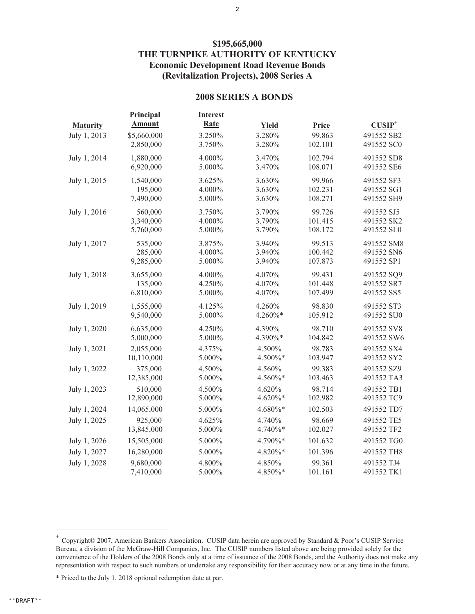# **\$195,665,000 THE TURNPIKE AUTHORITY OF KENTUCKY Economic Development Road Revenue Bonds (Revitalization Projects), 2008 Series A**

# **2008 SERIES A BONDS**

| <b>Maturity</b> | Principal<br><b>Amount</b> | <b>Interest</b><br><b>Rate</b> | Yield   | Price   | $CUSIP+$   |
|-----------------|----------------------------|--------------------------------|---------|---------|------------|
| July 1, 2013    | \$5,660,000                | 3.250%                         | 3.280%  | 99.863  | 491552 SB2 |
|                 | 2,850,000                  | 3.750%                         | 3.280%  | 102.101 | 491552 SC0 |
| July 1, 2014    | 1,880,000                  | 4.000%                         | 3.470%  | 102.794 | 491552 SD8 |
|                 | 6,920,000                  | 5.000%                         | 3.470%  | 108.071 | 491552 SE6 |
| July 1, 2015    | 1,540,000                  | 3.625%                         | 3.630%  | 99.966  | 491552 SF3 |
|                 | 195,000                    | 4.000%                         | 3.630%  | 102.231 | 491552 SG1 |
|                 | 7,490,000                  | 5.000%                         | 3.630%  | 108.271 | 491552 SH9 |
| July 1, 2016    | 560,000                    | 3.750%                         | 3.790%  | 99.726  | 491552 SJ5 |
|                 | 3,340,000                  | 4.000%                         | 3.790%  | 101.415 | 491552 SK2 |
|                 | 5,760,000                  | 5.000%                         | 3.790%  | 108.172 | 491552 SL0 |
| July 1, 2017    | 535,000                    | 3.875%                         | 3.940%  | 99.513  | 491552 SM8 |
|                 | 285,000                    | 4.000%                         | 3.940%  | 100.442 | 491552 SN6 |
|                 | 9,285,000                  | 5.000%                         | 3.940%  | 107.873 | 491552 SP1 |
| July 1, 2018    | 3,655,000                  | 4.000%                         | 4.070%  | 99.431  | 491552 SQ9 |
|                 | 135,000                    | 4.250%                         | 4.070%  | 101.448 | 491552 SR7 |
|                 | 6,810,000                  | 5.000%                         | 4.070%  | 107.499 | 491552 SS5 |
| July 1, 2019    | 1,555,000                  | 4.125%                         | 4.260%  | 98.830  | 491552 ST3 |
|                 | 9,540,000                  | 5.000%                         | 4.260%* | 105.912 | 491552 SU0 |
| July 1, 2020    | 6,635,000                  | 4.250%                         | 4.390%  | 98.710  | 491552 SV8 |
|                 | 5,000,000                  | 5.000%                         | 4.390%* | 104.842 | 491552 SW6 |
| July 1, 2021    | 2,055,000                  | 4.375%                         | 4.500%  | 98.783  | 491552 SX4 |
|                 | 10,110,000                 | 5.000%                         | 4.500%* | 103.947 | 491552 SY2 |
| July 1, 2022    | 375,000                    | 4.500%                         | 4.560%  | 99.383  | 491552 SZ9 |
|                 | 12,385,000                 | 5.000%                         | 4.560%* | 103.463 | 491552 TA3 |
| July 1, 2023    | 510,000                    | 4.500%                         | 4.620%  | 98.714  | 491552 TB1 |
|                 | 12,890,000                 | 5.000%                         | 4.620%* | 102.982 | 491552 TC9 |
| July 1, 2024    | 14,065,000                 | 5.000%                         | 4.680%* | 102.503 | 491552 TD7 |
| July 1, 2025    | 925,000                    | 4.625%                         | 4.740%  | 98.669  | 491552 TE5 |
|                 | 13,845,000                 | 5.000%                         | 4.740%* | 102.027 | 491552 TF2 |
| July 1, 2026    | 15,505,000                 | 5.000%                         | 4.790%* | 101.632 | 491552 TG0 |
| July 1, 2027    | 16,280,000                 | 5.000%                         | 4.820%* | 101.396 | 491552 TH8 |
| July 1, 2028    | 9,680,000                  | 4.800%                         | 4.850%  | 99.361  | 491552 TJ4 |
|                 | 7,410,000                  | 5.000%                         | 4.850%* | 101.161 | 491552 TK1 |

\* Priced to the July 1, 2018 optional redemption date at par.

 $\overline{a}$ 

<sup>+</sup> Copyright© 2007, American Bankers Association. CUSIP data herein are approved by Standard & Poor's CUSIP Service Bureau, a division of the McGraw-Hill Companies, Inc. The CUSIP numbers listed above are being provided solely for the convenience of the Holders of the 2008 Bonds only at a time of issuance of the 2008 Bonds, and the Authority does not make any representation with respect to such numbers or undertake any responsibility for their accuracy now or at any time in the future.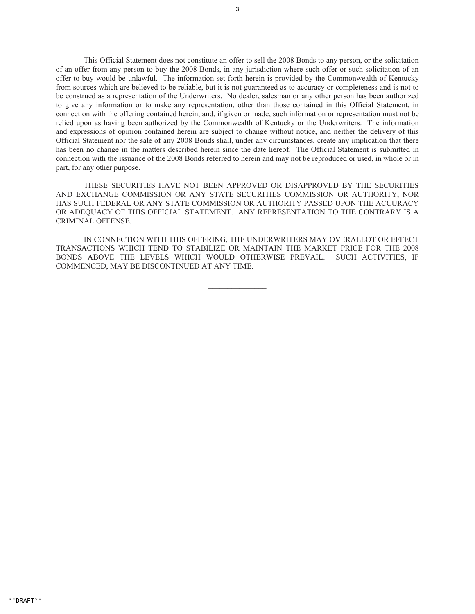This Official Statement does not constitute an offer to sell the 2008 Bonds to any person, or the solicitation of an offer from any person to buy the 2008 Bonds, in any jurisdiction where such offer or such solicitation of an offer to buy would be unlawful. The information set forth herein is provided by the Commonwealth of Kentucky from sources which are believed to be reliable, but it is not guaranteed as to accuracy or completeness and is not to be construed as a representation of the Underwriters. No dealer, salesman or any other person has been authorized to give any information or to make any representation, other than those contained in this Official Statement, in connection with the offering contained herein, and, if given or made, such information or representation must not be relied upon as having been authorized by the Commonwealth of Kentucky or the Underwriters. The information and expressions of opinion contained herein are subject to change without notice, and neither the delivery of this Official Statement nor the sale of any 2008 Bonds shall, under any circumstances, create any implication that there has been no change in the matters described herein since the date hereof. The Official Statement is submitted in connection with the issuance of the 2008 Bonds referred to herein and may not be reproduced or used, in whole or in part, for any other purpose.

THESE SECURITIES HAVE NOT BEEN APPROVED OR DISAPPROVED BY THE SECURITIES AND EXCHANGE COMMISSION OR ANY STATE SECURITIES COMMISSION OR AUTHORITY, NOR HAS SUCH FEDERAL OR ANY STATE COMMISSION OR AUTHORITY PASSED UPON THE ACCURACY OR ADEQUACY OF THIS OFFICIAL STATEMENT. ANY REPRESENTATION TO THE CONTRARY IS A CRIMINAL OFFENSE.

IN CONNECTION WITH THIS OFFERING, THE UNDERWRITERS MAY OVERALLOT OR EFFECT TRANSACTIONS WHICH TEND TO STABILIZE OR MAINTAIN THE MARKET PRICE FOR THE 2008 BONDS ABOVE THE LEVELS WHICH WOULD OTHERWISE PREVAIL. SUCH ACTIVITIES, IF COMMENCED, MAY BE DISCONTINUED AT ANY TIME.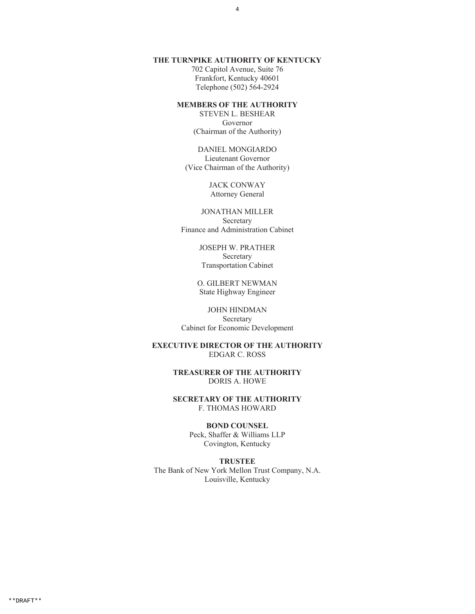# **THE TURNPIKE AUTHORITY OF KENTUCKY**

4

702 Capitol Avenue, Suite 76 Frankfort, Kentucky 40601 Telephone (502) 564-2924

# **MEMBERS OF THE AUTHORITY**

STEVEN L. BESHEAR Governor (Chairman of the Authority)

DANIEL MONGIARDO Lieutenant Governor (Vice Chairman of the Authority)

> JACK CONWAY Attorney General

JONATHAN MILLER Secretary Finance and Administration Cabinet

> JOSEPH W. PRATHER Secretary Transportation Cabinet

O. GILBERT NEWMAN State Highway Engineer

JOHN HINDMAN Secretary Cabinet for Economic Development

# **EXECUTIVE DIRECTOR OF THE AUTHORITY**  EDGAR C. ROSS

**TREASURER OF THE AUTHORITY**  DORIS A. HOWE

**SECRETARY OF THE AUTHORITY**  F. THOMAS HOWARD

# **BOND COUNSEL**

Peck, Shaffer & Williams LLP Covington, Kentucky

**TRUSTEE**  The Bank of New York Mellon Trust Company, N.A. Louisville, Kentucky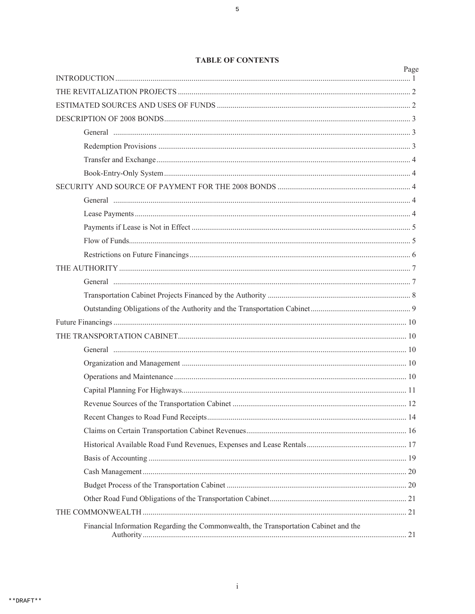# **TABLE OF CONTENTS**

|                                                                                      | Page |
|--------------------------------------------------------------------------------------|------|
|                                                                                      |      |
|                                                                                      |      |
|                                                                                      |      |
|                                                                                      |      |
|                                                                                      |      |
|                                                                                      |      |
|                                                                                      |      |
|                                                                                      |      |
|                                                                                      |      |
|                                                                                      |      |
|                                                                                      |      |
|                                                                                      |      |
|                                                                                      |      |
|                                                                                      |      |
|                                                                                      |      |
|                                                                                      |      |
|                                                                                      |      |
|                                                                                      |      |
|                                                                                      |      |
|                                                                                      |      |
|                                                                                      |      |
|                                                                                      |      |
|                                                                                      |      |
|                                                                                      |      |
|                                                                                      |      |
|                                                                                      |      |
|                                                                                      |      |
|                                                                                      |      |
|                                                                                      |      |
|                                                                                      |      |
|                                                                                      |      |
|                                                                                      |      |
|                                                                                      |      |
| Financial Information Regarding the Commonwealth, the Transportation Cabinet and the |      |
|                                                                                      |      |

 $\rm i$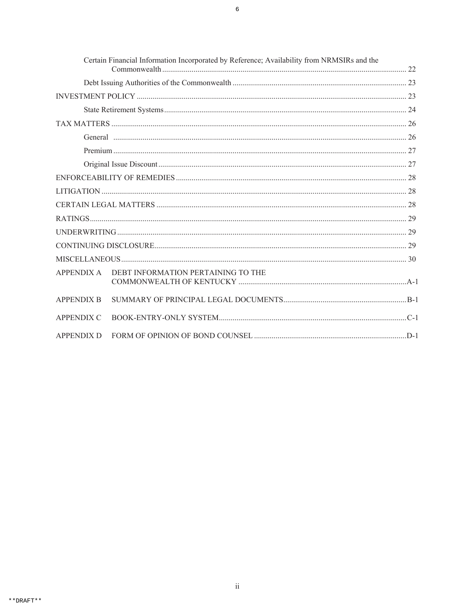$\epsilon$ Certain Financial Information Incorporated by Reference; Availability from NRMSIRs and the DEBT INFORMATION PERTAINING TO THE **APPENDIX A** 

BOOK-ENTRY-ONLY SYSTEM C-1

 $\overline{\mathbf{u}}$ 

**APPENDIX B** 

**APPENDIX C** 

**APPENDIX D**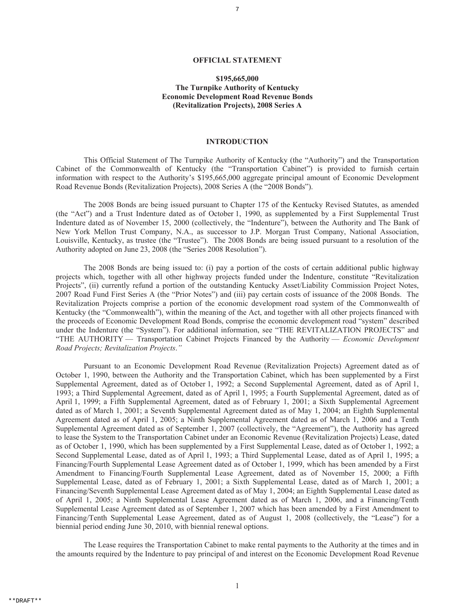# **OFFICIAL STATEMENT**

7

# **\$195,665,000 The Turnpike Authority of Kentucky Economic Development Road Revenue Bonds (Revitalization Projects), 2008 Series A**

# **INTRODUCTION**

This Official Statement of The Turnpike Authority of Kentucky (the "Authority") and the Transportation Cabinet of the Commonwealth of Kentucky (the "Transportation Cabinet") is provided to furnish certain information with respect to the Authority's \$195,665,000 aggregate principal amount of Economic Development Road Revenue Bonds (Revitalization Projects), 2008 Series A (the "2008 Bonds").

The 2008 Bonds are being issued pursuant to Chapter 175 of the Kentucky Revised Statutes, as amended (the "Act") and a Trust Indenture dated as of October 1, 1990, as supplemented by a First Supplemental Trust Indenture dated as of November 15, 2000 (collectively, the "Indenture"), between the Authority and The Bank of New York Mellon Trust Company, N.A., as successor to J.P. Morgan Trust Company, National Association, Louisville, Kentucky, as trustee (the "Trustee"). The 2008 Bonds are being issued pursuant to a resolution of the Authority adopted on June 23, 2008 (the "Series 2008 Resolution").

The 2008 Bonds are being issued to: (i) pay a portion of the costs of certain additional public highway projects which, together with all other highway projects funded under the Indenture, constitute "Revitalization Projects", (ii) currently refund a portion of the outstanding Kentucky Asset/Liability Commission Project Notes, 2007 Road Fund First Series A (the "Prior Notes") and (iii) pay certain costs of issuance of the 2008 Bonds. The Revitalization Projects comprise a portion of the economic development road system of the Commonwealth of Kentucky (the "Commonwealth"), within the meaning of the Act, and together with all other projects financed with the proceeds of Economic Development Road Bonds, comprise the economic development road "system" described under the Indenture (the "System"). For additional information, see "THE REVITALIZATION PROJECTS" and "THE AUTHORITY — Transportation Cabinet Projects Financed by the Authority — *Economic Development Road Projects; Revitalization Projects*.*"* 

Pursuant to an Economic Development Road Revenue (Revitalization Projects) Agreement dated as of October 1, 1990, between the Authority and the Transportation Cabinet, which has been supplemented by a First Supplemental Agreement, dated as of October 1, 1992; a Second Supplemental Agreement, dated as of April 1, 1993; a Third Supplemental Agreement, dated as of April 1, 1995; a Fourth Supplemental Agreement, dated as of April 1, 1999; a Fifth Supplemental Agreement, dated as of February 1, 2001; a Sixth Supplemental Agreement dated as of March 1, 2001; a Seventh Supplemental Agreement dated as of May 1, 2004; an Eighth Supplemental Agreement dated as of April 1, 2005; a Ninth Supplemental Agreement dated as of March 1, 2006 and a Tenth Supplemental Agreement dated as of September 1, 2007 (collectively, the "Agreement"), the Authority has agreed to lease the System to the Transportation Cabinet under an Economic Revenue (Revitalization Projects) Lease, dated as of October 1, 1990, which has been supplemented by a First Supplemental Lease, dated as of October 1, 1992; a Second Supplemental Lease, dated as of April 1, 1993; a Third Supplemental Lease, dated as of April 1, 1995; a Financing/Fourth Supplemental Lease Agreement dated as of October 1, 1999, which has been amended by a First Amendment to Financing/Fourth Supplemental Lease Agreement, dated as of November 15, 2000; a Fifth Supplemental Lease, dated as of February 1, 2001; a Sixth Supplemental Lease, dated as of March 1, 2001; a Financing/Seventh Supplemental Lease Agreement dated as of May 1, 2004; an Eighth Supplemental Lease dated as of April 1, 2005; a Ninth Supplemental Lease Agreement dated as of March 1, 2006, and a Financing/Tenth Supplemental Lease Agreement dated as of September 1, 2007 which has been amended by a First Amendment to Financing/Tenth Supplemental Lease Agreement, dated as of August 1, 2008 (collectively, the "Lease") for a biennial period ending June 30, 2010, with biennial renewal options.

The Lease requires the Transportation Cabinet to make rental payments to the Authority at the times and in the amounts required by the Indenture to pay principal of and interest on the Economic Development Road Revenue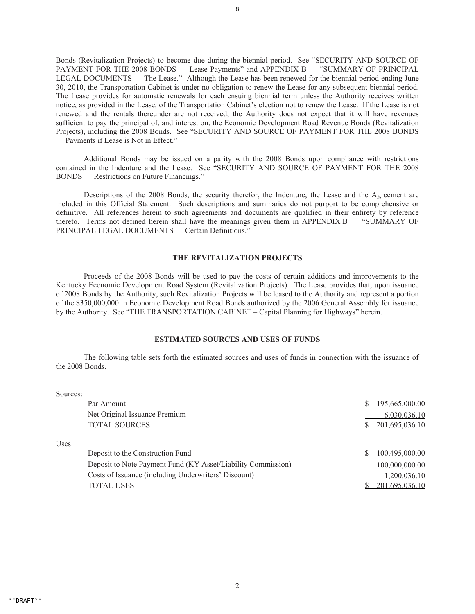Bonds (Revitalization Projects) to become due during the biennial period. See "SECURITY AND SOURCE OF PAYMENT FOR THE 2008 BONDS — Lease Payments" and APPENDIX B — "SUMMARY OF PRINCIPAL LEGAL DOCUMENTS — The Lease." Although the Lease has been renewed for the biennial period ending June 30, 2010, the Transportation Cabinet is under no obligation to renew the Lease for any subsequent biennial period. The Lease provides for automatic renewals for each ensuing biennial term unless the Authority receives written notice, as provided in the Lease, of the Transportation Cabinet's election not to renew the Lease. If the Lease is not renewed and the rentals thereunder are not received, the Authority does not expect that it will have revenues sufficient to pay the principal of, and interest on, the Economic Development Road Revenue Bonds (Revitalization Projects), including the 2008 Bonds. See "SECURITY AND SOURCE OF PAYMENT FOR THE 2008 BONDS — Payments if Lease is Not in Effect."

Additional Bonds may be issued on a parity with the 2008 Bonds upon compliance with restrictions contained in the Indenture and the Lease. See "SECURITY AND SOURCE OF PAYMENT FOR THE 2008 BONDS — Restrictions on Future Financings."

Descriptions of the 2008 Bonds, the security therefor, the Indenture, the Lease and the Agreement are included in this Official Statement. Such descriptions and summaries do not purport to be comprehensive or definitive. All references herein to such agreements and documents are qualified in their entirety by reference thereto. Terms not defined herein shall have the meanings given them in APPENDIX B — "SUMMARY OF PRINCIPAL LEGAL DOCUMENTS — Certain Definitions."

# **THE REVITALIZATION PROJECTS**

Proceeds of the 2008 Bonds will be used to pay the costs of certain additions and improvements to the Kentucky Economic Development Road System (Revitalization Projects). The Lease provides that, upon issuance of 2008 Bonds by the Authority, such Revitalization Projects will be leased to the Authority and represent a portion of the \$350,000,000 in Economic Development Road Bonds authorized by the 2006 General Assembly for issuance by the Authority. See "THE TRANSPORTATION CABINET – Capital Planning for Highways" herein.

# **ESTIMATED SOURCES AND USES OF FUNDS**

The following table sets forth the estimated sources and uses of funds in connection with the issuance of the 2008 Bonds.

Sources:

| Par Amount                                                   | 195,665,000.00 |
|--------------------------------------------------------------|----------------|
| Net Original Issuance Premium                                | 6,030,036.10   |
| <b>TOTAL SOURCES</b>                                         | 201,695,036.10 |
| Uses:                                                        |                |
| Deposit to the Construction Fund                             | 100,495,000.00 |
| Deposit to Note Payment Fund (KY Asset/Liability Commission) | 100,000,000.00 |
| Costs of Issuance (including Underwriters' Discount)         | 1,200,036.10   |
| <b>TOTAL USES</b>                                            | 201,695,036.10 |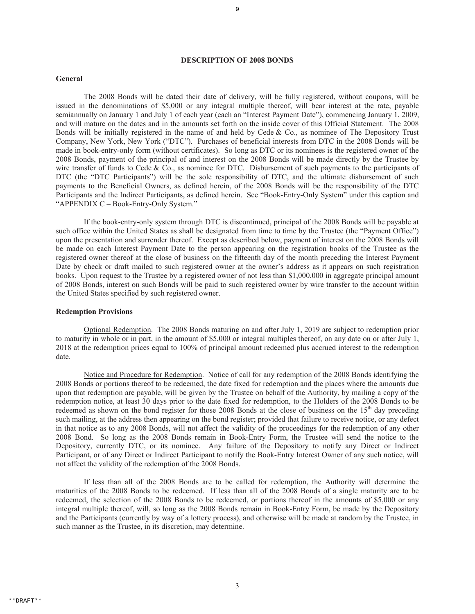# **DESCRIPTION OF 2008 BONDS**

9

#### **General**

The 2008 Bonds will be dated their date of delivery, will be fully registered, without coupons, will be issued in the denominations of \$5,000 or any integral multiple thereof, will bear interest at the rate, payable semiannually on January 1 and July 1 of each year (each an "Interest Payment Date"), commencing January 1, 2009, and will mature on the dates and in the amounts set forth on the inside cover of this Official Statement. The 2008 Bonds will be initially registered in the name of and held by Cede & Co., as nominee of The Depository Trust Company, New York, New York ("DTC"). Purchases of beneficial interests from DTC in the 2008 Bonds will be made in book-entry-only form (without certificates). So long as DTC or its nominees is the registered owner of the 2008 Bonds, payment of the principal of and interest on the 2008 Bonds will be made directly by the Trustee by wire transfer of funds to Cede & Co., as nominee for DTC. Disbursement of such payments to the participants of DTC (the "DTC Participants") will be the sole responsibility of DTC, and the ultimate disbursement of such payments to the Beneficial Owners, as defined herein, of the 2008 Bonds will be the responsibility of the DTC Participants and the Indirect Participants, as defined herein. See "Book-Entry-Only System" under this caption and "APPENDIX C – Book-Entry-Only System."

If the book-entry-only system through DTC is discontinued, principal of the 2008 Bonds will be payable at such office within the United States as shall be designated from time to time by the Trustee (the "Payment Office") upon the presentation and surrender thereof. Except as described below, payment of interest on the 2008 Bonds will be made on each Interest Payment Date to the person appearing on the registration books of the Trustee as the registered owner thereof at the close of business on the fifteenth day of the month preceding the Interest Payment Date by check or draft mailed to such registered owner at the owner's address as it appears on such registration books. Upon request to the Trustee by a registered owner of not less than \$1,000,000 in aggregate principal amount of 2008 Bonds, interest on such Bonds will be paid to such registered owner by wire transfer to the account within the United States specified by such registered owner.

# **Redemption Provisions**

Optional Redemption. The 2008 Bonds maturing on and after July 1, 2019 are subject to redemption prior to maturity in whole or in part, in the amount of \$5,000 or integral multiples thereof, on any date on or after July 1, 2018 at the redemption prices equal to 100% of principal amount redeemed plus accrued interest to the redemption date.

Notice and Procedure for Redemption. Notice of call for any redemption of the 2008 Bonds identifying the 2008 Bonds or portions thereof to be redeemed, the date fixed for redemption and the places where the amounts due upon that redemption are payable, will be given by the Trustee on behalf of the Authority, by mailing a copy of the redemption notice, at least 30 days prior to the date fixed for redemption, to the Holders of the 2008 Bonds to be redeemed as shown on the bond register for those 2008 Bonds at the close of business on the  $15<sup>th</sup>$  day preceding such mailing, at the address then appearing on the bond register; provided that failure to receive notice, or any defect in that notice as to any 2008 Bonds, will not affect the validity of the proceedings for the redemption of any other 2008 Bond. So long as the 2008 Bonds remain in Book-Entry Form, the Trustee will send the notice to the Depository, currently DTC, or its nominee. Any failure of the Depository to notify any Direct or Indirect Participant, or of any Direct or Indirect Participant to notify the Book-Entry Interest Owner of any such notice, will not affect the validity of the redemption of the 2008 Bonds.

If less than all of the 2008 Bonds are to be called for redemption, the Authority will determine the maturities of the 2008 Bonds to be redeemed. If less than all of the 2008 Bonds of a single maturity are to be redeemed, the selection of the 2008 Bonds to be redeemed, or portions thereof in the amounts of \$5,000 or any integral multiple thereof, will, so long as the 2008 Bonds remain in Book-Entry Form, be made by the Depository and the Participants (currently by way of a lottery process), and otherwise will be made at random by the Trustee, in such manner as the Trustee, in its discretion, may determine.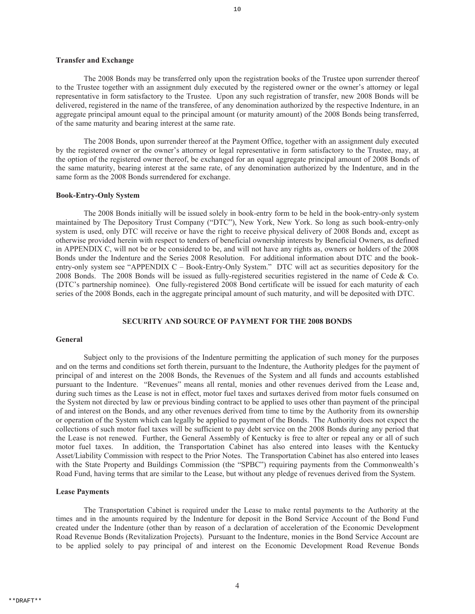# **Transfer and Exchange**

The 2008 Bonds may be transferred only upon the registration books of the Trustee upon surrender thereof to the Trustee together with an assignment duly executed by the registered owner or the owner's attorney or legal representative in form satisfactory to the Trustee. Upon any such registration of transfer, new 2008 Bonds will be delivered, registered in the name of the transferee, of any denomination authorized by the respective Indenture, in an aggregate principal amount equal to the principal amount (or maturity amount) of the 2008 Bonds being transferred, of the same maturity and bearing interest at the same rate.

The 2008 Bonds, upon surrender thereof at the Payment Office, together with an assignment duly executed by the registered owner or the owner's attorney or legal representative in form satisfactory to the Trustee, may, at the option of the registered owner thereof, be exchanged for an equal aggregate principal amount of 2008 Bonds of the same maturity, bearing interest at the same rate, of any denomination authorized by the Indenture, and in the same form as the 2008 Bonds surrendered for exchange.

#### **Book-Entry-Only System**

The 2008 Bonds initially will be issued solely in book-entry form to be held in the book-entry-only system maintained by The Depository Trust Company ("DTC"), New York, New York. So long as such book-entry-only system is used, only DTC will receive or have the right to receive physical delivery of 2008 Bonds and, except as otherwise provided herein with respect to tenders of beneficial ownership interests by Beneficial Owners, as defined in APPENDIX C, will not be or be considered to be, and will not have any rights as, owners or holders of the 2008 Bonds under the Indenture and the Series 2008 Resolution. For additional information about DTC and the bookentry-only system see "APPENDIX C – Book-Entry-Only System." DTC will act as securities depository for the 2008 Bonds. The 2008 Bonds will be issued as fully-registered securities registered in the name of Cede & Co. (DTC's partnership nominee). One fully-registered 2008 Bond certificate will be issued for each maturity of each series of the 2008 Bonds, each in the aggregate principal amount of such maturity, and will be deposited with DTC.

# **SECURITY AND SOURCE OF PAYMENT FOR THE 2008 BONDS**

#### **General**

Subject only to the provisions of the Indenture permitting the application of such money for the purposes and on the terms and conditions set forth therein, pursuant to the Indenture, the Authority pledges for the payment of principal of and interest on the 2008 Bonds, the Revenues of the System and all funds and accounts established pursuant to the Indenture. "Revenues" means all rental, monies and other revenues derived from the Lease and, during such times as the Lease is not in effect, motor fuel taxes and surtaxes derived from motor fuels consumed on the System not directed by law or previous binding contract to be applied to uses other than payment of the principal of and interest on the Bonds, and any other revenues derived from time to time by the Authority from its ownership or operation of the System which can legally be applied to payment of the Bonds. The Authority does not expect the collections of such motor fuel taxes will be sufficient to pay debt service on the 2008 Bonds during any period that the Lease is not renewed. Further, the General Assembly of Kentucky is free to alter or repeal any or all of such motor fuel taxes. In addition, the Transportation Cabinet has also entered into leases with the Kentucky Asset/Liability Commission with respect to the Prior Notes. The Transportation Cabinet has also entered into leases with the State Property and Buildings Commission (the "SPBC") requiring payments from the Commonwealth's Road Fund, having terms that are similar to the Lease, but without any pledge of revenues derived from the System.

#### **Lease Payments**

The Transportation Cabinet is required under the Lease to make rental payments to the Authority at the times and in the amounts required by the Indenture for deposit in the Bond Service Account of the Bond Fund created under the Indenture (other than by reason of a declaration of acceleration of the Economic Development Road Revenue Bonds (Revitalization Projects). Pursuant to the Indenture, monies in the Bond Service Account are to be applied solely to pay principal of and interest on the Economic Development Road Revenue Bonds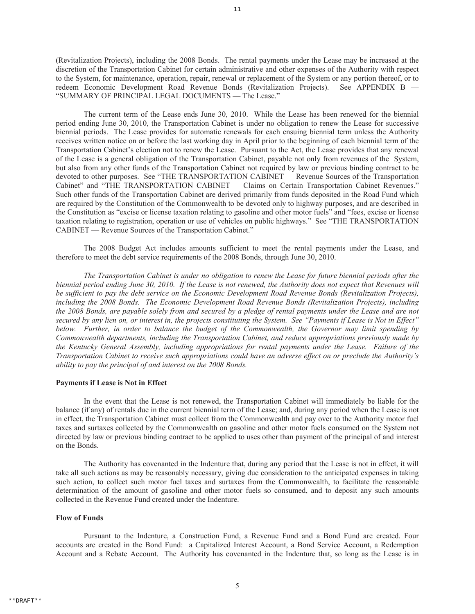(Revitalization Projects), including the 2008 Bonds. The rental payments under the Lease may be increased at the discretion of the Transportation Cabinet for certain administrative and other expenses of the Authority with respect to the System, for maintenance, operation, repair, renewal or replacement of the System or any portion thereof, or to redeem Economic Development Road Revenue Bonds (Revitalization Projects). See APPENDIX B — "SUMMARY OF PRINCIPAL LEGAL DOCUMENTS — The Lease."

The current term of the Lease ends June 30, 2010. While the Lease has been renewed for the biennial period ending June 30, 2010, the Transportation Cabinet is under no obligation to renew the Lease for successive biennial periods. The Lease provides for automatic renewals for each ensuing biennial term unless the Authority receives written notice on or before the last working day in April prior to the beginning of each biennial term of the Transportation Cabinet's election not to renew the Lease. Pursuant to the Act, the Lease provides that any renewal of the Lease is a general obligation of the Transportation Cabinet, payable not only from revenues of the System, but also from any other funds of the Transportation Cabinet not required by law or previous binding contract to be devoted to other purposes. See "THE TRANSPORTATION CABINET — Revenue Sources of the Transportation Cabinet" and "THE TRANSPORTATION CABINET — Claims on Certain Transportation Cabinet Revenues." Such other funds of the Transportation Cabinet are derived primarily from funds deposited in the Road Fund which are required by the Constitution of the Commonwealth to be devoted only to highway purposes, and are described in the Constitution as "excise or license taxation relating to gasoline and other motor fuels" and "fees, excise or license taxation relating to registration, operation or use of vehicles on public highways." See "THE TRANSPORTATION CABINET — Revenue Sources of the Transportation Cabinet."

The 2008 Budget Act includes amounts sufficient to meet the rental payments under the Lease, and therefore to meet the debt service requirements of the 2008 Bonds, through June 30, 2010.

*The Transportation Cabinet is under no obligation to renew the Lease for future biennial periods after the biennial period ending June 30, 2010. If the Lease is not renewed, the Authority does not expect that Revenues will be sufficient to pay the debt service on the Economic Development Road Revenue Bonds (Revitalization Projects), including the 2008 Bonds. The Economic Development Road Revenue Bonds (Revitalization Projects), including the 2008 Bonds, are payable solely from and secured by a pledge of rental payments under the Lease and are not secured by any lien on, or interest in, the projects constituting the System. See "Payments if Lease is Not in Effect" below. Further, in order to balance the budget of the Commonwealth, the Governor may limit spending by Commonwealth departments, including the Transportation Cabinet, and reduce appropriations previously made by the Kentucky General Assembly, including appropriations for rental payments under the Lease. Failure of the Transportation Cabinet to receive such appropriations could have an adverse effect on or preclude the Authority's ability to pay the principal of and interest on the 2008 Bonds.* 

# **Payments if Lease is Not in Effect**

5

In the event that the Lease is not renewed, the Transportation Cabinet will immediately be liable for the balance (if any) of rentals due in the current biennial term of the Lease; and, during any period when the Lease is not in effect, the Transportation Cabinet must collect from the Commonwealth and pay over to the Authority motor fuel taxes and surtaxes collected by the Commonwealth on gasoline and other motor fuels consumed on the System not directed by law or previous binding contract to be applied to uses other than payment of the principal of and interest on the Bonds.

The Authority has covenanted in the Indenture that, during any period that the Lease is not in effect, it will take all such actions as may be reasonably necessary, giving due consideration to the anticipated expenses in taking such action, to collect such motor fuel taxes and surtaxes from the Commonwealth, to facilitate the reasonable determination of the amount of gasoline and other motor fuels so consumed, and to deposit any such amounts collected in the Revenue Fund created under the Indenture.

# **Flow of Funds**

Pursuant to the Indenture, a Construction Fund, a Revenue Fund and a Bond Fund are created. Four accounts are created in the Bond Fund: a Capitalized Interest Account, a Bond Service Account, a Redemption Account and a Rebate Account. The Authority has covenanted in the Indenture that, so long as the Lease is in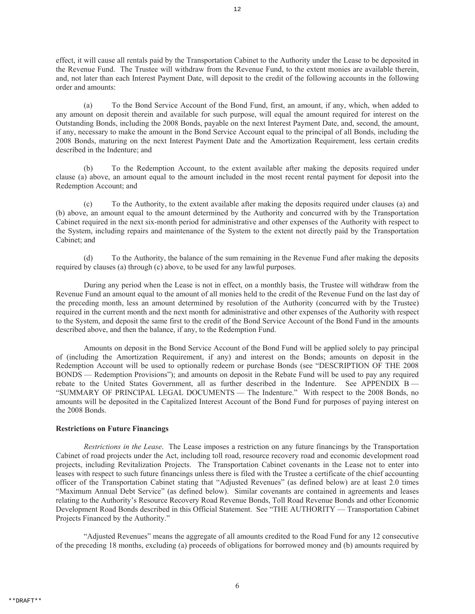effect, it will cause all rentals paid by the Transportation Cabinet to the Authority under the Lease to be deposited in the Revenue Fund. The Trustee will withdraw from the Revenue Fund, to the extent monies are available therein, and, not later than each Interest Payment Date, will deposit to the credit of the following accounts in the following order and amounts:

(a) To the Bond Service Account of the Bond Fund, first, an amount, if any, which, when added to any amount on deposit therein and available for such purpose, will equal the amount required for interest on the Outstanding Bonds, including the 2008 Bonds, payable on the next Interest Payment Date, and, second, the amount, if any, necessary to make the amount in the Bond Service Account equal to the principal of all Bonds, including the 2008 Bonds, maturing on the next Interest Payment Date and the Amortization Requirement, less certain credits described in the Indenture; and

(b) To the Redemption Account, to the extent available after making the deposits required under clause (a) above, an amount equal to the amount included in the most recent rental payment for deposit into the Redemption Account; and

(c) To the Authority, to the extent available after making the deposits required under clauses (a) and (b) above, an amount equal to the amount determined by the Authority and concurred with by the Transportation Cabinet required in the next six-month period for administrative and other expenses of the Authority with respect to the System, including repairs and maintenance of the System to the extent not directly paid by the Transportation Cabinet; and

(d) To the Authority, the balance of the sum remaining in the Revenue Fund after making the deposits required by clauses (a) through (c) above, to be used for any lawful purposes.

During any period when the Lease is not in effect, on a monthly basis, the Trustee will withdraw from the Revenue Fund an amount equal to the amount of all monies held to the credit of the Revenue Fund on the last day of the preceding month, less an amount determined by resolution of the Authority (concurred with by the Trustee) required in the current month and the next month for administrative and other expenses of the Authority with respect to the System, and deposit the same first to the credit of the Bond Service Account of the Bond Fund in the amounts described above, and then the balance, if any, to the Redemption Fund.

Amounts on deposit in the Bond Service Account of the Bond Fund will be applied solely to pay principal of (including the Amortization Requirement, if any) and interest on the Bonds; amounts on deposit in the Redemption Account will be used to optionally redeem or purchase Bonds (see "DESCRIPTION OF THE 2008 BONDS — Redemption Provisions"); and amounts on deposit in the Rebate Fund will be used to pay any required rebate to the United States Government, all as further described in the Indenture. See APPENDIX B — "SUMMARY OF PRINCIPAL LEGAL DOCUMENTS — The Indenture." With respect to the 2008 Bonds, no amounts will be deposited in the Capitalized Interest Account of the Bond Fund for purposes of paying interest on the 2008 Bonds.

# **Restrictions on Future Financings**

*Restrictions in the Lease*. The Lease imposes a restriction on any future financings by the Transportation Cabinet of road projects under the Act, including toll road, resource recovery road and economic development road projects, including Revitalization Projects. The Transportation Cabinet covenants in the Lease not to enter into leases with respect to such future financings unless there is filed with the Trustee a certificate of the chief accounting officer of the Transportation Cabinet stating that "Adjusted Revenues" (as defined below) are at least 2.0 times "Maximum Annual Debt Service" (as defined below). Similar covenants are contained in agreements and leases relating to the Authority's Resource Recovery Road Revenue Bonds, Toll Road Revenue Bonds and other Economic Development Road Bonds described in this Official Statement. See "THE AUTHORITY — Transportation Cabinet Projects Financed by the Authority."

"Adjusted Revenues" means the aggregate of all amounts credited to the Road Fund for any 12 consecutive of the preceding 18 months, excluding (a) proceeds of obligations for borrowed money and (b) amounts required by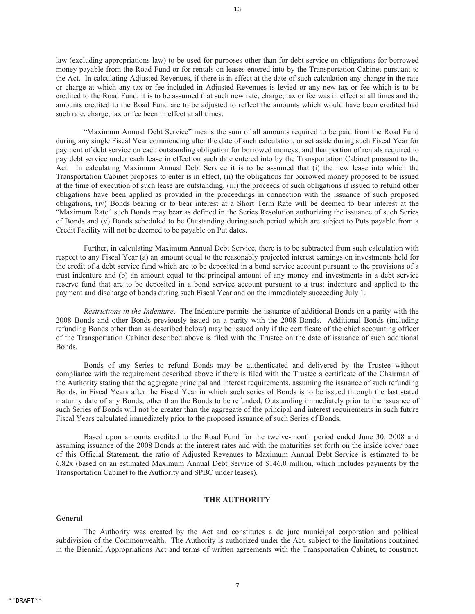law (excluding appropriations law) to be used for purposes other than for debt service on obligations for borrowed money payable from the Road Fund or for rentals on leases entered into by the Transportation Cabinet pursuant to the Act. In calculating Adjusted Revenues, if there is in effect at the date of such calculation any change in the rate or charge at which any tax or fee included in Adjusted Revenues is levied or any new tax or fee which is to be credited to the Road Fund, it is to be assumed that such new rate, charge, tax or fee was in effect at all times and the amounts credited to the Road Fund are to be adjusted to reflect the amounts which would have been credited had such rate, charge, tax or fee been in effect at all times.

"Maximum Annual Debt Service" means the sum of all amounts required to be paid from the Road Fund during any single Fiscal Year commencing after the date of such calculation, or set aside during such Fiscal Year for payment of debt service on each outstanding obligation for borrowed moneys, and that portion of rentals required to pay debt service under each lease in effect on such date entered into by the Transportation Cabinet pursuant to the Act. In calculating Maximum Annual Debt Service it is to be assumed that (i) the new lease into which the Transportation Cabinet proposes to enter is in effect, (ii) the obligations for borrowed money proposed to be issued at the time of execution of such lease are outstanding, (iii) the proceeds of such obligations if issued to refund other obligations have been applied as provided in the proceedings in connection with the issuance of such proposed obligations, (iv) Bonds bearing or to bear interest at a Short Term Rate will be deemed to bear interest at the "Maximum Rate" such Bonds may bear as defined in the Series Resolution authorizing the issuance of such Series of Bonds and (v) Bonds scheduled to be Outstanding during such period which are subject to Puts payable from a Credit Facility will not be deemed to be payable on Put dates.

Further, in calculating Maximum Annual Debt Service, there is to be subtracted from such calculation with respect to any Fiscal Year (a) an amount equal to the reasonably projected interest earnings on investments held for the credit of a debt service fund which are to be deposited in a bond service account pursuant to the provisions of a trust indenture and (b) an amount equal to the principal amount of any money and investments in a debt service reserve fund that are to be deposited in a bond service account pursuant to a trust indenture and applied to the payment and discharge of bonds during such Fiscal Year and on the immediately succeeding July 1.

*Restrictions in the Indenture*. The Indenture permits the issuance of additional Bonds on a parity with the 2008 Bonds and other Bonds previously issued on a parity with the 2008 Bonds. Additional Bonds (including refunding Bonds other than as described below) may be issued only if the certificate of the chief accounting officer of the Transportation Cabinet described above is filed with the Trustee on the date of issuance of such additional Bonds.

Bonds of any Series to refund Bonds may be authenticated and delivered by the Trustee without compliance with the requirement described above if there is filed with the Trustee a certificate of the Chairman of the Authority stating that the aggregate principal and interest requirements, assuming the issuance of such refunding Bonds, in Fiscal Years after the Fiscal Year in which such series of Bonds is to be issued through the last stated maturity date of any Bonds, other than the Bonds to be refunded, Outstanding immediately prior to the issuance of such Series of Bonds will not be greater than the aggregate of the principal and interest requirements in such future Fiscal Years calculated immediately prior to the proposed issuance of such Series of Bonds.

Based upon amounts credited to the Road Fund for the twelve-month period ended June 30, 2008 and assuming issuance of the 2008 Bonds at the interest rates and with the maturities set forth on the inside cover page of this Official Statement, the ratio of Adjusted Revenues to Maximum Annual Debt Service is estimated to be 6.82x (based on an estimated Maximum Annual Debt Service of \$146.0 million, which includes payments by the Transportation Cabinet to the Authority and SPBC under leases).

# **THE AUTHORITY**

#### **General**

The Authority was created by the Act and constitutes a de jure municipal corporation and political subdivision of the Commonwealth. The Authority is authorized under the Act, subject to the limitations contained in the Biennial Appropriations Act and terms of written agreements with the Transportation Cabinet, to construct,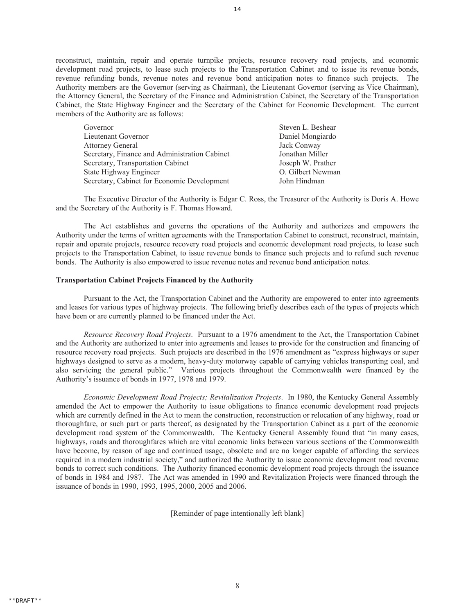reconstruct, maintain, repair and operate turnpike projects, resource recovery road projects, and economic development road projects, to lease such projects to the Transportation Cabinet and to issue its revenue bonds, revenue refunding bonds, revenue notes and revenue bond anticipation notes to finance such projects. The Authority members are the Governor (serving as Chairman), the Lieutenant Governor (serving as Vice Chairman), the Attorney General, the Secretary of the Finance and Administration Cabinet, the Secretary of the Transportation Cabinet, the State Highway Engineer and the Secretary of the Cabinet for Economic Development. The current members of the Authority are as follows:

14

| Steven L. Beshear |
|-------------------|
| Daniel Mongiardo  |
| Jack Conway       |
| Jonathan Miller   |
| Joseph W. Prather |
| O. Gilbert Newman |
| John Hindman      |
|                   |

The Executive Director of the Authority is Edgar C. Ross, the Treasurer of the Authority is Doris A. Howe and the Secretary of the Authority is F. Thomas Howard.

The Act establishes and governs the operations of the Authority and authorizes and empowers the Authority under the terms of written agreements with the Transportation Cabinet to construct, reconstruct, maintain, repair and operate projects, resource recovery road projects and economic development road projects, to lease such projects to the Transportation Cabinet, to issue revenue bonds to finance such projects and to refund such revenue bonds. The Authority is also empowered to issue revenue notes and revenue bond anticipation notes.

#### **Transportation Cabinet Projects Financed by the Authority**

8

Pursuant to the Act, the Transportation Cabinet and the Authority are empowered to enter into agreements and leases for various types of highway projects. The following briefly describes each of the types of projects which have been or are currently planned to be financed under the Act.

*Resource Recovery Road Projects*. Pursuant to a 1976 amendment to the Act, the Transportation Cabinet and the Authority are authorized to enter into agreements and leases to provide for the construction and financing of resource recovery road projects. Such projects are described in the 1976 amendment as "express highways or super highways designed to serve as a modern, heavy-duty motorway capable of carrying vehicles transporting coal, and also servicing the general public." Various projects throughout the Commonwealth were financed by the Authority's issuance of bonds in 1977, 1978 and 1979.

*Economic Development Road Projects; Revitalization Projects*. In 1980, the Kentucky General Assembly amended the Act to empower the Authority to issue obligations to finance economic development road projects which are currently defined in the Act to mean the construction, reconstruction or relocation of any highway, road or thoroughfare, or such part or parts thereof, as designated by the Transportation Cabinet as a part of the economic development road system of the Commonwealth. The Kentucky General Assembly found that "in many cases, highways, roads and thoroughfares which are vital economic links between various sections of the Commonwealth have become, by reason of age and continued usage, obsolete and are no longer capable of affording the services required in a modern industrial society," and authorized the Authority to issue economic development road revenue bonds to correct such conditions. The Authority financed economic development road projects through the issuance of bonds in 1984 and 1987. The Act was amended in 1990 and Revitalization Projects were financed through the issuance of bonds in 1990, 1993, 1995, 2000, 2005 and 2006.

[Reminder of page intentionally left blank]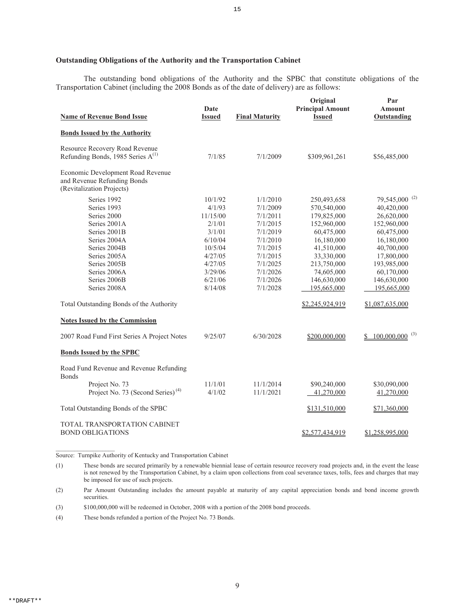# **Outstanding Obligations of the Authority and the Transportation Cabinet**

The outstanding bond obligations of the Authority and the SPBC that constitute obligations of the Transportation Cabinet (including the 2008 Bonds as of the date of delivery) are as follows:

| <b>Name of Revenue Bond Issue</b>                                                                                                                                                                                                                                              | Date<br><b>Issued</b>                                                                                                          | <b>Final Maturity</b>                                                                                                                        | Original<br><b>Principal Amount</b><br><b>Issued</b>                                                                                                                                           | Par<br>Amount<br><b>Outstanding</b>                                                                                                                                                                        |
|--------------------------------------------------------------------------------------------------------------------------------------------------------------------------------------------------------------------------------------------------------------------------------|--------------------------------------------------------------------------------------------------------------------------------|----------------------------------------------------------------------------------------------------------------------------------------------|------------------------------------------------------------------------------------------------------------------------------------------------------------------------------------------------|------------------------------------------------------------------------------------------------------------------------------------------------------------------------------------------------------------|
| <b>Bonds Issued by the Authority</b>                                                                                                                                                                                                                                           |                                                                                                                                |                                                                                                                                              |                                                                                                                                                                                                |                                                                                                                                                                                                            |
| Resource Recovery Road Revenue<br>Refunding Bonds, 1985 Series $A^{(1)}$                                                                                                                                                                                                       | 7/1/85                                                                                                                         | 7/1/2009                                                                                                                                     | \$309,961,261                                                                                                                                                                                  | \$56,485,000                                                                                                                                                                                               |
| Economic Development Road Revenue<br>and Revenue Refunding Bonds<br>(Revitalization Projects)                                                                                                                                                                                  |                                                                                                                                |                                                                                                                                              |                                                                                                                                                                                                |                                                                                                                                                                                                            |
| Series 1992<br>Series 1993<br>Series 2000<br>Series 2001A<br>Series 2001B<br>Series 2004A<br>Series 2004B<br>Series 2005A<br>Series 2005B<br>Series 2006A<br>Series 2006B<br>Series 2008A<br>Total Outstanding Bonds of the Authority<br><b>Notes Issued by the Commission</b> | 10/1/92<br>4/1/93<br>11/15/00<br>2/1/01<br>3/1/01<br>6/10/04<br>10/5/04<br>4/27/05<br>4/27/05<br>3/29/06<br>6/21/06<br>8/14/08 | 1/1/2010<br>7/1/2009<br>7/1/2011<br>7/1/2015<br>7/1/2019<br>7/1/2010<br>7/1/2015<br>7/1/2015<br>7/1/2025<br>7/1/2026<br>7/1/2026<br>7/1/2028 | 250,493,658<br>570,540,000<br>179,825,000<br>152,960,000<br>60,475,000<br>16,180,000<br>41,510,000<br>33,330,000<br>213,750,000<br>74,605,000<br>146,630,000<br>195,665,000<br>\$2,245,924,919 | 79,545,000 <sup>(2)</sup><br>40,420,000<br>26,620,000<br>152,960,000<br>60,475,000<br>16,180,000<br>40,700,000<br>17,800,000<br>193,985,000<br>60,170,000<br>146,630,000<br>195,665,000<br>\$1,087,635,000 |
| 2007 Road Fund First Series A Project Notes                                                                                                                                                                                                                                    | 9/25/07                                                                                                                        | 6/30/2028                                                                                                                                    | \$200,000,000                                                                                                                                                                                  | $100,000,000$ <sup>(3)</sup>                                                                                                                                                                               |
| <b>Bonds Issued by the SPBC</b>                                                                                                                                                                                                                                                |                                                                                                                                |                                                                                                                                              |                                                                                                                                                                                                |                                                                                                                                                                                                            |
| Road Fund Revenue and Revenue Refunding<br><b>Bonds</b><br>Project No. 73<br>Project No. 73 (Second Series) <sup>(4)</sup>                                                                                                                                                     | 11/1/01<br>4/1/02                                                                                                              | 11/1/2014<br>11/1/2021                                                                                                                       | \$90,240,000<br>41,270,000                                                                                                                                                                     | \$30,090,000<br>41,270,000                                                                                                                                                                                 |
| Total Outstanding Bonds of the SPBC                                                                                                                                                                                                                                            |                                                                                                                                |                                                                                                                                              | \$131,510,000                                                                                                                                                                                  | \$71,360,000                                                                                                                                                                                               |
| TOTAL TRANSPORTATION CABINET<br><b>BOND OBLIGATIONS</b>                                                                                                                                                                                                                        |                                                                                                                                |                                                                                                                                              | \$2,577,434,919                                                                                                                                                                                | \$1,258,995,000                                                                                                                                                                                            |

Source: Turnpike Authority of Kentucky and Transportation Cabinet

(4) These bonds refunded a portion of the Project No. 73 Bonds.

<sup>(1)</sup> These bonds are secured primarily by a renewable biennial lease of certain resource recovery road projects and, in the event the lease is not renewed by the Transportation Cabinet, by a claim upon collections from coal severance taxes, tolls, fees and charges that may be imposed for use of such projects.

<sup>(2)</sup> Par Amount Outstanding includes the amount payable at maturity of any capital appreciation bonds and bond income growth securities.

<sup>(3) \$100,000,000</sup> will be redeemed in October, 2008 with a portion of the 2008 bond proceeds.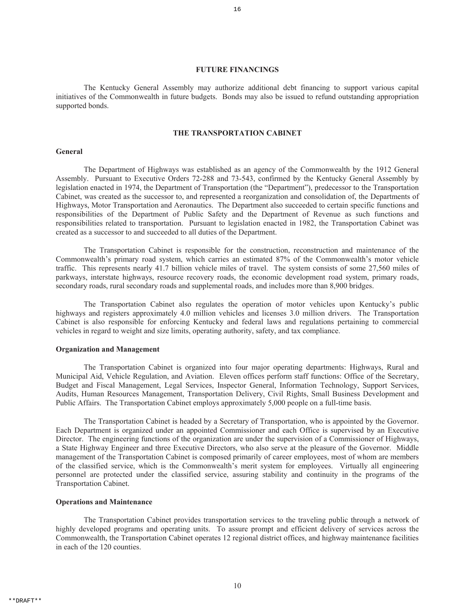#### **FUTURE FINANCINGS**

The Kentucky General Assembly may authorize additional debt financing to support various capital initiatives of the Commonwealth in future budgets. Bonds may also be issued to refund outstanding appropriation supported bonds.

# **THE TRANSPORTATION CABINET**

#### **General**

The Department of Highways was established as an agency of the Commonwealth by the 1912 General Assembly. Pursuant to Executive Orders 72-288 and 73-543, confirmed by the Kentucky General Assembly by legislation enacted in 1974, the Department of Transportation (the "Department"), predecessor to the Transportation Cabinet, was created as the successor to, and represented a reorganization and consolidation of, the Departments of Highways, Motor Transportation and Aeronautics. The Department also succeeded to certain specific functions and responsibilities of the Department of Public Safety and the Department of Revenue as such functions and responsibilities related to transportation. Pursuant to legislation enacted in 1982, the Transportation Cabinet was created as a successor to and succeeded to all duties of the Department.

The Transportation Cabinet is responsible for the construction, reconstruction and maintenance of the Commonwealth's primary road system, which carries an estimated 87% of the Commonwealth's motor vehicle traffic. This represents nearly 41.7 billion vehicle miles of travel. The system consists of some 27,560 miles of parkways, interstate highways, resource recovery roads, the economic development road system, primary roads, secondary roads, rural secondary roads and supplemental roads, and includes more than 8,900 bridges.

The Transportation Cabinet also regulates the operation of motor vehicles upon Kentucky's public highways and registers approximately 4.0 million vehicles and licenses 3.0 million drivers. The Transportation Cabinet is also responsible for enforcing Kentucky and federal laws and regulations pertaining to commercial vehicles in regard to weight and size limits, operating authority, safety, and tax compliance.

# **Organization and Management**

The Transportation Cabinet is organized into four major operating departments: Highways, Rural and Municipal Aid, Vehicle Regulation, and Aviation. Eleven offices perform staff functions: Office of the Secretary, Budget and Fiscal Management, Legal Services, Inspector General, Information Technology, Support Services, Audits, Human Resources Management, Transportation Delivery, Civil Rights, Small Business Development and Public Affairs. The Transportation Cabinet employs approximately 5,000 people on a full-time basis.

The Transportation Cabinet is headed by a Secretary of Transportation, who is appointed by the Governor. Each Department is organized under an appointed Commissioner and each Office is supervised by an Executive Director. The engineering functions of the organization are under the supervision of a Commissioner of Highways, a State Highway Engineer and three Executive Directors, who also serve at the pleasure of the Governor. Middle management of the Transportation Cabinet is composed primarily of career employees, most of whom are members of the classified service, which is the Commonwealth's merit system for employees. Virtually all engineering personnel are protected under the classified service, assuring stability and continuity in the programs of the Transportation Cabinet.

#### **Operations and Maintenance**

The Transportation Cabinet provides transportation services to the traveling public through a network of highly developed programs and operating units. To assure prompt and efficient delivery of services across the Commonwealth, the Transportation Cabinet operates 12 regional district offices, and highway maintenance facilities in each of the 120 counties.

16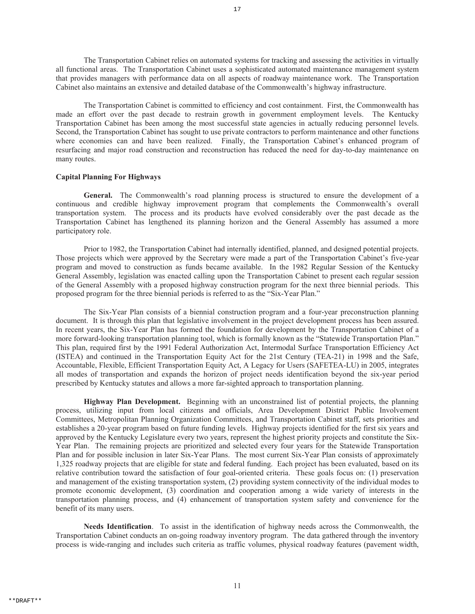The Transportation Cabinet relies on automated systems for tracking and assessing the activities in virtually all functional areas. The Transportation Cabinet uses a sophisticated automated maintenance management system that provides managers with performance data on all aspects of roadway maintenance work. The Transportation Cabinet also maintains an extensive and detailed database of the Commonwealth's highway infrastructure.

The Transportation Cabinet is committed to efficiency and cost containment. First, the Commonwealth has made an effort over the past decade to restrain growth in government employment levels. The Kentucky Transportation Cabinet has been among the most successful state agencies in actually reducing personnel levels. Second, the Transportation Cabinet has sought to use private contractors to perform maintenance and other functions where economies can and have been realized. Finally, the Transportation Cabinet's enhanced program of resurfacing and major road construction and reconstruction has reduced the need for day-to-day maintenance on many routes.

# **Capital Planning For Highways**

General. The Commonwealth's road planning process is structured to ensure the development of a continuous and credible highway improvement program that complements the Commonwealth's overall transportation system. The process and its products have evolved considerably over the past decade as the Transportation Cabinet has lengthened its planning horizon and the General Assembly has assumed a more participatory role.

Prior to 1982, the Transportation Cabinet had internally identified, planned, and designed potential projects. Those projects which were approved by the Secretary were made a part of the Transportation Cabinet's five-year program and moved to construction as funds became available. In the 1982 Regular Session of the Kentucky General Assembly, legislation was enacted calling upon the Transportation Cabinet to present each regular session of the General Assembly with a proposed highway construction program for the next three biennial periods. This proposed program for the three biennial periods is referred to as the "Six-Year Plan."

The Six-Year Plan consists of a biennial construction program and a four-year preconstruction planning document. It is through this plan that legislative involvement in the project development process has been assured. In recent years, the Six-Year Plan has formed the foundation for development by the Transportation Cabinet of a more forward-looking transportation planning tool, which is formally known as the "Statewide Transportation Plan." This plan, required first by the 1991 Federal Authorization Act, Intermodal Surface Transportation Efficiency Act (ISTEA) and continued in the Transportation Equity Act for the 21st Century (TEA-21) in 1998 and the Safe, Accountable, Flexible, Efficient Transportation Equity Act, A Legacy for Users (SAFETEA-LU) in 2005, integrates all modes of transportation and expands the horizon of project needs identification beyond the six-year period prescribed by Kentucky statutes and allows a more far-sighted approach to transportation planning.

**Highway Plan Development.** Beginning with an unconstrained list of potential projects, the planning process, utilizing input from local citizens and officials, Area Development District Public Involvement Committees, Metropolitan Planning Organization Committees, and Transportation Cabinet staff, sets priorities and establishes a 20-year program based on future funding levels. Highway projects identified for the first six years and approved by the Kentucky Legislature every two years, represent the highest priority projects and constitute the Six-Year Plan. The remaining projects are prioritized and selected every four years for the Statewide Transportation Plan and for possible inclusion in later Six-Year Plans. The most current Six-Year Plan consists of approximately 1,325 roadway projects that are eligible for state and federal funding. Each project has been evaluated, based on its relative contribution toward the satisfaction of four goal-oriented criteria. These goals focus on: (1) preservation and management of the existing transportation system, (2) providing system connectivity of the individual modes to promote economic development, (3) coordination and cooperation among a wide variety of interests in the transportation planning process, and (4) enhancement of transportation system safety and convenience for the benefit of its many users.

**Needs Identification**. To assist in the identification of highway needs across the Commonwealth, the Transportation Cabinet conducts an on-going roadway inventory program. The data gathered through the inventory process is wide-ranging and includes such criteria as traffic volumes, physical roadway features (pavement width,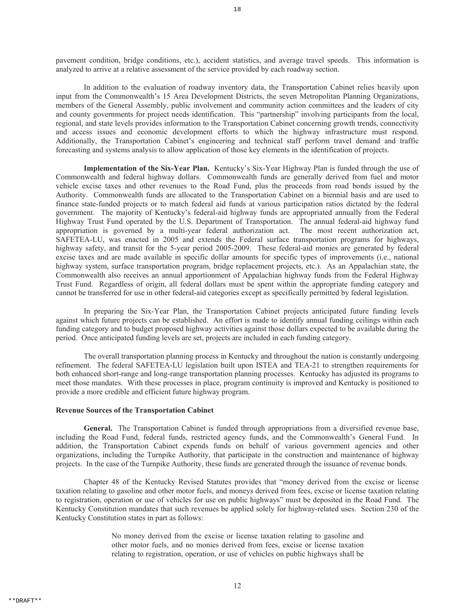In addition to the evaluation of roadway inventory data, the Transportation Cabinet relies heavily upon input from the Commonwealth's 15 Area Development Districts, the seven Metropolitan Planning Organizations, members of the General Assembly, public involvement and community action committees and the leaders of city and county governments for project needs identification. This "partnership" involving participants from the local, regional, and state levels provides information to the Transportation Cabinet concerning growth trends, connectivity and access issues and economic development efforts to which the highway infrastructure must respond. Additionally, the Transportation Cabinet's engineering and technical staff perform travel demand and traffic forecasting and systems analysis to allow application of those key elements in the identification of projects.

**Implementation of the Six-Year Plan.** Kentucky's Six-Year Highway Plan is funded through the use of Commonwealth and federal highway dollars. Commonwealth funds are generally derived from fuel and motor vehicle excise taxes and other revenues to the Road Fund, plus the proceeds from road bonds issued by the Authority. Commonwealth funds are allocated to the Transportation Cabinet on a biennial basis and are used to finance state-funded projects or to match federal aid funds at various participation ratios dictated by the federal government. The majority of Kentucky's federal-aid highway funds are appropriated annually from the Federal Highway Trust Fund operated by the U.S. Department of Transportation. The annual federal-aid highway fund appropriation is governed by a multi-year federal authorization act. The most recent authorization act, SAFETEA-LU, was enacted in 2005 and extends the Federal surface transportation programs for highways, highway safety, and transit for the 5-year period 2005-2009. These federal-aid monies are generated by federal excise taxes and are made available in specific dollar amounts for specific types of improvements (i.e., national highway system, surface transportation program, bridge replacement projects, etc.). As an Appalachian state, the Commonwealth also receives an annual apportionment of Appalachian highway funds from the Federal Highway Trust Fund. Regardless of origin, all federal dollars must be spent within the appropriate funding category and cannot be transferred for use in other federal-aid categories except as specifically permitted by federal legislation.

In preparing the Six-Year Plan, the Transportation Cabinet projects anticipated future funding levels against which future projects can be established. An effort is made to identify annual funding ceilings within each funding category and to budget proposed highway activities against those dollars expected to be available during the period. Once anticipated funding levels are set, projects are included in each funding category.

The overall transportation planning process in Kentucky and throughout the nation is constantly undergoing refinement. The federal SAFETEA-LU legislation built upon ISTEA and TEA-21 to strengthen requirements for both enhanced short-range and long-range transportation planning processes. Kentucky has adjusted its programs to meet those mandates. With these processes in place, program continuity is improved and Kentucky is positioned to provide a more credible and efficient future highway program.

# **Revenue Sources of the Transportation Cabinet**

12

**General.** The Transportation Cabinet is funded through appropriations from a diversified revenue base, including the Road Fund, federal funds, restricted agency funds, and the Commonwealth's General Fund. In addition, the Transportation Cabinet expends funds on behalf of various government agencies and other organizations, including the Turnpike Authority, that participate in the construction and maintenance of highway projects. In the case of the Turnpike Authority, these funds are generated through the issuance of revenue bonds.

Chapter 48 of the Kentucky Revised Statutes provides that "money derived from the excise or license taxation relating to gasoline and other motor fuels, and moneys derived from fees, excise or license taxation relating to registration, operation or use of vehicles for use on public highways" must be deposited in the Road Fund. The Kentucky Constitution mandates that such revenues be applied solely for highway-related uses. Section 230 of the Kentucky Constitution states in part as follows:

> No money derived from the excise or license taxation relating to gasoline and other motor fuels, and no monies derived from fees, excise or license taxation relating to registration, operation, or use of vehicles on public highways shall be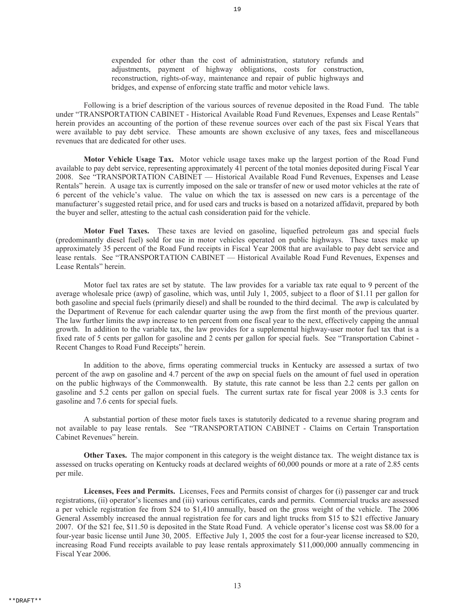expended for other than the cost of administration, statutory refunds and adjustments, payment of highway obligations, costs for construction, reconstruction, rights-of-way, maintenance and repair of public highways and bridges, and expense of enforcing state traffic and motor vehicle laws.

Following is a brief description of the various sources of revenue deposited in the Road Fund. The table under "TRANSPORTATION CABINET - Historical Available Road Fund Revenues, Expenses and Lease Rentals" herein provides an accounting of the portion of these revenue sources over each of the past six Fiscal Years that were available to pay debt service. These amounts are shown exclusive of any taxes, fees and miscellaneous revenues that are dedicated for other uses.

**Motor Vehicle Usage Tax.** Motor vehicle usage taxes make up the largest portion of the Road Fund available to pay debt service, representing approximately 41 percent of the total monies deposited during Fiscal Year 2008. See "TRANSPORTATION CABINET — Historical Available Road Fund Revenues, Expenses and Lease Rentals" herein. A usage tax is currently imposed on the sale or transfer of new or used motor vehicles at the rate of 6 percent of the vehicle's value. The value on which the tax is assessed on new cars is a percentage of the manufacturer's suggested retail price, and for used cars and trucks is based on a notarized affidavit, prepared by both the buyer and seller, attesting to the actual cash consideration paid for the vehicle.

**Motor Fuel Taxes.** These taxes are levied on gasoline, liquefied petroleum gas and special fuels (predominantly diesel fuel) sold for use in motor vehicles operated on public highways. These taxes make up approximately 35 percent of the Road Fund receipts in Fiscal Year 2008 that are available to pay debt service and lease rentals. See "TRANSPORTATION CABINET — Historical Available Road Fund Revenues, Expenses and Lease Rentals" herein.

Motor fuel tax rates are set by statute. The law provides for a variable tax rate equal to 9 percent of the average wholesale price (awp) of gasoline, which was, until July 1, 2005, subject to a floor of \$1.11 per gallon for both gasoline and special fuels (primarily diesel) and shall be rounded to the third decimal. The awp is calculated by the Department of Revenue for each calendar quarter using the awp from the first month of the previous quarter. The law further limits the awp increase to ten percent from one fiscal year to the next, effectively capping the annual growth. In addition to the variable tax, the law provides for a supplemental highway-user motor fuel tax that is a fixed rate of 5 cents per gallon for gasoline and 2 cents per gallon for special fuels. See "Transportation Cabinet - Recent Changes to Road Fund Receipts" herein.

In addition to the above, firms operating commercial trucks in Kentucky are assessed a surtax of two percent of the awp on gasoline and 4.7 percent of the awp on special fuels on the amount of fuel used in operation on the public highways of the Commonwealth. By statute, this rate cannot be less than 2.2 cents per gallon on gasoline and 5.2 cents per gallon on special fuels. The current surtax rate for fiscal year 2008 is 3.3 cents for gasoline and 7.6 cents for special fuels.

A substantial portion of these motor fuels taxes is statutorily dedicated to a revenue sharing program and not available to pay lease rentals. See "TRANSPORTATION CABINET - Claims on Certain Transportation Cabinet Revenues" herein.

**Other Taxes.** The major component in this category is the weight distance tax. The weight distance tax is assessed on trucks operating on Kentucky roads at declared weights of 60,000 pounds or more at a rate of 2.85 cents per mile.

**Licenses, Fees and Permits.** Licenses, Fees and Permits consist of charges for (i) passenger car and truck registrations, (ii) operator's licenses and (iii) various certificates, cards and permits. Commercial trucks are assessed a per vehicle registration fee from \$24 to \$1,410 annually, based on the gross weight of the vehicle. The 2006 General Assembly increased the annual registration fee for cars and light trucks from \$15 to \$21 effective January 2007. Of the \$21 fee, \$11.50 is deposited in the State Road Fund. A vehicle operator's license cost was \$8.00 for a four-year basic license until June 30, 2005. Effective July 1, 2005 the cost for a four-year license increased to \$20, increasing Road Fund receipts available to pay lease rentals approximately \$11,000,000 annually commencing in Fiscal Year 2006.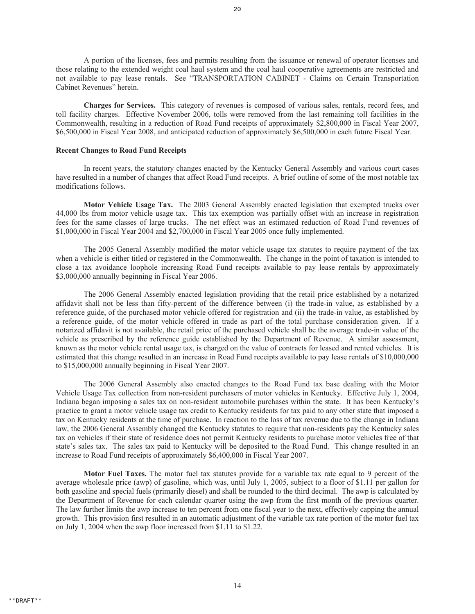A portion of the licenses, fees and permits resulting from the issuance or renewal of operator licenses and those relating to the extended weight coal haul system and the coal haul cooperative agreements are restricted and not available to pay lease rentals. See "TRANSPORTATION CABINET - Claims on Certain Transportation Cabinet Revenues" herein.

**Charges for Services.** This category of revenues is composed of various sales, rentals, record fees, and toll facility charges. Effective November 2006, tolls were removed from the last remaining toll facilities in the Commonwealth, resulting in a reduction of Road Fund receipts of approximately \$2,800,000 in Fiscal Year 2007, \$6,500,000 in Fiscal Year 2008, and anticipated reduction of approximately \$6,500,000 in each future Fiscal Year.

# **Recent Changes to Road Fund Receipts**

In recent years, the statutory changes enacted by the Kentucky General Assembly and various court cases have resulted in a number of changes that affect Road Fund receipts. A brief outline of some of the most notable tax modifications follows.

**Motor Vehicle Usage Tax.** The 2003 General Assembly enacted legislation that exempted trucks over 44,000 lbs from motor vehicle usage tax. This tax exemption was partially offset with an increase in registration fees for the same classes of large trucks. The net effect was an estimated reduction of Road Fund revenues of \$1,000,000 in Fiscal Year 2004 and \$2,700,000 in Fiscal Year 2005 once fully implemented.

The 2005 General Assembly modified the motor vehicle usage tax statutes to require payment of the tax when a vehicle is either titled or registered in the Commonwealth. The change in the point of taxation is intended to close a tax avoidance loophole increasing Road Fund receipts available to pay lease rentals by approximately \$3,000,000 annually beginning in Fiscal Year 2006.

The 2006 General Assembly enacted legislation providing that the retail price established by a notarized affidavit shall not be less than fifty-percent of the difference between (i) the trade-in value, as established by a reference guide, of the purchased motor vehicle offered for registration and (ii) the trade-in value, as established by a reference guide, of the motor vehicle offered in trade as part of the total purchase consideration given. If a notarized affidavit is not available, the retail price of the purchased vehicle shall be the average trade-in value of the vehicle as prescribed by the reference guide established by the Department of Revenue. A similar assessment, known as the motor vehicle rental usage tax, is charged on the value of contracts for leased and rented vehicles. It is estimated that this change resulted in an increase in Road Fund receipts available to pay lease rentals of \$10,000,000 to \$15,000,000 annually beginning in Fiscal Year 2007.

The 2006 General Assembly also enacted changes to the Road Fund tax base dealing with the Motor Vehicle Usage Tax collection from non-resident purchasers of motor vehicles in Kentucky. Effective July 1, 2004, Indiana began imposing a sales tax on non-resident automobile purchases within the state. It has been Kentucky's practice to grant a motor vehicle usage tax credit to Kentucky residents for tax paid to any other state that imposed a tax on Kentucky residents at the time of purchase. In reaction to the loss of tax revenue due to the change in Indiana law, the 2006 General Assembly changed the Kentucky statutes to require that non-residents pay the Kentucky sales tax on vehicles if their state of residence does not permit Kentucky residents to purchase motor vehicles free of that state's sales tax. The sales tax paid to Kentucky will be deposited to the Road Fund. This change resulted in an increase to Road Fund receipts of approximately \$6,400,000 in Fiscal Year 2007.

**Motor Fuel Taxes.** The motor fuel tax statutes provide for a variable tax rate equal to 9 percent of the average wholesale price (awp) of gasoline, which was, until July 1, 2005, subject to a floor of \$1.11 per gallon for both gasoline and special fuels (primarily diesel) and shall be rounded to the third decimal. The awp is calculated by the Department of Revenue for each calendar quarter using the awp from the first month of the previous quarter. The law further limits the awp increase to ten percent from one fiscal year to the next, effectively capping the annual growth. This provision first resulted in an automatic adjustment of the variable tax rate portion of the motor fuel tax on July 1, 2004 when the awp floor increased from \$1.11 to \$1.22.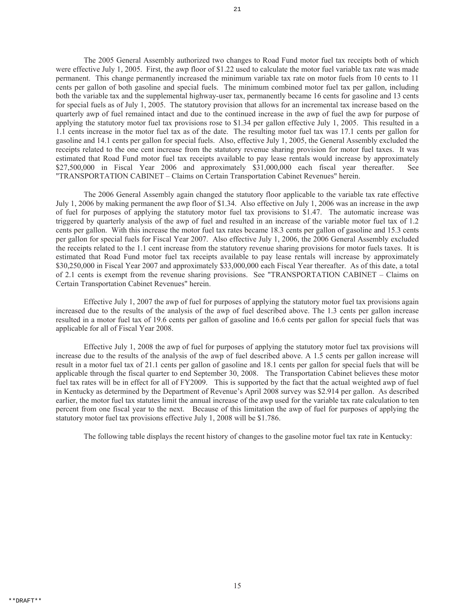The 2005 General Assembly authorized two changes to Road Fund motor fuel tax receipts both of which were effective July 1, 2005. First, the awp floor of \$1.22 used to calculate the motor fuel variable tax rate was made permanent. This change permanently increased the minimum variable tax rate on motor fuels from 10 cents to 11 cents per gallon of both gasoline and special fuels. The minimum combined motor fuel tax per gallon, including both the variable tax and the supplemental highway-user tax, permanently became 16 cents for gasoline and 13 cents for special fuels as of July 1, 2005. The statutory provision that allows for an incremental tax increase based on the quarterly awp of fuel remained intact and due to the continued increase in the awp of fuel the awp for purpose of applying the statutory motor fuel tax provisions rose to \$1.34 per gallon effective July 1, 2005. This resulted in a 1.1 cents increase in the motor fuel tax as of the date. The resulting motor fuel tax was 17.1 cents per gallon for gasoline and 14.1 cents per gallon for special fuels. Also, effective July 1, 2005, the General Assembly excluded the receipts related to the one cent increase from the statutory revenue sharing provision for motor fuel taxes. It was estimated that Road Fund motor fuel tax receipts available to pay lease rentals would increase by approximately \$27,500,000 in Fiscal Year 2006 and approximately \$31,000,000 each fiscal year thereafter. See "TRANSPORTATION CABINET – Claims on Certain Transportation Cabinet Revenues" herein.

The 2006 General Assembly again changed the statutory floor applicable to the variable tax rate effective July 1, 2006 by making permanent the awp floor of \$1.34. Also effective on July 1, 2006 was an increase in the awp of fuel for purposes of applying the statutory motor fuel tax provisions to \$1.47. The automatic increase was triggered by quarterly analysis of the awp of fuel and resulted in an increase of the variable motor fuel tax of 1.2 cents per gallon. With this increase the motor fuel tax rates became 18.3 cents per gallon of gasoline and 15.3 cents per gallon for special fuels for Fiscal Year 2007. Also effective July 1, 2006, the 2006 General Assembly excluded the receipts related to the 1.1 cent increase from the statutory revenue sharing provisions for motor fuels taxes. It is estimated that Road Fund motor fuel tax receipts available to pay lease rentals will increase by approximately \$30,250,000 in Fiscal Year 2007 and approximately \$33,000,000 each Fiscal Year thereafter. As of this date, a total of 2.1 cents is exempt from the revenue sharing provisions. See "TRANSPORTATION CABINET – Claims on Certain Transportation Cabinet Revenues" herein.

Effective July 1, 2007 the awp of fuel for purposes of applying the statutory motor fuel tax provisions again increased due to the results of the analysis of the awp of fuel described above. The 1.3 cents per gallon increase resulted in a motor fuel tax of 19.6 cents per gallon of gasoline and 16.6 cents per gallon for special fuels that was applicable for all of Fiscal Year 2008.

Effective July 1, 2008 the awp of fuel for purposes of applying the statutory motor fuel tax provisions will increase due to the results of the analysis of the awp of fuel described above. A 1.5 cents per gallon increase will result in a motor fuel tax of 21.1 cents per gallon of gasoline and 18.1 cents per gallon for special fuels that will be applicable through the fiscal quarter to end September 30, 2008. The Transportation Cabinet believes these motor fuel tax rates will be in effect for all of FY2009. This is supported by the fact that the actual weighted awp of fuel in Kentucky as determined by the Department of Revenue's April 2008 survey was \$2.914 per gallon. As described earlier, the motor fuel tax statutes limit the annual increase of the awp used for the variable tax rate calculation to ten percent from one fiscal year to the next. Because of this limitation the awp of fuel for purposes of applying the statutory motor fuel tax provisions effective July 1, 2008 will be \$1.786.

The following table displays the recent history of changes to the gasoline motor fuel tax rate in Kentucky: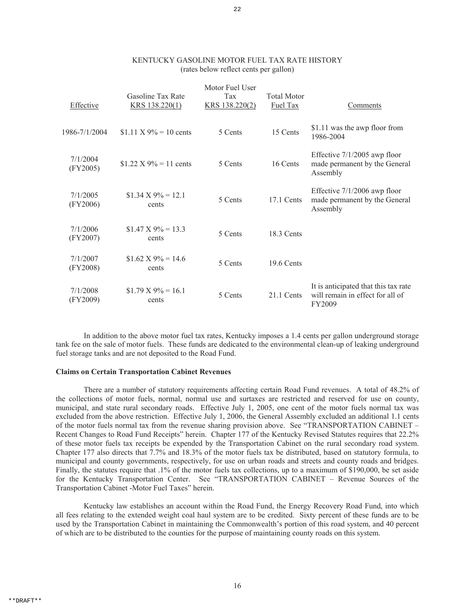| Effective            | Gasoline Tax Rate<br>KRS 138.220(1)    | Motor Fuel User<br>Tax<br>KRS 138.220(2) | <b>Total Motor</b><br>Fuel Tax | Comments                                                                           |
|----------------------|----------------------------------------|------------------------------------------|--------------------------------|------------------------------------------------------------------------------------|
| 1986-7/1/2004        | \$1.11 X $9\% = 10$ cents              | 5 Cents                                  | 15 Cents                       | \$1.11 was the awp floor from<br>1986-2004                                         |
| 7/1/2004<br>(FY2005) | \$1.22 X $9\% = 11$ cents              | 5 Cents                                  | 16 Cents                       | Effective $7/1/2005$ awp floor<br>made permanent by the General<br>Assembly        |
| 7/1/2005<br>(FY2006) | $$1.34 \text{ X } 9\% = 12.1$<br>cents | 5 Cents                                  | 17.1 Cents                     | Effective 7/1/2006 awp floor<br>made permanent by the General<br>Assembly          |
| 7/1/2006<br>(FY2007) | $$1.47 \text{ X } 9\% = 13.3$<br>cents | 5 Cents                                  | 18.3 Cents                     |                                                                                    |
| 7/1/2007<br>(FY2008) | \$1.62 $X$ 9% = 14.6<br>cents          | 5 Cents                                  | 19.6 Cents                     |                                                                                    |
| 7/1/2008<br>(FY2009) | $$1.79 \text{ X } 9\% = 16.1$<br>cents | 5 Cents                                  | 21.1 Cents                     | It is anticipated that this tax rate<br>will remain in effect for all of<br>FY2009 |

# KENTUCKY GASOLINE MOTOR FUEL TAX RATE HISTORY (rates below reflect cents per gallon)

In addition to the above motor fuel tax rates, Kentucky imposes a 1.4 cents per gallon underground storage tank fee on the sale of motor fuels. These funds are dedicated to the environmental clean-up of leaking underground fuel storage tanks and are not deposited to the Road Fund.

# **Claims on Certain Transportation Cabinet Revenues**

There are a number of statutory requirements affecting certain Road Fund revenues. A total of 48.2% of the collections of motor fuels, normal, normal use and surtaxes are restricted and reserved for use on county, municipal, and state rural secondary roads. Effective July 1, 2005, one cent of the motor fuels normal tax was excluded from the above restriction. Effective July 1, 2006, the General Assembly excluded an additional 1.1 cents of the motor fuels normal tax from the revenue sharing provision above. See "TRANSPORTATION CABINET – Recent Changes to Road Fund Receipts" herein. Chapter 177 of the Kentucky Revised Statutes requires that 22.2% of these motor fuels tax receipts be expended by the Transportation Cabinet on the rural secondary road system. Chapter 177 also directs that 7.7% and 18.3% of the motor fuels tax be distributed, based on statutory formula, to municipal and county governments, respectively, for use on urban roads and streets and county roads and bridges. Finally, the statutes require that .1% of the motor fuels tax collections, up to a maximum of \$190,000, be set aside for the Kentucky Transportation Center. See "TRANSPORTATION CABINET – Revenue Sources of the Transportation Cabinet -Motor Fuel Taxes" herein.

Kentucky law establishes an account within the Road Fund, the Energy Recovery Road Fund, into which all fees relating to the extended weight coal haul system are to be credited. Sixty percent of these funds are to be used by the Transportation Cabinet in maintaining the Commonwealth's portion of this road system, and 40 percent of which are to be distributed to the counties for the purpose of maintaining county roads on this system.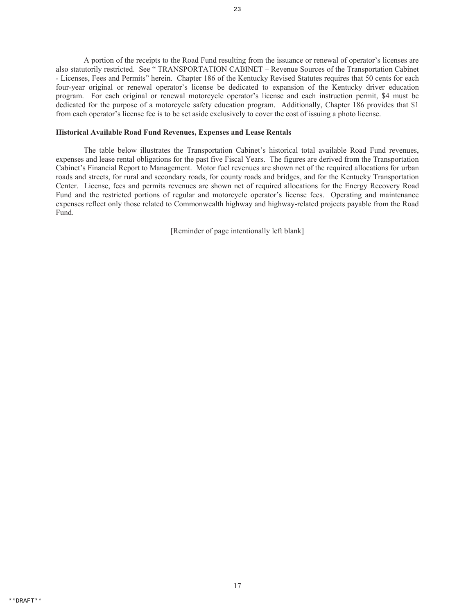# **Historical Available Road Fund Revenues, Expenses and Lease Rentals**

The table below illustrates the Transportation Cabinet's historical total available Road Fund revenues, expenses and lease rental obligations for the past five Fiscal Years. The figures are derived from the Transportation Cabinet's Financial Report to Management. Motor fuel revenues are shown net of the required allocations for urban roads and streets, for rural and secondary roads, for county roads and bridges, and for the Kentucky Transportation Center. License, fees and permits revenues are shown net of required allocations for the Energy Recovery Road Fund and the restricted portions of regular and motorcycle operator's license fees. Operating and maintenance expenses reflect only those related to Commonwealth highway and highway-related projects payable from the Road Fund.

[Reminder of page intentionally left blank]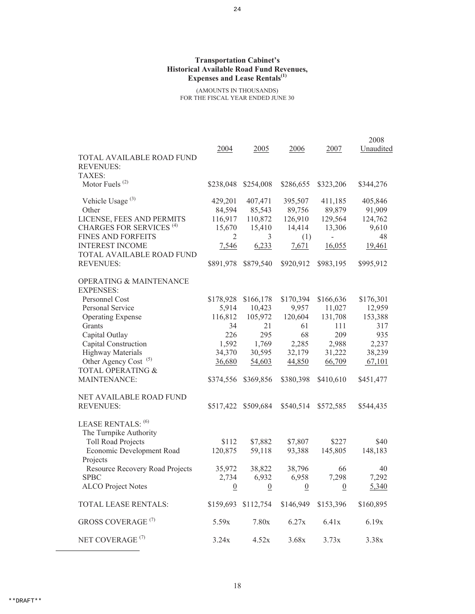# **Transportation Cabinet's Historical Available Road Fund Revenues, Expenses and Lease Rentals**<sup>(1)</sup>

(AMOUNTS IN THOUSANDS) FOR THE FISCAL YEAR ENDED JUNE 30

|                                               | 2004           | <u>2005</u>    | 2006           | 2007           | 2008<br>Unaudited |
|-----------------------------------------------|----------------|----------------|----------------|----------------|-------------------|
| TOTAL AVAILABLE ROAD FUND<br><b>REVENUES:</b> |                |                |                |                |                   |
| TAXES:                                        |                |                |                |                |                   |
| Motor Fuels $^{(2)}$                          | \$238,048      | \$254,008      | \$286,655      | \$323,206      | \$344,276         |
| Vehicle Usage <sup>(3)</sup>                  | 429,201        | 407,471        | 395,507        | 411,185        | 405,846           |
| Other                                         | 84,594         | 85,543         | 89,756         | 89,879         | 91,909            |
| LICENSE, FEES AND PERMITS                     | 116,917        | 110,872        | 126,910        | 129,564        | 124,762           |
| <b>CHARGES FOR SERVICES</b> <sup>(4)</sup>    | 15,670         | 15,410         | 14,414         | 13,306         | 9,610             |
| <b>FINES AND FORFEITS</b>                     | 2              | 3              | (1)            | $\overline{a}$ | 48                |
| <b>INTEREST INCOME</b>                        | 7,546          | 6,233          | 7,671          | 16,055         | 19,461            |
| TOTAL AVAILABLE ROAD FUND                     |                |                |                |                |                   |
| <b>REVENUES:</b>                              | \$891,978      | \$879,540      | \$920,912      | \$983,195      | \$995,912         |
| OPERATING & MAINTENANCE                       |                |                |                |                |                   |
| <b>EXPENSES:</b>                              |                |                |                |                |                   |
| Personnel Cost                                | \$178,928      | \$166,178      | \$170,394      | \$166,636      | \$176,301         |
| Personal Service                              | 5,914          | 10,423         | 9,957          | 11,027         | 12,959            |
| <b>Operating Expense</b>                      | 116,812        | 105,972        | 120,604        | 131,708        | 153,388           |
| Grants                                        | 34             | 21             | 61             | 111            | 317               |
| Capital Outlay                                | 226            | 295            | 68             | 209            | 935               |
| Capital Construction                          | 1,592          | 1,769          | 2,285          | 2,988          | 2,237             |
| <b>Highway Materials</b>                      | 34,370         | 30,595         | 32,179         | 31,222         | 38,239            |
| Other Agency Cost <sup>(5)</sup>              | 36,680         | 54,603         | 44,850         | 66,709         | 67,101            |
| TOTAL OPERATING &                             |                |                |                |                |                   |
| <b>MAINTENANCE:</b>                           | \$374,556      | \$369,856      | \$380,398      | \$410,610      | \$451,477         |
| NET AVAILABLE ROAD FUND                       |                |                |                |                |                   |
| <b>REVENUES:</b>                              | \$517,422      | \$509,684      | \$540,514      | \$572,585      | \$544,435         |
| LEASE RENTALS: (6)                            |                |                |                |                |                   |
| The Turnpike Authority                        |                |                |                |                |                   |
| <b>Toll Road Projects</b>                     | \$112          | \$7,882        | \$7,807        | \$227          | \$40              |
| Economic Development Road                     | 120,875        | 59,118         | 93,388         | 145,805        | 148,183           |
| Projects                                      |                |                |                |                |                   |
| Resource Recovery Road Projects               | 35,972         | 38,822         | 38,796         | 66             | 40                |
| <b>SPBC</b>                                   | 2,734          | 6,932          | 6,958          | 7,298          | 7,292             |
| <b>ALCO</b> Project Notes                     | $\overline{0}$ | $\overline{0}$ | $\overline{0}$ | $\overline{0}$ | 5,340             |
| TOTAL LEASE RENTALS:                          | \$159,693      | \$112,754      | \$146,949      | \$153,396      | \$160,895         |
| <b>GROSS COVERAGE (7)</b>                     | 5.59x          | 7.80x          | 6.27x          | 6.41x          | 6.19x             |
| NET COVERAGE <sup>(7)</sup>                   | 3.24x          | 4.52x          | 3.68x          | 3.73x          | 3.38x             |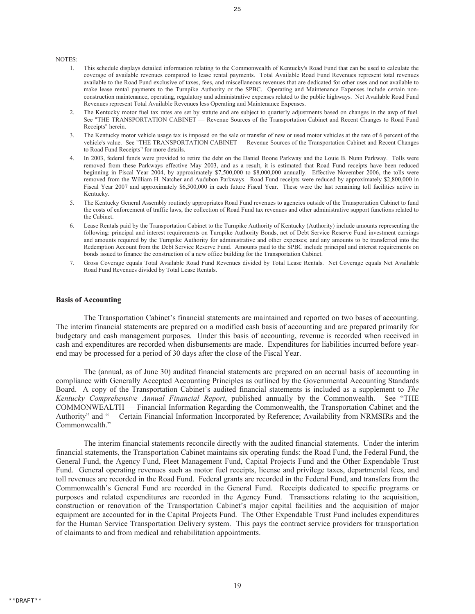#### NOTES:

- 1. This schedule displays detailed information relating to the Commonwealth of Kentucky's Road Fund that can be used to calculate the coverage of available revenues compared to lease rental payments. Total Available Road Fund Revenues represent total revenues available to the Road Fund exclusive of taxes, fees, and miscellaneous revenues that are dedicated for other uses and not available to make lease rental payments to the Turnpike Authority or the SPBC. Operating and Maintenance Expenses include certain nonconstruction maintenance, operating, regulatory and administrative expenses related to the public highways. Net Available Road Fund Revenues represent Total Available Revenues less Operating and Maintenance Expenses.
- 2. The Kentucky motor fuel tax rates are set by statute and are subject to quarterly adjustments based on changes in the awp of fuel. See "THE TRANSPORTATION CABINET — Revenue Sources of the Transportation Cabinet and Recent Changes to Road Fund Receipts" herein.
- 3. The Kentucky motor vehicle usage tax is imposed on the sale or transfer of new or used motor vehicles at the rate of 6 percent of the vehicle's value. See "THE TRANSPORTATION CABINET — Revenue Sources of the Transportation Cabinet and Recent Changes to Road Fund Receipts" for more details.
- 4. In 2003, federal funds were provided to retire the debt on the Daniel Boone Parkway and the Louie B. Nunn Parkway. Tolls were removed from these Parkways effective May 2003, and as a result, it is estimated that Road Fund receipts have been reduced beginning in Fiscal Year 2004, by approximately \$7,500,000 to \$8,000,000 annually. Effective November 2006, the tolls were removed from the William H. Natcher and Audubon Parkways. Road Fund receipts were reduced by approximately \$2,800,000 in Fiscal Year 2007 and approximately \$6,500,000 in each future Fiscal Year. These were the last remaining toll facilities active in Kentucky.
- 5. The Kentucky General Assembly routinely appropriates Road Fund revenues to agencies outside of the Transportation Cabinet to fund the costs of enforcement of traffic laws, the collection of Road Fund tax revenues and other administrative support functions related to the Cabinet.
- 6. Lease Rentals paid by the Transportation Cabinet to the Turnpike Authority of Kentucky (Authority) include amounts representing the following: principal and interest requirements on Turnpike Authority Bonds, net of Debt Service Reserve Fund investment earnings and amounts required by the Turnpike Authority for administrative and other expenses; and any amounts to be transferred into the Redemption Account from the Debt Service Reserve Fund. Amounts paid to the SPBC include principal and interest requirements on bonds issued to finance the construction of a new office building for the Transportation Cabinet.
- 7. Gross Coverage equals Total Available Road Fund Revenues divided by Total Lease Rentals. Net Coverage equals Net Available Road Fund Revenues divided by Total Lease Rentals.

#### **Basis of Accounting**

The Transportation Cabinet's financial statements are maintained and reported on two bases of accounting. The interim financial statements are prepared on a modified cash basis of accounting and are prepared primarily for budgetary and cash management purposes. Under this basis of accounting, revenue is recorded when received in cash and expenditures are recorded when disbursements are made. Expenditures for liabilities incurred before yearend may be processed for a period of 30 days after the close of the Fiscal Year.

The (annual, as of June 30) audited financial statements are prepared on an accrual basis of accounting in compliance with Generally Accepted Accounting Principles as outlined by the Governmental Accounting Standards Board. A copy of the Transportation Cabinet's audited financial statements is included as a supplement to *The Kentucky Comprehensive Annual Financial Report*, published annually by the Commonwealth. See "THE COMMONWEALTH — Financial Information Regarding the Commonwealth, the Transportation Cabinet and the Authority" and "— Certain Financial Information Incorporated by Reference; Availability from NRMSIRs and the Commonwealth."

The interim financial statements reconcile directly with the audited financial statements. Under the interim financial statements, the Transportation Cabinet maintains six operating funds: the Road Fund, the Federal Fund, the General Fund, the Agency Fund, Fleet Management Fund, Capital Projects Fund and the Other Expendable Trust Fund. General operating revenues such as motor fuel receipts, license and privilege taxes, departmental fees, and toll revenues are recorded in the Road Fund. Federal grants are recorded in the Federal Fund, and transfers from the Commonwealth's General Fund are recorded in the General Fund. Receipts dedicated to specific programs or purposes and related expenditures are recorded in the Agency Fund. Transactions relating to the acquisition, construction or renovation of the Transportation Cabinet's major capital facilities and the acquisition of major equipment are accounted for in the Capital Projects Fund. The Other Expendable Trust Fund includes expenditures for the Human Service Transportation Delivery system. This pays the contract service providers for transportation of claimants to and from medical and rehabilitation appointments.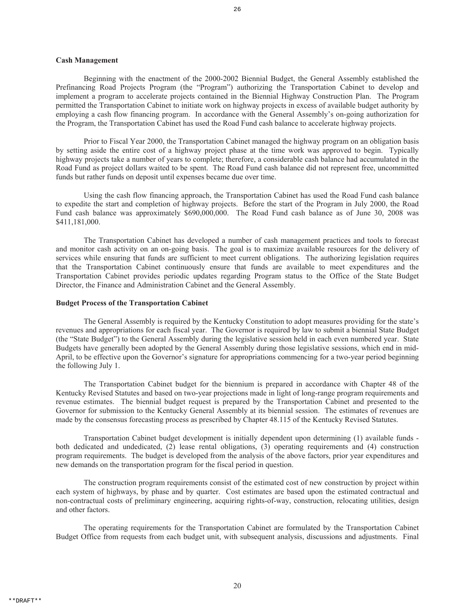#### 26

#### **Cash Management**

Beginning with the enactment of the 2000-2002 Biennial Budget, the General Assembly established the Prefinancing Road Projects Program (the "Program") authorizing the Transportation Cabinet to develop and implement a program to accelerate projects contained in the Biennial Highway Construction Plan. The Program permitted the Transportation Cabinet to initiate work on highway projects in excess of available budget authority by employing a cash flow financing program. In accordance with the General Assembly's on-going authorization for the Program, the Transportation Cabinet has used the Road Fund cash balance to accelerate highway projects.

Prior to Fiscal Year 2000, the Transportation Cabinet managed the highway program on an obligation basis by setting aside the entire cost of a highway project phase at the time work was approved to begin. Typically highway projects take a number of years to complete; therefore, a considerable cash balance had accumulated in the Road Fund as project dollars waited to be spent. The Road Fund cash balance did not represent free, uncommitted funds but rather funds on deposit until expenses became due over time.

Using the cash flow financing approach, the Transportation Cabinet has used the Road Fund cash balance to expedite the start and completion of highway projects. Before the start of the Program in July 2000, the Road Fund cash balance was approximately \$690,000,000. The Road Fund cash balance as of June 30, 2008 was \$411,181,000.

The Transportation Cabinet has developed a number of cash management practices and tools to forecast and monitor cash activity on an on-going basis. The goal is to maximize available resources for the delivery of services while ensuring that funds are sufficient to meet current obligations. The authorizing legislation requires that the Transportation Cabinet continuously ensure that funds are available to meet expenditures and the Transportation Cabinet provides periodic updates regarding Program status to the Office of the State Budget Director, the Finance and Administration Cabinet and the General Assembly.

### **Budget Process of the Transportation Cabinet**

The General Assembly is required by the Kentucky Constitution to adopt measures providing for the state's revenues and appropriations for each fiscal year. The Governor is required by law to submit a biennial State Budget (the "State Budget") to the General Assembly during the legislative session held in each even numbered year. State Budgets have generally been adopted by the General Assembly during those legislative sessions, which end in mid-April, to be effective upon the Governor's signature for appropriations commencing for a two-year period beginning the following July 1.

The Transportation Cabinet budget for the biennium is prepared in accordance with Chapter 48 of the Kentucky Revised Statutes and based on two-year projections made in light of long-range program requirements and revenue estimates. The biennial budget request is prepared by the Transportation Cabinet and presented to the Governor for submission to the Kentucky General Assembly at its biennial session. The estimates of revenues are made by the consensus forecasting process as prescribed by Chapter 48.115 of the Kentucky Revised Statutes.

Transportation Cabinet budget development is initially dependent upon determining (1) available funds both dedicated and undedicated, (2) lease rental obligations, (3) operating requirements and (4) construction program requirements. The budget is developed from the analysis of the above factors, prior year expenditures and new demands on the transportation program for the fiscal period in question.

The construction program requirements consist of the estimated cost of new construction by project within each system of highways, by phase and by quarter. Cost estimates are based upon the estimated contractual and non-contractual costs of preliminary engineering, acquiring rights-of-way, construction, relocating utilities, design and other factors.

The operating requirements for the Transportation Cabinet are formulated by the Transportation Cabinet Budget Office from requests from each budget unit, with subsequent analysis, discussions and adjustments. Final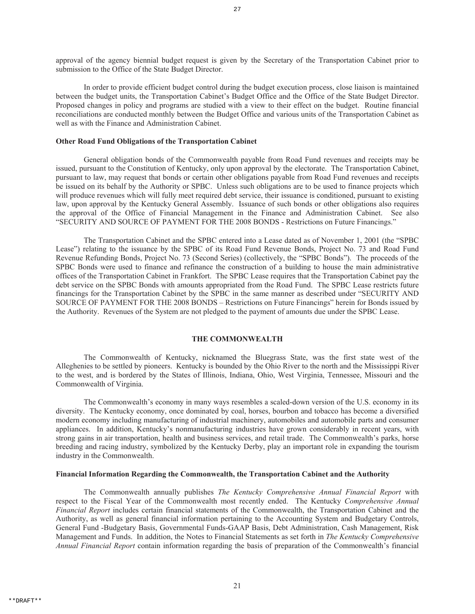In order to provide efficient budget control during the budget execution process, close liaison is maintained between the budget units, the Transportation Cabinet's Budget Office and the Office of the State Budget Director. Proposed changes in policy and programs are studied with a view to their effect on the budget. Routine financial reconciliations are conducted monthly between the Budget Office and various units of the Transportation Cabinet as well as with the Finance and Administration Cabinet.

# **Other Road Fund Obligations of the Transportation Cabinet**

General obligation bonds of the Commonwealth payable from Road Fund revenues and receipts may be issued, pursuant to the Constitution of Kentucky, only upon approval by the electorate. The Transportation Cabinet, pursuant to law, may request that bonds or certain other obligations payable from Road Fund revenues and receipts be issued on its behalf by the Authority or SPBC. Unless such obligations are to be used to finance projects which will produce revenues which will fully meet required debt service, their issuance is conditioned, pursuant to existing law, upon approval by the Kentucky General Assembly. Issuance of such bonds or other obligations also requires the approval of the Office of Financial Management in the Finance and Administration Cabinet. See also "SECURITY AND SOURCE OF PAYMENT FOR THE 2008 BONDS - Restrictions on Future Financings."

The Transportation Cabinet and the SPBC entered into a Lease dated as of November 1, 2001 (the "SPBC Lease") relating to the issuance by the SPBC of its Road Fund Revenue Bonds, Project No. 73 and Road Fund Revenue Refunding Bonds, Project No. 73 (Second Series) (collectively, the "SPBC Bonds"). The proceeds of the SPBC Bonds were used to finance and refinance the construction of a building to house the main administrative offices of the Transportation Cabinet in Frankfort. The SPBC Lease requires that the Transportation Cabinet pay the debt service on the SPBC Bonds with amounts appropriated from the Road Fund. The SPBC Lease restricts future financings for the Transportation Cabinet by the SPBC in the same manner as described under "SECURITY AND SOURCE OF PAYMENT FOR THE 2008 BONDS – Restrictions on Future Financings" herein for Bonds issued by the Authority. Revenues of the System are not pledged to the payment of amounts due under the SPBC Lease.

# **THE COMMONWEALTH**

The Commonwealth of Kentucky, nicknamed the Bluegrass State, was the first state west of the Alleghenies to be settled by pioneers. Kentucky is bounded by the Ohio River to the north and the Mississippi River to the west, and is bordered by the States of Illinois, Indiana, Ohio, West Virginia, Tennessee, Missouri and the Commonwealth of Virginia.

The Commonwealth's economy in many ways resembles a scaled-down version of the U.S. economy in its diversity. The Kentucky economy, once dominated by coal, horses, bourbon and tobacco has become a diversified modern economy including manufacturing of industrial machinery, automobiles and automobile parts and consumer appliances. In addition, Kentucky's nonmanufacturing industries have grown considerably in recent years, with strong gains in air transportation, health and business services, and retail trade. The Commonwealth's parks, horse breeding and racing industry, symbolized by the Kentucky Derby, play an important role in expanding the tourism industry in the Commonwealth.

# **Financial Information Regarding the Commonwealth, the Transportation Cabinet and the Authority**

The Commonwealth annually publishes *The Kentucky Comprehensive Annual Financial Report* with respect to the Fiscal Year of the Commonwealth most recently ended. The Kentucky *Comprehensive Annual Financial Report* includes certain financial statements of the Commonwealth, the Transportation Cabinet and the Authority, as well as general financial information pertaining to the Accounting System and Budgetary Controls, General Fund -Budgetary Basis, Governmental Funds-GAAP Basis, Debt Administration, Cash Management, Risk Management and Funds. In addition, the Notes to Financial Statements as set forth in *The Kentucky Comprehensive Annual Financial Report* contain information regarding the basis of preparation of the Commonwealth's financial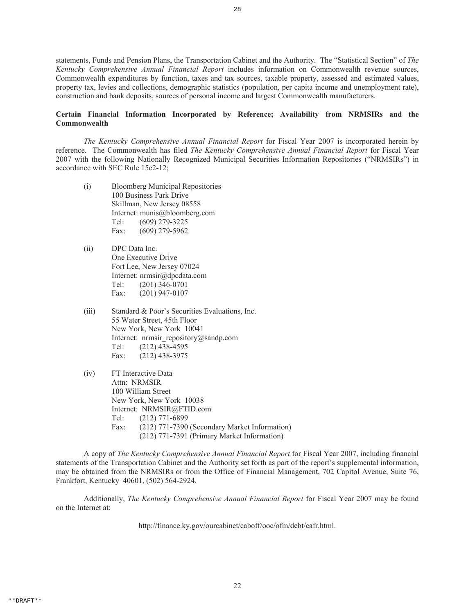statements, Funds and Pension Plans, the Transportation Cabinet and the Authority. The "Statistical Section" of *The Kentucky Comprehensive Annual Financial Report* includes information on Commonwealth revenue sources, Commonwealth expenditures by function, taxes and tax sources, taxable property, assessed and estimated values, property tax, levies and collections, demographic statistics (population, per capita income and unemployment rate), construction and bank deposits, sources of personal income and largest Commonwealth manufacturers.

# **Certain Financial Information Incorporated by Reference; Availability from NRMSIRs and the Commonwealth**

*The Kentucky Comprehensive Annual Financial Report* for Fiscal Year 2007 is incorporated herein by reference. The Commonwealth has filed *The Kentucky Comprehensive Annual Financial Report* for Fiscal Year 2007 with the following Nationally Recognized Municipal Securities Information Repositories ("NRMSIRs") in accordance with SEC Rule 15c2-12;

- (i) Bloomberg Municipal Repositories 100 Business Park Drive Skillman, New Jersey 08558 Internet: munis@bloomberg.com Tel: (609) 279-3225 Fax: (609) 279-5962
- (ii) DPC Data Inc. One Executive Drive Fort Lee, New Jersey 07024 Internet: nrmsir@dpcdata.com Tel: (201) 346-0701 Fax: (201) 947-0107
- (iii) Standard & Poor's Securities Evaluations, Inc. 55 Water Street, 45th Floor New York, New York 10041 Internet: nrmsir\_repository@sandp.com Tel: (212) 438-4595 Fax: (212) 438-3975
- (iv) FT Interactive Data Attn: NRMSIR 100 William Street New York, New York 10038 Internet: NRMSIR@FTID.com Tel: (212) 771-6899 Fax: (212) 771-7390 (Secondary Market Information) (212) 771-7391 (Primary Market Information)

A copy of *The Kentucky Comprehensive Annual Financial Report* for Fiscal Year 2007, including financial statements of the Transportation Cabinet and the Authority set forth as part of the report's supplemental information, may be obtained from the NRMSIRs or from the Office of Financial Management, 702 Capitol Avenue, Suite 76, Frankfort, Kentucky 40601, (502) 564-2924.

Additionally, *The Kentucky Comprehensive Annual Financial Report* for Fiscal Year 2007 may be found on the Internet at:

http://finance.ky.gov/ourcabinet/caboff/ooc/ofm/debt/cafr.html.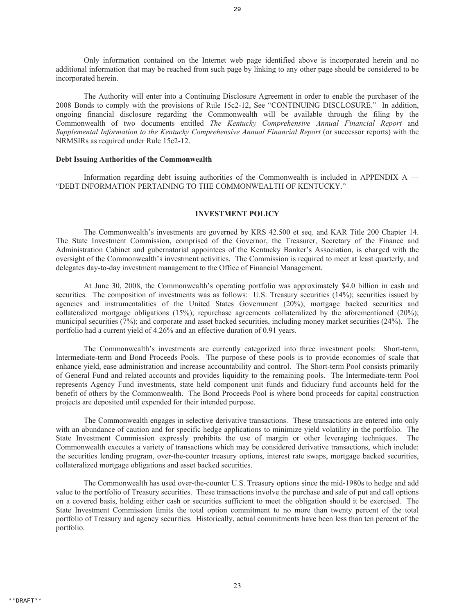Only information contained on the Internet web page identified above is incorporated herein and no additional information that may be reached from such page by linking to any other page should be considered to be incorporated herein.

The Authority will enter into a Continuing Disclosure Agreement in order to enable the purchaser of the 2008 Bonds to comply with the provisions of Rule 15c2-12, See "CONTINUING DISCLOSURE." In addition, ongoing financial disclosure regarding the Commonwealth will be available through the filing by the Commonwealth of two documents entitled *The Kentucky Comprehensive Annual Financial Report* and *Supplemental Information to the Kentucky Comprehensive Annual Financial Report* (or successor reports) with the NRMSIRs as required under Rule 15c2-12.

#### **Debt Issuing Authorities of the Commonwealth**

Information regarding debt issuing authorities of the Commonwealth is included in APPENDIX A — "DEBT INFORMATION PERTAINING TO THE COMMONWEALTH OF KENTUCKY."

# **INVESTMENT POLICY**

The Commonwealth's investments are governed by KRS 42.500 et seq. and KAR Title 200 Chapter 14. The State Investment Commission, comprised of the Governor, the Treasurer, Secretary of the Finance and Administration Cabinet and gubernatorial appointees of the Kentucky Banker's Association, is charged with the oversight of the Commonwealth's investment activities. The Commission is required to meet at least quarterly, and delegates day-to-day investment management to the Office of Financial Management.

At June 30, 2008, the Commonwealth's operating portfolio was approximately \$4.0 billion in cash and securities. The composition of investments was as follows: U.S. Treasury securities (14%); securities issued by agencies and instrumentalities of the United States Government (20%); mortgage backed securities and collateralized mortgage obligations (15%); repurchase agreements collateralized by the aforementioned (20%); municipal securities (7%); and corporate and asset backed securities, including money market securities (24%). The portfolio had a current yield of 4.26% and an effective duration of 0.91 years.

The Commonwealth's investments are currently categorized into three investment pools: Short-term, Intermediate-term and Bond Proceeds Pools. The purpose of these pools is to provide economies of scale that enhance yield, ease administration and increase accountability and control. The Short-term Pool consists primarily of General Fund and related accounts and provides liquidity to the remaining pools. The Intermediate-term Pool represents Agency Fund investments, state held component unit funds and fiduciary fund accounts held for the benefit of others by the Commonwealth. The Bond Proceeds Pool is where bond proceeds for capital construction projects are deposited until expended for their intended purpose.

The Commonwealth engages in selective derivative transactions. These transactions are entered into only with an abundance of caution and for specific hedge applications to minimize yield volatility in the portfolio. The State Investment Commission expressly prohibits the use of margin or other leveraging techniques. The Commonwealth executes a variety of transactions which may be considered derivative transactions, which include: the securities lending program, over-the-counter treasury options, interest rate swaps, mortgage backed securities, collateralized mortgage obligations and asset backed securities.

The Commonwealth has used over-the-counter U.S. Treasury options since the mid-1980s to hedge and add value to the portfolio of Treasury securities. These transactions involve the purchase and sale of put and call options on a covered basis, holding either cash or securities sufficient to meet the obligation should it be exercised. The State Investment Commission limits the total option commitment to no more than twenty percent of the total portfolio of Treasury and agency securities. Historically, actual commitments have been less than ten percent of the portfolio.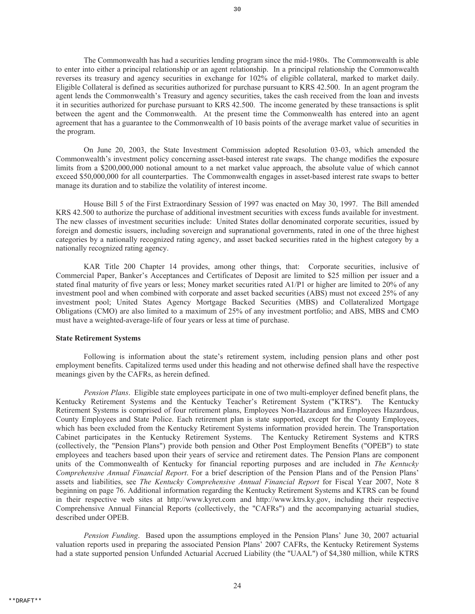The Commonwealth has had a securities lending program since the mid-1980s. The Commonwealth is able to enter into either a principal relationship or an agent relationship. In a principal relationship the Commonwealth reverses its treasury and agency securities in exchange for 102% of eligible collateral, marked to market daily. Eligible Collateral is defined as securities authorized for purchase pursuant to KRS 42.500. In an agent program the agent lends the Commonwealth's Treasury and agency securities, takes the cash received from the loan and invests it in securities authorized for purchase pursuant to KRS 42.500. The income generated by these transactions is split between the agent and the Commonwealth. At the present time the Commonwealth has entered into an agent agreement that has a guarantee to the Commonwealth of 10 basis points of the average market value of securities in the program.

On June 20, 2003, the State Investment Commission adopted Resolution 03-03, which amended the Commonwealth's investment policy concerning asset-based interest rate swaps. The change modifies the exposure limits from a \$200,000,000 notional amount to a net market value approach, the absolute value of which cannot exceed \$50,000,000 for all counterparties. The Commonwealth engages in asset-based interest rate swaps to better manage its duration and to stabilize the volatility of interest income.

House Bill 5 of the First Extraordinary Session of 1997 was enacted on May 30, 1997. The Bill amended KRS 42.500 to authorize the purchase of additional investment securities with excess funds available for investment. The new classes of investment securities include: United States dollar denominated corporate securities, issued by foreign and domestic issuers, including sovereign and supranational governments, rated in one of the three highest categories by a nationally recognized rating agency, and asset backed securities rated in the highest category by a nationally recognized rating agency.

KAR Title 200 Chapter 14 provides, among other things, that: Corporate securities, inclusive of Commercial Paper, Banker's Acceptances and Certificates of Deposit are limited to \$25 million per issuer and a stated final maturity of five years or less; Money market securities rated A1/P1 or higher are limited to 20% of any investment pool and when combined with corporate and asset backed securities (ABS) must not exceed 25% of any investment pool; United States Agency Mortgage Backed Securities (MBS) and Collateralized Mortgage Obligations (CMO) are also limited to a maximum of 25% of any investment portfolio; and ABS, MBS and CMO must have a weighted-average-life of four years or less at time of purchase.

# **State Retirement Systems**

Following is information about the state's retirement system, including pension plans and other post employment benefits. Capitalized terms used under this heading and not otherwise defined shall have the respective meanings given by the CAFRs, as herein defined.

*Pension Plans*. Eligible state employees participate in one of two multi-employer defined benefit plans, the ventucky Teacher's Retirement System ("KTRS"). The Kentucky Kentucky Retirement Systems and the Kentucky Teacher's Retirement System ("KTRS"). Retirement Systems is comprised of four retirement plans, Employees Non-Hazardous and Employees Hazardous, County Employees and State Police. Each retirement plan is state supported, except for the County Employees, which has been excluded from the Kentucky Retirement Systems information provided herein. The Transportation Cabinet participates in the Kentucky Retirement Systems. The Kentucky Retirement Systems and KTRS (collectively, the "Pension Plans") provide both pension and Other Post Employment Benefits ("OPEB") to state employees and teachers based upon their years of service and retirement dates. The Pension Plans are component units of the Commonwealth of Kentucky for financial reporting purposes and are included in *The Kentucky Comprehensive Annual Financial Report*. For a brief description of the Pension Plans and of the Pension Plans' assets and liabilities, see *The Kentucky Comprehensive Annual Financial Report* for Fiscal Year 2007, Note 8 beginning on page 76. Additional information regarding the Kentucky Retirement Systems and KTRS can be found in their respective web sites at http://www.kyret.com and http://www.ktrs.ky.gov, including their respective Comprehensive Annual Financial Reports (collectively, the "CAFRs") and the accompanying actuarial studies, described under OPEB.

*Pension Funding*. Based upon the assumptions employed in the Pension Plans' June 30, 2007 actuarial valuation reports used in preparing the associated Pension Plans' 2007 CAFRs, the Kentucky Retirement Systems had a state supported pension Unfunded Actuarial Accrued Liability (the "UAAL") of \$4,380 million, while KTRS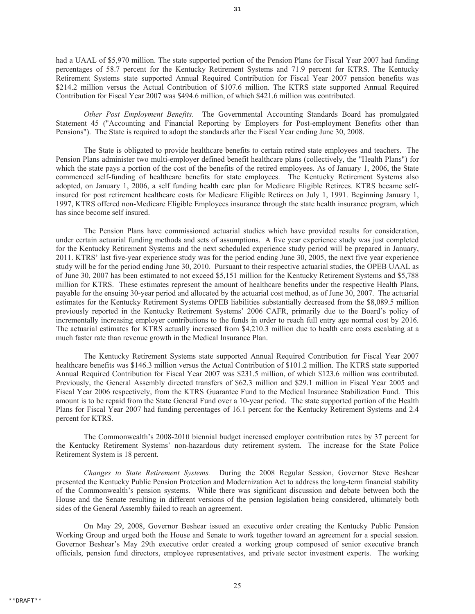had a UAAL of \$5,970 million. The state supported portion of the Pension Plans for Fiscal Year 2007 had funding percentages of 58.7 percent for the Kentucky Retirement Systems and 71.9 percent for KTRS. The Kentucky Retirement Systems state supported Annual Required Contribution for Fiscal Year 2007 pension benefits was \$214.2 million versus the Actual Contribution of \$107.6 million. The KTRS state supported Annual Required Contribution for Fiscal Year 2007 was \$494.6 million, of which \$421.6 million was contributed.

*Other Post Employment Benefits*. The Governmental Accounting Standards Board has promulgated Statement 45 ("Accounting and Financial Reporting by Employers for Post-employment Benefits other than Pensions"). The State is required to adopt the standards after the Fiscal Year ending June 30, 2008.

The State is obligated to provide healthcare benefits to certain retired state employees and teachers. The Pension Plans administer two multi-employer defined benefit healthcare plans (collectively, the "Health Plans") for which the state pays a portion of the cost of the benefits of the retired employees. As of January 1, 2006, the State commenced self-funding of healthcare benefits for state employees. The Kentucky Retirement Systems also adopted, on January 1, 2006, a self funding health care plan for Medicare Eligible Retirees. KTRS became selfinsured for post retirement healthcare costs for Medicare Eligible Retirees on July 1, 1991. Beginning January 1, 1997, KTRS offered non-Medicare Eligible Employees insurance through the state health insurance program, which has since become self insured.

The Pension Plans have commissioned actuarial studies which have provided results for consideration, under certain actuarial funding methods and sets of assumptions. A five year experience study was just completed for the Kentucky Retirement Systems and the next scheduled experience study period will be prepared in January, 2011. KTRS' last five-year experience study was for the period ending June 30, 2005, the next five year experience study will be for the period ending June 30, 2010. Pursuant to their respective actuarial studies, the OPEB UAAL as of June 30, 2007 has been estimated to not exceed \$5,151 million for the Kentucky Retirement Systems and \$5,788 million for KTRS. These estimates represent the amount of healthcare benefits under the respective Health Plans, payable for the ensuing 30-year period and allocated by the actuarial cost method, as of June 30, 2007. The actuarial estimates for the Kentucky Retirement Systems OPEB liabilities substantially decreased from the \$8,089.5 million previously reported in the Kentucky Retirement Systems' 2006 CAFR, primarily due to the Board's policy of incrementally increasing employer contributions to the funds in order to reach full entry age normal cost by 2016. The actuarial estimates for KTRS actually increased from \$4,210.3 million due to health care costs escalating at a much faster rate than revenue growth in the Medical Insurance Plan.

The Kentucky Retirement Systems state supported Annual Required Contribution for Fiscal Year 2007 healthcare benefits was \$146.3 million versus the Actual Contribution of \$101.2 million. The KTRS state supported Annual Required Contribution for Fiscal Year 2007 was \$231.5 million, of which \$123.6 million was contributed. Previously, the General Assembly directed transfers of \$62.3 million and \$29.1 million in Fiscal Year 2005 and Fiscal Year 2006 respectively, from the KTRS Guarantee Fund to the Medical Insurance Stabilization Fund. This amount is to be repaid from the State General Fund over a 10-year period. The state supported portion of the Health Plans for Fiscal Year 2007 had funding percentages of 16.1 percent for the Kentucky Retirement Systems and 2.4 percent for KTRS.

The Commonwealth's 2008-2010 biennial budget increased employer contribution rates by 37 percent for the Kentucky Retirement Systems' non-hazardous duty retirement system. The increase for the State Police Retirement System is 18 percent.

*Changes to State Retirement Systems.* During the 2008 Regular Session, Governor Steve Beshear presented the Kentucky Public Pension Protection and Modernization Act to address the long-term financial stability of the Commonwealth's pension systems. While there was significant discussion and debate between both the House and the Senate resulting in different versions of the pension legislation being considered, ultimately both sides of the General Assembly failed to reach an agreement.

On May 29, 2008, Governor Beshear issued an executive order creating the Kentucky Public Pension Working Group and urged both the House and Senate to work together toward an agreement for a special session. Governor Beshear's May 29th executive order created a working group composed of senior executive branch officials, pension fund directors, employee representatives, and private sector investment experts. The working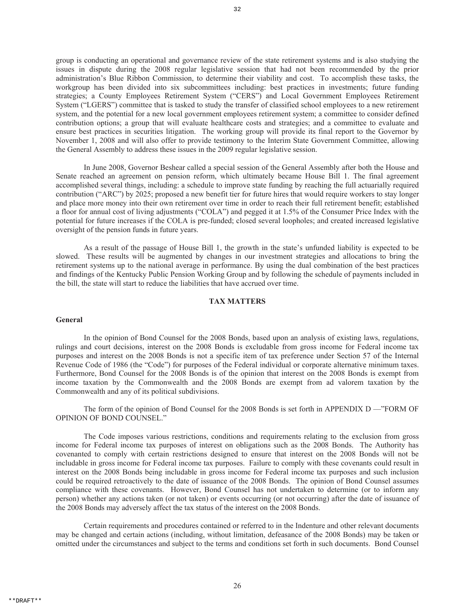group is conducting an operational and governance review of the state retirement systems and is also studying the issues in dispute during the 2008 regular legislative session that had not been recommended by the prior administration's Blue Ribbon Commission, to determine their viability and cost. To accomplish these tasks, the workgroup has been divided into six subcommittees including: best practices in investments; future funding strategies; a County Employees Retirement System ("CERS") and Local Government Employees Retirement System ("LGERS") committee that is tasked to study the transfer of classified school employees to a new retirement system, and the potential for a new local government employees retirement system; a committee to consider defined contribution options; a group that will evaluate healthcare costs and strategies; and a committee to evaluate and ensure best practices in securities litigation. The working group will provide its final report to the Governor by November 1, 2008 and will also offer to provide testimony to the Interim State Government Committee, allowing the General Assembly to address these issues in the 2009 regular legislative session.

In June 2008, Governor Beshear called a special session of the General Assembly after both the House and Senate reached an agreement on pension reform, which ultimately became House Bill 1. The final agreement accomplished several things, including: a schedule to improve state funding by reaching the full actuarially required contribution ("ARC") by 2025; proposed a new benefit tier for future hires that would require workers to stay longer and place more money into their own retirement over time in order to reach their full retirement benefit; established a floor for annual cost of living adjustments ("COLA") and pegged it at 1.5% of the Consumer Price Index with the potential for future increases if the COLA is pre-funded; closed several loopholes; and created increased legislative oversight of the pension funds in future years.

As a result of the passage of House Bill 1, the growth in the state's unfunded liability is expected to be slowed. These results will be augmented by changes in our investment strategies and allocations to bring the retirement systems up to the national average in performance. By using the dual combination of the best practices and findings of the Kentucky Public Pension Working Group and by following the schedule of payments included in the bill, the state will start to reduce the liabilities that have accrued over time.

# **TAX MATTERS**

# **General**

 In the opinion of Bond Counsel for the 2008 Bonds, based upon an analysis of existing laws, regulations, rulings and court decisions, interest on the 2008 Bonds is excludable from gross income for Federal income tax purposes and interest on the 2008 Bonds is not a specific item of tax preference under Section 57 of the Internal Revenue Code of 1986 (the "Code") for purposes of the Federal individual or corporate alternative minimum taxes. Furthermore, Bond Counsel for the 2008 Bonds is of the opinion that interest on the 2008 Bonds is exempt from income taxation by the Commonwealth and the 2008 Bonds are exempt from ad valorem taxation by the Commonwealth and any of its political subdivisions.

The form of the opinion of Bond Counsel for the 2008 Bonds is set forth in APPENDIX D —"FORM OF OPINION OF BOND COUNSEL."

The Code imposes various restrictions, conditions and requirements relating to the exclusion from gross income for Federal income tax purposes of interest on obligations such as the 2008 Bonds. The Authority has covenanted to comply with certain restrictions designed to ensure that interest on the 2008 Bonds will not be includable in gross income for Federal income tax purposes. Failure to comply with these covenants could result in interest on the 2008 Bonds being includable in gross income for Federal income tax purposes and such inclusion could be required retroactively to the date of issuance of the 2008 Bonds. The opinion of Bond Counsel assumes compliance with these covenants. However, Bond Counsel has not undertaken to determine (or to inform any person) whether any actions taken (or not taken) or events occurring (or not occurring) after the date of issuance of the 2008 Bonds may adversely affect the tax status of the interest on the 2008 Bonds.

Certain requirements and procedures contained or referred to in the Indenture and other relevant documents may be changed and certain actions (including, without limitation, defeasance of the 2008 Bonds) may be taken or omitted under the circumstances and subject to the terms and conditions set forth in such documents. Bond Counsel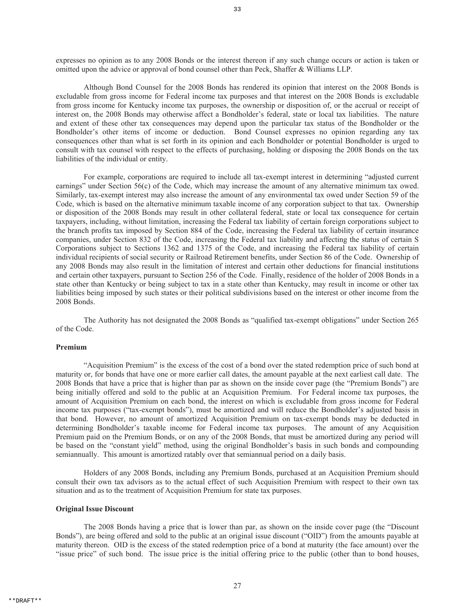Although Bond Counsel for the 2008 Bonds has rendered its opinion that interest on the 2008 Bonds is excludable from gross income for Federal income tax purposes and that interest on the 2008 Bonds is excludable from gross income for Kentucky income tax purposes, the ownership or disposition of, or the accrual or receipt of interest on, the 2008 Bonds may otherwise affect a Bondholder's federal, state or local tax liabilities. The nature and extent of these other tax consequences may depend upon the particular tax status of the Bondholder or the Bondholder's other items of income or deduction. Bond Counsel expresses no opinion regarding any tax consequences other than what is set forth in its opinion and each Bondholder or potential Bondholder is urged to consult with tax counsel with respect to the effects of purchasing, holding or disposing the 2008 Bonds on the tax liabilities of the individual or entity.

For example, corporations are required to include all tax-exempt interest in determining "adjusted current earnings" under Section 56(c) of the Code, which may increase the amount of any alternative minimum tax owed. Similarly, tax-exempt interest may also increase the amount of any environmental tax owed under Section 59 of the Code, which is based on the alternative minimum taxable income of any corporation subject to that tax. Ownership or disposition of the 2008 Bonds may result in other collateral federal, state or local tax consequence for certain taxpayers, including, without limitation, increasing the Federal tax liability of certain foreign corporations subject to the branch profits tax imposed by Section 884 of the Code, increasing the Federal tax liability of certain insurance companies, under Section 832 of the Code, increasing the Federal tax liability and affecting the status of certain S Corporations subject to Sections 1362 and 1375 of the Code, and increasing the Federal tax liability of certain individual recipients of social security or Railroad Retirement benefits, under Section 86 of the Code. Ownership of any 2008 Bonds may also result in the limitation of interest and certain other deductions for financial institutions and certain other taxpayers, pursuant to Section 256 of the Code. Finally, residence of the holder of 2008 Bonds in a state other than Kentucky or being subject to tax in a state other than Kentucky, may result in income or other tax liabilities being imposed by such states or their political subdivisions based on the interest or other income from the 2008 Bonds.

The Authority has not designated the 2008 Bonds as "qualified tax-exempt obligations" under Section 265 of the Code.

# **Premium**

"Acquisition Premium" is the excess of the cost of a bond over the stated redemption price of such bond at maturity or, for bonds that have one or more earlier call dates, the amount payable at the next earliest call date. The 2008 Bonds that have a price that is higher than par as shown on the inside cover page (the "Premium Bonds") are being initially offered and sold to the public at an Acquisition Premium. For Federal income tax purposes, the amount of Acquisition Premium on each bond, the interest on which is excludable from gross income for Federal income tax purposes ("tax-exempt bonds"), must be amortized and will reduce the Bondholder's adjusted basis in that bond. However, no amount of amortized Acquisition Premium on tax-exempt bonds may be deducted in determining Bondholder's taxable income for Federal income tax purposes. The amount of any Acquisition Premium paid on the Premium Bonds, or on any of the 2008 Bonds, that must be amortized during any period will be based on the "constant yield" method, using the original Bondholder's basis in such bonds and compounding semiannually. This amount is amortized ratably over that semiannual period on a daily basis.

Holders of any 2008 Bonds, including any Premium Bonds, purchased at an Acquisition Premium should consult their own tax advisors as to the actual effect of such Acquisition Premium with respect to their own tax situation and as to the treatment of Acquisition Premium for state tax purposes.

# **Original Issue Discount**

27

The 2008 Bonds having a price that is lower than par, as shown on the inside cover page (the "Discount Bonds"), are being offered and sold to the public at an original issue discount ("OID") from the amounts payable at maturity thereon. OID is the excess of the stated redemption price of a bond at maturity (the face amount) over the "issue price" of such bond. The issue price is the initial offering price to the public (other than to bond houses,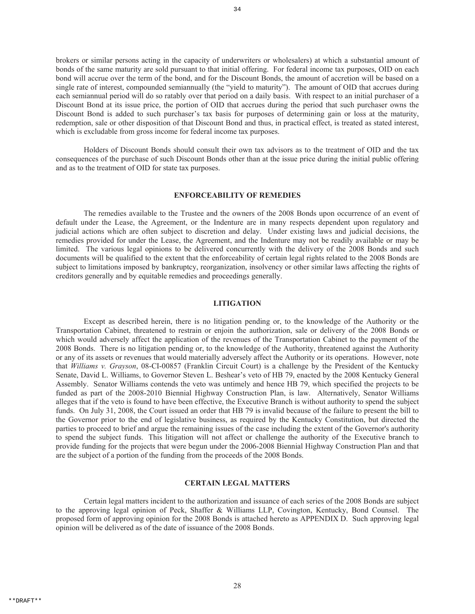brokers or similar persons acting in the capacity of underwriters or wholesalers) at which a substantial amount of bonds of the same maturity are sold pursuant to that initial offering. For federal income tax purposes, OID on each bond will accrue over the term of the bond, and for the Discount Bonds, the amount of accretion will be based on a single rate of interest, compounded semiannually (the "yield to maturity"). The amount of OID that accrues during each semiannual period will do so ratably over that period on a daily basis. With respect to an initial purchaser of a Discount Bond at its issue price, the portion of OID that accrues during the period that such purchaser owns the Discount Bond is added to such purchaser's tax basis for purposes of determining gain or loss at the maturity, redemption, sale or other disposition of that Discount Bond and thus, in practical effect, is treated as stated interest, which is excludable from gross income for federal income tax purposes.

Holders of Discount Bonds should consult their own tax advisors as to the treatment of OID and the tax consequences of the purchase of such Discount Bonds other than at the issue price during the initial public offering and as to the treatment of OID for state tax purposes.

#### **ENFORCEABILITY OF REMEDIES**

The remedies available to the Trustee and the owners of the 2008 Bonds upon occurrence of an event of default under the Lease, the Agreement, or the Indenture are in many respects dependent upon regulatory and judicial actions which are often subject to discretion and delay. Under existing laws and judicial decisions, the remedies provided for under the Lease, the Agreement, and the Indenture may not be readily available or may be limited. The various legal opinions to be delivered concurrently with the delivery of the 2008 Bonds and such documents will be qualified to the extent that the enforceability of certain legal rights related to the 2008 Bonds are subject to limitations imposed by bankruptcy, reorganization, insolvency or other similar laws affecting the rights of creditors generally and by equitable remedies and proceedings generally.

# **LITIGATION**

Except as described herein, there is no litigation pending or, to the knowledge of the Authority or the Transportation Cabinet, threatened to restrain or enjoin the authorization, sale or delivery of the 2008 Bonds or which would adversely affect the application of the revenues of the Transportation Cabinet to the payment of the 2008 Bonds. There is no litigation pending or, to the knowledge of the Authority, threatened against the Authority or any of its assets or revenues that would materially adversely affect the Authority or its operations. However, note that *Williams v. Grayson*, 08-CI-00857 (Franklin Circuit Court) is a challenge by the President of the Kentucky Senate, David L. Williams, to Governor Steven L. Beshear's veto of HB 79, enacted by the 2008 Kentucky General Assembly. Senator Williams contends the veto was untimely and hence HB 79, which specified the projects to be funded as part of the 2008-2010 Biennial Highway Construction Plan, is law. Alternatively, Senator Williams alleges that if the veto is found to have been effective, the Executive Branch is without authority to spend the subject funds. On July 31, 2008, the Court issued an order that HB 79 is invalid because of the failure to present the bill to the Governor prior to the end of legislative business, as required by the Kentucky Constitution, but directed the parties to proceed to brief and argue the remaining issues of the case including the extent of the Governor's authority to spend the subject funds. This litigation will not affect or challenge the authority of the Executive branch to provide funding for the projects that were begun under the 2006-2008 Biennial Highway Construction Plan and that are the subject of a portion of the funding from the proceeds of the 2008 Bonds.

#### **CERTAIN LEGAL MATTERS**

Certain legal matters incident to the authorization and issuance of each series of the 2008 Bonds are subject to the approving legal opinion of Peck, Shaffer & Williams LLP, Covington, Kentucky, Bond Counsel. The proposed form of approving opinion for the 2008 Bonds is attached hereto as APPENDIX D. Such approving legal opinion will be delivered as of the date of issuance of the 2008 Bonds.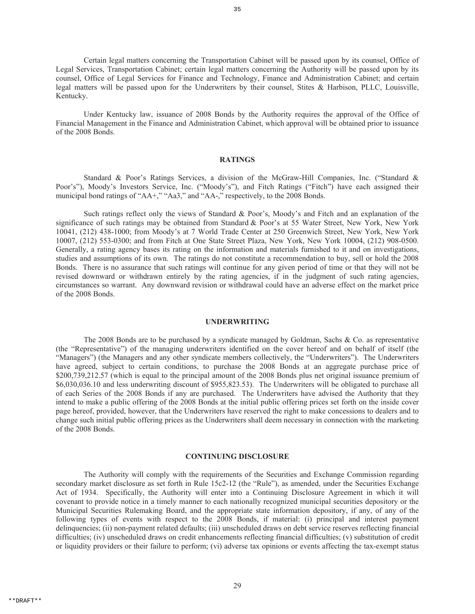Certain legal matters concerning the Transportation Cabinet will be passed upon by its counsel, Office of Legal Services, Transportation Cabinet; certain legal matters concerning the Authority will be passed upon by its counsel, Office of Legal Services for Finance and Technology, Finance and Administration Cabinet; and certain legal matters will be passed upon for the Underwriters by their counsel, Stites & Harbison, PLLC, Louisville, Kentucky.

Under Kentucky law, issuance of 2008 Bonds by the Authority requires the approval of the Office of Financial Management in the Finance and Administration Cabinet, which approval will be obtained prior to issuance of the 2008 Bonds.

# **RATINGS**

Standard & Poor's Ratings Services, a division of the McGraw-Hill Companies, Inc. ("Standard & Poor's"), Moody's Investors Service, Inc. ("Moody's"), and Fitch Ratings ("Fitch") have each assigned their municipal bond ratings of "AA+," "Aa3," and "AA-," respectively, to the 2008 Bonds.

Such ratings reflect only the views of Standard & Poor's, Moody's and Fitch and an explanation of the significance of such ratings may be obtained from Standard & Poor's at 55 Water Street, New York, New York 10041, (212) 438-1000; from Moody's at 7 World Trade Center at 250 Greenwich Street, New York, New York 10007, (212) 553-0300; and from Fitch at One State Street Plaza, New York, New York 10004, (212) 908-0500. Generally, a rating agency bases its rating on the information and materials furnished to it and on investigations, studies and assumptions of its own. The ratings do not constitute a recommendation to buy, sell or hold the 2008 Bonds. There is no assurance that such ratings will continue for any given period of time or that they will not be revised downward or withdrawn entirely by the rating agencies, if in the judgment of such rating agencies, circumstances so warrant. Any downward revision or withdrawal could have an adverse effect on the market price of the 2008 Bonds.

#### **UNDERWRITING**

The 2008 Bonds are to be purchased by a syndicate managed by Goldman, Sachs & Co. as representative (the "Representative") of the managing underwriters identified on the cover hereof and on behalf of itself (the "Managers") (the Managers and any other syndicate members collectively, the "Underwriters"). The Underwriters have agreed, subject to certain conditions, to purchase the 2008 Bonds at an aggregate purchase price of \$200,739,212.57 (which is equal to the principal amount of the 2008 Bonds plus net original issuance premium of \$6,030,036.10 and less underwriting discount of \$955,823.53). The Underwriters will be obligated to purchase all of each Series of the 2008 Bonds if any are purchased. The Underwriters have advised the Authority that they intend to make a public offering of the 2008 Bonds at the initial public offering prices set forth on the inside cover page hereof, provided, however, that the Underwriters have reserved the right to make concessions to dealers and to change such initial public offering prices as the Underwriters shall deem necessary in connection with the marketing of the 2008 Bonds.

# **CONTINUING DISCLOSURE**

The Authority will comply with the requirements of the Securities and Exchange Commission regarding secondary market disclosure as set forth in Rule 15c2-12 (the "Rule"), as amended, under the Securities Exchange Act of 1934. Specifically, the Authority will enter into a Continuing Disclosure Agreement in which it will covenant to provide notice in a timely manner to each nationally recognized municipal securities depository or the Municipal Securities Rulemaking Board, and the appropriate state information depository, if any, of any of the following types of events with respect to the 2008 Bonds, if material: (i) principal and interest payment delinquencies; (ii) non-payment related defaults; (iii) unscheduled draws on debt service reserves reflecting financial difficulties; (iv) unscheduled draws on credit enhancements reflecting financial difficulties; (v) substitution of credit or liquidity providers or their failure to perform; (vi) adverse tax opinions or events affecting the tax-exempt status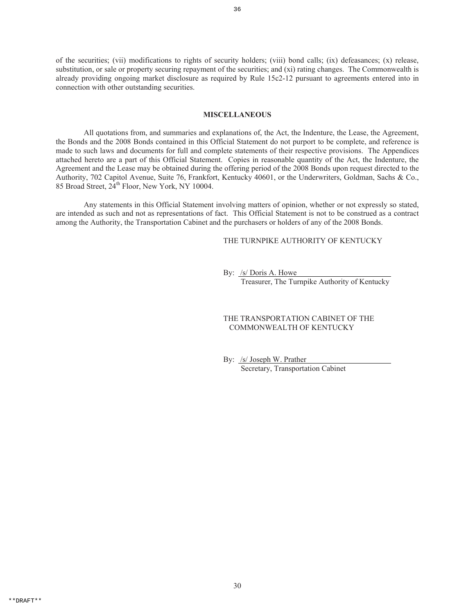of the securities; (vii) modifications to rights of security holders; (viii) bond calls; (ix) defeasances; (x) release, substitution, or sale or property securing repayment of the securities; and (xi) rating changes. The Commonwealth is already providing ongoing market disclosure as required by Rule 15c2-12 pursuant to agreements entered into in connection with other outstanding securities.

# **MISCELLANEOUS**

All quotations from, and summaries and explanations of, the Act, the Indenture, the Lease, the Agreement, the Bonds and the 2008 Bonds contained in this Official Statement do not purport to be complete, and reference is made to such laws and documents for full and complete statements of their respective provisions. The Appendices attached hereto are a part of this Official Statement. Copies in reasonable quantity of the Act, the Indenture, the Agreement and the Lease may be obtained during the offering period of the 2008 Bonds upon request directed to the Authority, 702 Capitol Avenue, Suite 76, Frankfort, Kentucky 40601, or the Underwriters, Goldman, Sachs & Co., 85 Broad Street,  $24^{th}$  Floor, New York, NY 10004.

Any statements in this Official Statement involving matters of opinion, whether or not expressly so stated, are intended as such and not as representations of fact. This Official Statement is not to be construed as a contract among the Authority, the Transportation Cabinet and the purchasers or holders of any of the 2008 Bonds.

# THE TURNPIKE AUTHORITY OF KENTUCKY

By: /s/ Doris A. Howe

Treasurer, The Turnpike Authority of Kentucky

# THE TRANSPORTATION CABINET OF THE COMMONWEALTH OF KENTUCKY

By: /s/ Joseph W. Prather Secretary, Transportation Cabinet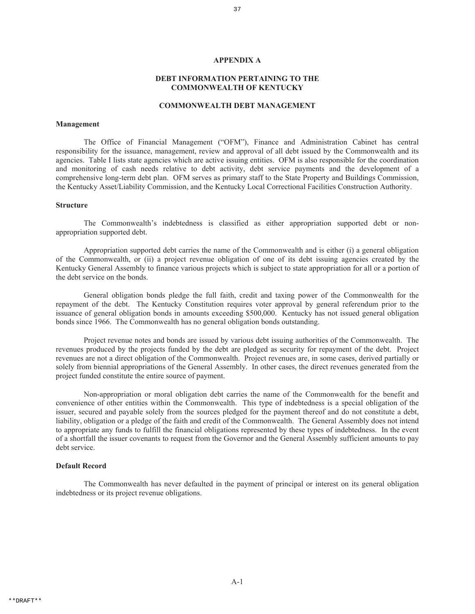# **APPENDIX A**

# **DEBT INFORMATION PERTAINING TO THE COMMONWEALTH OF KENTUCKY**

# **COMMONWEALTH DEBT MANAGEMENT**

# **Management**

The Office of Financial Management ("OFM"), Finance and Administration Cabinet has central responsibility for the issuance, management, review and approval of all debt issued by the Commonwealth and its agencies. Table I lists state agencies which are active issuing entities. OFM is also responsible for the coordination and monitoring of cash needs relative to debt activity, debt service payments and the development of a comprehensive long-term debt plan. OFM serves as primary staff to the State Property and Buildings Commission, the Kentucky Asset/Liability Commission, and the Kentucky Local Correctional Facilities Construction Authority.

# **Structure**

The Commonwealth's indebtedness is classified as either appropriation supported debt or nonappropriation supported debt.

Appropriation supported debt carries the name of the Commonwealth and is either (i) a general obligation of the Commonwealth, or (ii) a project revenue obligation of one of its debt issuing agencies created by the Kentucky General Assembly to finance various projects which is subject to state appropriation for all or a portion of the debt service on the bonds.

General obligation bonds pledge the full faith, credit and taxing power of the Commonwealth for the repayment of the debt. The Kentucky Constitution requires voter approval by general referendum prior to the issuance of general obligation bonds in amounts exceeding \$500,000. Kentucky has not issued general obligation bonds since 1966. The Commonwealth has no general obligation bonds outstanding.

Project revenue notes and bonds are issued by various debt issuing authorities of the Commonwealth. The revenues produced by the projects funded by the debt are pledged as security for repayment of the debt. Project revenues are not a direct obligation of the Commonwealth. Project revenues are, in some cases, derived partially or solely from biennial appropriations of the General Assembly. In other cases, the direct revenues generated from the project funded constitute the entire source of payment.

Non-appropriation or moral obligation debt carries the name of the Commonwealth for the benefit and convenience of other entities within the Commonwealth. This type of indebtedness is a special obligation of the issuer, secured and payable solely from the sources pledged for the payment thereof and do not constitute a debt, liability, obligation or a pledge of the faith and credit of the Commonwealth. The General Assembly does not intend to appropriate any funds to fulfill the financial obligations represented by these types of indebtedness. In the event of a shortfall the issuer covenants to request from the Governor and the General Assembly sufficient amounts to pay debt service.

#### **Default Record**

The Commonwealth has never defaulted in the payment of principal or interest on its general obligation indebtedness or its project revenue obligations.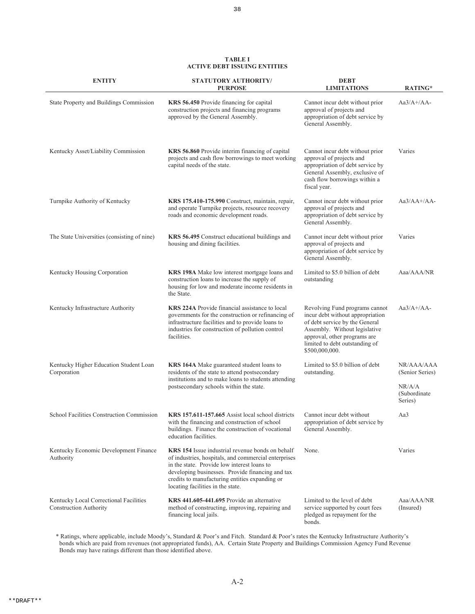**TABLE I ACTIVE DEBT ISSUING ENTITIES** 

| <b>ENTITY</b>                                                           | <b>STATUTORY AUTHORITY/</b><br><b>PURPOSE</b>                                                                                                                                                                                                                                                             | <b>DEBT</b><br><b>LIMITATIONS</b>                                                                                                                                                                                         | RATING*                                                             |
|-------------------------------------------------------------------------|-----------------------------------------------------------------------------------------------------------------------------------------------------------------------------------------------------------------------------------------------------------------------------------------------------------|---------------------------------------------------------------------------------------------------------------------------------------------------------------------------------------------------------------------------|---------------------------------------------------------------------|
| State Property and Buildings Commission                                 | KRS 56.450 Provide financing for capital<br>construction projects and financing programs<br>approved by the General Assembly.                                                                                                                                                                             | Cannot incur debt without prior<br>approval of projects and<br>appropriation of debt service by<br>General Assembly.                                                                                                      | $Aa3/A+/AA-$                                                        |
| Kentucky Asset/Liability Commission                                     | KRS 56.860 Provide interim financing of capital<br>projects and cash flow borrowings to meet working<br>capital needs of the state.                                                                                                                                                                       | Cannot incur debt without prior<br>approval of projects and<br>appropriation of debt service by<br>General Assembly, exclusive of<br>cash flow borrowings within a<br>fiscal year.                                        | Varies                                                              |
| Turnpike Authority of Kentucky                                          | KRS 175.410-175.990 Construct, maintain, repair,<br>and operate Turnpike projects, resource recovery<br>roads and economic development roads.                                                                                                                                                             | Cannot incur debt without prior<br>approval of projects and<br>appropriation of debt service by<br>General Assembly.                                                                                                      | $Aa3/AA+/AA-$                                                       |
| The State Universities (consisting of nine)                             | KRS 56.495 Construct educational buildings and<br>housing and dining facilities.                                                                                                                                                                                                                          | Cannot incur debt without prior<br>approval of projects and<br>appropriation of debt service by<br>General Assembly.                                                                                                      | Varies                                                              |
| Kentucky Housing Corporation                                            | KRS 198A Make low interest mortgage loans and<br>construction loans to increase the supply of<br>housing for low and moderate income residents in<br>the State.                                                                                                                                           | Limited to \$5.0 billion of debt<br>outstanding                                                                                                                                                                           | Aaa/AAA/NR                                                          |
| Kentucky Infrastructure Authority                                       | <b>KRS 224A</b> Provide financial assistance to local<br>governments for the construction or refinancing of<br>infrastructure facilities and to provide loans to<br>industries for construction of pollution control<br>facilities.                                                                       | Revolving Fund programs cannot<br>incur debt without appropriation<br>of debt service by the General<br>Assembly. Without legislative<br>approval, other programs are<br>limited to debt outstanding of<br>\$500,000,000. | $Aa3/A+/AA-$                                                        |
| Kentucky Higher Education Student Loan<br>Corporation                   | KRS 164A Make guaranteed student loans to<br>residents of the state to attend postsecondary<br>institutions and to make loans to students attending<br>postsecondary schools within the state.                                                                                                            | Limited to \$5.0 billion of debt<br>outstanding.                                                                                                                                                                          | NR/AAA/AAA<br>(Senior Series)<br>NR/A/A<br>(Subordinate)<br>Series) |
| School Facilities Construction Commission                               | KRS 157.611-157.665 Assist local school districts<br>with the financing and construction of school<br>buildings. Finance the construction of vocational<br>education facilities.                                                                                                                          | Cannot incur debt without<br>appropriation of debt service by<br>General Assembly.                                                                                                                                        | Aa3                                                                 |
| Kentucky Economic Development Finance<br>Authority                      | <b>KRS</b> 154 Issue industrial revenue bonds on behalf<br>of industries, hospitals, and commercial enterprises<br>in the state. Provide low interest loans to<br>developing businesses. Provide financing and tax<br>credits to manufacturing entities expanding or<br>locating facilities in the state. | None.                                                                                                                                                                                                                     | Varies                                                              |
| Kentucky Local Correctional Facilities<br><b>Construction Authority</b> | KRS 441.605-441.695 Provide an alternative<br>method of constructing, improving, repairing and<br>financing local jails.                                                                                                                                                                                  | Limited to the level of debt<br>service supported by court fees<br>pledged as repayment for the<br>bonds.                                                                                                                 | Aaa/AAA/NR<br>(Insured)                                             |

\* Ratings, where applicable, include Moody's, Standard & Poor's and Fitch. Standard & Poor's rates the Kentucky Infrastructure Authority's bonds which are paid from revenues (not appropriated funds), AA. Certain State Property and Buildings Commission Agency Fund Revenue Bonds may have ratings different than those identified above.

A-2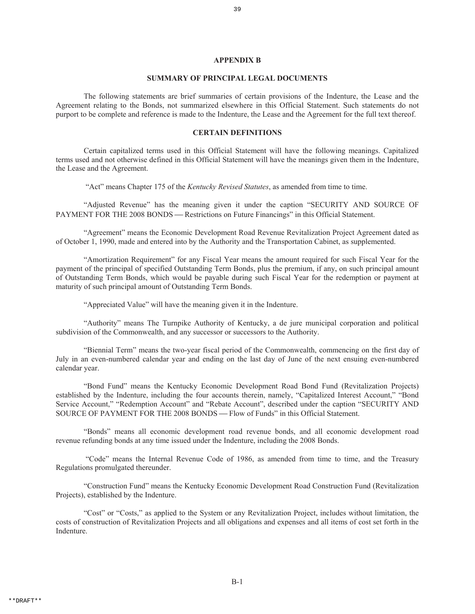# **APPENDIX B**

39

# **SUMMARY OF PRINCIPAL LEGAL DOCUMENTS**

The following statements are brief summaries of certain provisions of the Indenture, the Lease and the Agreement relating to the Bonds, not summarized elsewhere in this Official Statement. Such statements do not purport to be complete and reference is made to the Indenture, the Lease and the Agreement for the full text thereof.

# **CERTAIN DEFINITIONS**

Certain capitalized terms used in this Official Statement will have the following meanings. Capitalized terms used and not otherwise defined in this Official Statement will have the meanings given them in the Indenture, the Lease and the Agreement.

"Act" means Chapter 175 of the *Kentucky Revised Statutes*, as amended from time to time.

"Adjusted Revenue" has the meaning given it under the caption "SECURITY AND SOURCE OF PAYMENT FOR THE 2008 BONDS — Restrictions on Future Financings" in this Official Statement.

"Agreement" means the Economic Development Road Revenue Revitalization Project Agreement dated as of October 1, 1990, made and entered into by the Authority and the Transportation Cabinet, as supplemented.

"Amortization Requirement" for any Fiscal Year means the amount required for such Fiscal Year for the payment of the principal of specified Outstanding Term Bonds, plus the premium, if any, on such principal amount of Outstanding Term Bonds, which would be payable during such Fiscal Year for the redemption or payment at maturity of such principal amount of Outstanding Term Bonds.

"Appreciated Value" will have the meaning given it in the Indenture.

"Authority" means The Turnpike Authority of Kentucky, a de jure municipal corporation and political subdivision of the Commonwealth, and any successor or successors to the Authority.

"Biennial Term" means the two-year fiscal period of the Commonwealth, commencing on the first day of July in an even-numbered calendar year and ending on the last day of June of the next ensuing even-numbered calendar year.

"Bond Fund" means the Kentucky Economic Development Road Bond Fund (Revitalization Projects) established by the Indenture, including the four accounts therein, namely, "Capitalized Interest Account," "Bond Service Account," "Redemption Account" and "Rebate Account", described under the caption "SECURITY AND SOURCE OF PAYMENT FOR THE 2008 BONDS - Flow of Funds" in this Official Statement.

"Bonds" means all economic development road revenue bonds, and all economic development road revenue refunding bonds at any time issued under the Indenture, including the 2008 Bonds.

 "Code" means the Internal Revenue Code of 1986, as amended from time to time, and the Treasury Regulations promulgated thereunder.

"Construction Fund" means the Kentucky Economic Development Road Construction Fund (Revitalization Projects), established by the Indenture.

"Cost" or "Costs," as applied to the System or any Revitalization Project, includes without limitation, the costs of construction of Revitalization Projects and all obligations and expenses and all items of cost set forth in the Indenture.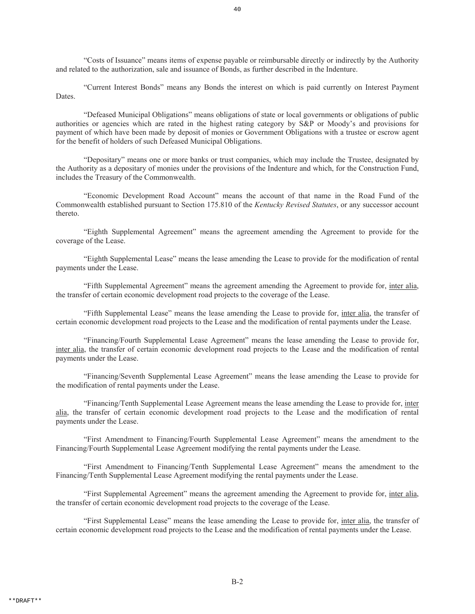"Costs of Issuance" means items of expense payable or reimbursable directly or indirectly by the Authority and related to the authorization, sale and issuance of Bonds, as further described in the Indenture.

"Current Interest Bonds" means any Bonds the interest on which is paid currently on Interest Payment Dates.

"Defeased Municipal Obligations" means obligations of state or local governments or obligations of public authorities or agencies which are rated in the highest rating category by S&P or Moody's and provisions for payment of which have been made by deposit of monies or Government Obligations with a trustee or escrow agent for the benefit of holders of such Defeased Municipal Obligations.

"Depositary" means one or more banks or trust companies, which may include the Trustee, designated by the Authority as a depositary of monies under the provisions of the Indenture and which, for the Construction Fund, includes the Treasury of the Commonwealth.

"Economic Development Road Account" means the account of that name in the Road Fund of the Commonwealth established pursuant to Section 175.810 of the *Kentucky Revised Statutes*, or any successor account thereto.

"Eighth Supplemental Agreement" means the agreement amending the Agreement to provide for the coverage of the Lease.

"Eighth Supplemental Lease" means the lease amending the Lease to provide for the modification of rental payments under the Lease.

"Fifth Supplemental Agreement" means the agreement amending the Agreement to provide for, inter alia, the transfer of certain economic development road projects to the coverage of the Lease.

"Fifth Supplemental Lease" means the lease amending the Lease to provide for, inter alia, the transfer of certain economic development road projects to the Lease and the modification of rental payments under the Lease.

"Financing/Fourth Supplemental Lease Agreement" means the lease amending the Lease to provide for, inter alia, the transfer of certain economic development road projects to the Lease and the modification of rental payments under the Lease.

"Financing/Seventh Supplemental Lease Agreement" means the lease amending the Lease to provide for the modification of rental payments under the Lease.

"Financing/Tenth Supplemental Lease Agreement means the lease amending the Lease to provide for, inter alia, the transfer of certain economic development road projects to the Lease and the modification of rental payments under the Lease.

"First Amendment to Financing/Fourth Supplemental Lease Agreement" means the amendment to the Financing/Fourth Supplemental Lease Agreement modifying the rental payments under the Lease.

"First Amendment to Financing/Tenth Supplemental Lease Agreement" means the amendment to the Financing/Tenth Supplemental Lease Agreement modifying the rental payments under the Lease.

"First Supplemental Agreement" means the agreement amending the Agreement to provide for, inter alia, the transfer of certain economic development road projects to the coverage of the Lease.

"First Supplemental Lease" means the lease amending the Lease to provide for, inter alia, the transfer of certain economic development road projects to the Lease and the modification of rental payments under the Lease.

40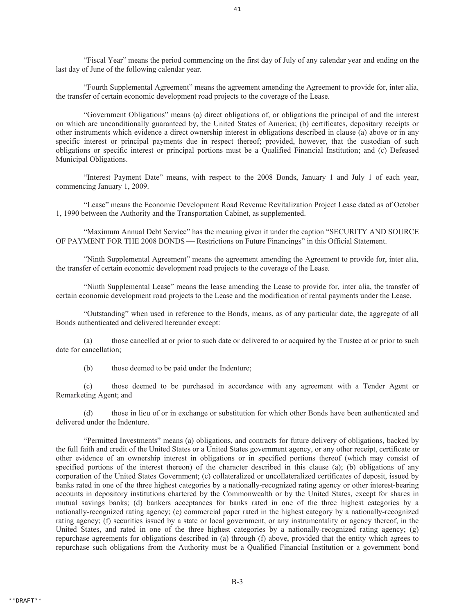"Fiscal Year" means the period commencing on the first day of July of any calendar year and ending on the last day of June of the following calendar year.

"Fourth Supplemental Agreement" means the agreement amending the Agreement to provide for, inter alia, the transfer of certain economic development road projects to the coverage of the Lease.

"Government Obligations" means (a) direct obligations of, or obligations the principal of and the interest on which are unconditionally guaranteed by, the United States of America; (b) certificates, depositary receipts or other instruments which evidence a direct ownership interest in obligations described in clause (a) above or in any specific interest or principal payments due in respect thereof; provided, however, that the custodian of such obligations or specific interest or principal portions must be a Qualified Financial Institution; and (c) Defeased Municipal Obligations.

"Interest Payment Date" means, with respect to the 2008 Bonds, January 1 and July 1 of each year, commencing January 1, 2009.

"Lease" means the Economic Development Road Revenue Revitalization Project Lease dated as of October 1, 1990 between the Authority and the Transportation Cabinet, as supplemented.

"Maximum Annual Debt Service" has the meaning given it under the caption "SECURITY AND SOURCE OF PAYMENT FOR THE 2008 BONDS — Restrictions on Future Financings" in this Official Statement.

"Ninth Supplemental Agreement" means the agreement amending the Agreement to provide for, inter alia, the transfer of certain economic development road projects to the coverage of the Lease.

"Ninth Supplemental Lease" means the lease amending the Lease to provide for, inter alia, the transfer of certain economic development road projects to the Lease and the modification of rental payments under the Lease.

"Outstanding" when used in reference to the Bonds, means, as of any particular date, the aggregate of all Bonds authenticated and delivered hereunder except:

(a) those cancelled at or prior to such date or delivered to or acquired by the Trustee at or prior to such date for cancellation;

(b) those deemed to be paid under the Indenture;

(c) those deemed to be purchased in accordance with any agreement with a Tender Agent or Remarketing Agent; and

(d) those in lieu of or in exchange or substitution for which other Bonds have been authenticated and delivered under the Indenture.

"Permitted Investments" means (a) obligations, and contracts for future delivery of obligations, backed by the full faith and credit of the United States or a United States government agency, or any other receipt, certificate or other evidence of an ownership interest in obligations or in specified portions thereof (which may consist of specified portions of the interest thereon) of the character described in this clause (a); (b) obligations of any corporation of the United States Government; (c) collateralized or uncollateralized certificates of deposit, issued by banks rated in one of the three highest categories by a nationally-recognized rating agency or other interest-bearing accounts in depository institutions chartered by the Commonwealth or by the United States, except for shares in mutual savings banks; (d) bankers acceptances for banks rated in one of the three highest categories by a nationally-recognized rating agency; (e) commercial paper rated in the highest category by a nationally-recognized rating agency; (f) securities issued by a state or local government, or any instrumentality or agency thereof, in the United States, and rated in one of the three highest categories by a nationally-recognized rating agency; (g) repurchase agreements for obligations described in (a) through (f) above, provided that the entity which agrees to repurchase such obligations from the Authority must be a Qualified Financial Institution or a government bond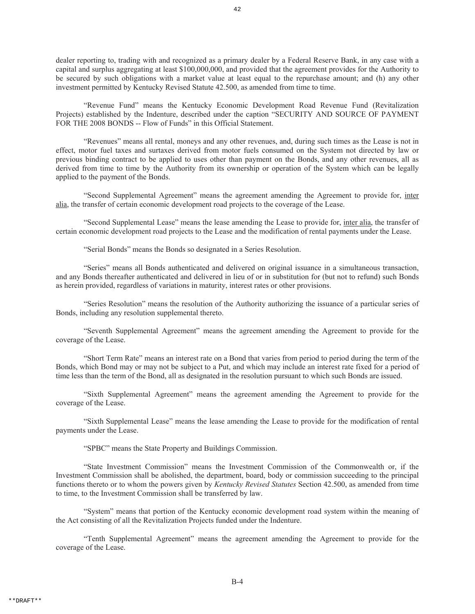dealer reporting to, trading with and recognized as a primary dealer by a Federal Reserve Bank, in any case with a capital and surplus aggregating at least \$100,000,000, and provided that the agreement provides for the Authority to be secured by such obligations with a market value at least equal to the repurchase amount; and (h) any other investment permitted by Kentucky Revised Statute 42.500, as amended from time to time.

"Revenue Fund" means the Kentucky Economic Development Road Revenue Fund (Revitalization Projects) established by the Indenture, described under the caption "SECURITY AND SOURCE OF PAYMENT FOR THE 2008 BONDS -- Flow of Funds" in this Official Statement.

"Revenues" means all rental, moneys and any other revenues, and, during such times as the Lease is not in effect, motor fuel taxes and surtaxes derived from motor fuels consumed on the System not directed by law or previous binding contract to be applied to uses other than payment on the Bonds, and any other revenues, all as derived from time to time by the Authority from its ownership or operation of the System which can be legally applied to the payment of the Bonds.

"Second Supplemental Agreement" means the agreement amending the Agreement to provide for, inter alia, the transfer of certain economic development road projects to the coverage of the Lease.

"Second Supplemental Lease" means the lease amending the Lease to provide for, inter alia, the transfer of certain economic development road projects to the Lease and the modification of rental payments under the Lease.

"Serial Bonds" means the Bonds so designated in a Series Resolution.

"Series" means all Bonds authenticated and delivered on original issuance in a simultaneous transaction, and any Bonds thereafter authenticated and delivered in lieu of or in substitution for (but not to refund) such Bonds as herein provided, regardless of variations in maturity, interest rates or other provisions.

"Series Resolution" means the resolution of the Authority authorizing the issuance of a particular series of Bonds, including any resolution supplemental thereto.

"Seventh Supplemental Agreement" means the agreement amending the Agreement to provide for the coverage of the Lease.

"Short Term Rate" means an interest rate on a Bond that varies from period to period during the term of the Bonds, which Bond may or may not be subject to a Put, and which may include an interest rate fixed for a period of time less than the term of the Bond, all as designated in the resolution pursuant to which such Bonds are issued.

"Sixth Supplemental Agreement" means the agreement amending the Agreement to provide for the coverage of the Lease.

"Sixth Supplemental Lease" means the lease amending the Lease to provide for the modification of rental payments under the Lease.

"SPBC" means the State Property and Buildings Commission.

"State Investment Commission" means the Investment Commission of the Commonwealth or, if the Investment Commission shall be abolished, the department, board, body or commission succeeding to the principal functions thereto or to whom the powers given by *Kentucky Revised Statutes* Section 42.500, as amended from time to time, to the Investment Commission shall be transferred by law.

"System" means that portion of the Kentucky economic development road system within the meaning of the Act consisting of all the Revitalization Projects funded under the Indenture.

"Tenth Supplemental Agreement" means the agreement amending the Agreement to provide for the coverage of the Lease.

\*\*DRAFT\*\*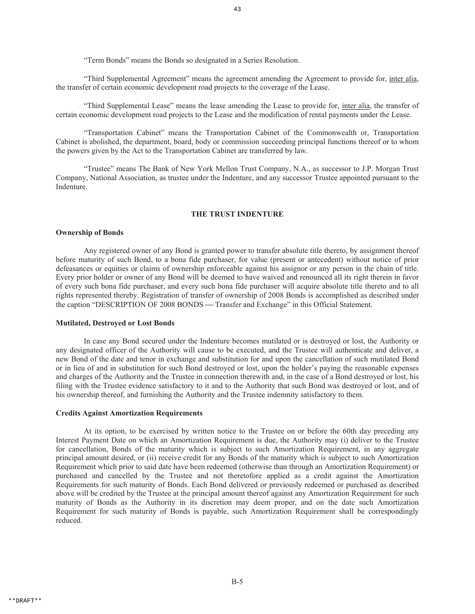"Term Bonds" means the Bonds so designated in a Series Resolution.

"Third Supplemental Agreement" means the agreement amending the Agreement to provide for, inter alia, the transfer of certain economic development road projects to the coverage of the Lease.

"Third Supplemental Lease" means the lease amending the Lease to provide for, inter alia, the transfer of certain economic development road projects to the Lease and the modification of rental payments under the Lease.

"Transportation Cabinet" means the Transportation Cabinet of the Commonwealth or, Transportation Cabinet is abolished, the department, board, body or commission succeeding principal functions thereof or to whom the powers given by the Act to the Transportation Cabinet are transferred by law.

"Trustee" means The Bank of New York Mellon Trust Company, N.A., as successor to J.P. Morgan Trust Company, National Association, as trustee under the Indenture, and any successor Trustee appointed pursuant to the Indenture.

# **THE TRUST INDENTURE**

# **Ownership of Bonds**

Any registered owner of any Bond is granted power to transfer absolute title thereto, by assignment thereof before maturity of such Bond, to a bona fide purchaser, for value (present or antecedent) without notice of prior defeasances or equities or claims of ownership enforceable against his assignor or any person in the chain of title. Every prior holder or owner of any Bond will be deemed to have waived and renounced all its right therein in favor of every such bona fide purchaser, and every such bona fide purchaser will acquire absolute title thereto and to all rights represented thereby. Registration of transfer of ownership of 2008 Bonds is accomplished as described under the caption "DESCRIPTION OF 2008 BONDS — Transfer and Exchange" in this Official Statement.

# **Mutilated, Destroyed or Lost Bonds**

In case any Bond secured under the Indenture becomes mutilated or is destroyed or lost, the Authority or any designated officer of the Authority will cause to be executed, and the Trustee will authenticate and deliver, a new Bond of the date and tenor in exchange and substitution for and upon the cancellation of such mutilated Bond or in lieu of and in substitution for such Bond destroyed or lost, upon the holder's paying the reasonable expenses and charges of the Authority and the Trustee in connection therewith and, in the case of a Bond destroyed or lost, his filing with the Trustee evidence satisfactory to it and to the Authority that such Bond was destroyed or lost, and of his ownership thereof, and furnishing the Authority and the Trustee indemnity satisfactory to them.

### **Credits Against Amortization Requirements**

At its option, to be exercised by written notice to the Trustee on or before the 60th day preceding any Interest Payment Date on which an Amortization Requirement is due, the Authority may (i) deliver to the Trustee for cancellation, Bonds of the maturity which is subject to such Amortization Requirement, in any aggregate principal amount desired, or (ii) receive credit for any Bonds of the maturity which is subject to such Amortization Requirement which prior to said date have been redeemed (otherwise than through an Amortization Requirement) or purchased and cancelled by the Trustee and not theretofore applied as a credit against the Amortization Requirements for such maturity of Bonds. Each Bond delivered or previously redeemed or purchased as described above will be credited by the Trustee at the principal amount thereof against any Amortization Requirement for such maturity of Bonds as the Authority in its discretion may deem proper, and on the date such Amortization Requirement for such maturity of Bonds is payable, such Amortization Requirement shall be correspondingly reduced.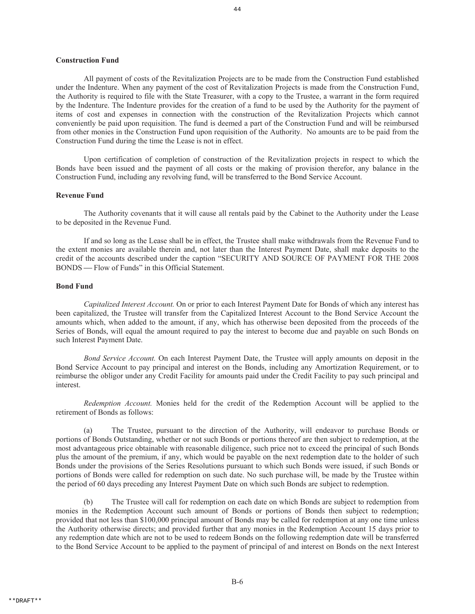# **Construction Fund**

All payment of costs of the Revitalization Projects are to be made from the Construction Fund established under the Indenture. When any payment of the cost of Revitalization Projects is made from the Construction Fund, the Authority is required to file with the State Treasurer, with a copy to the Trustee, a warrant in the form required by the Indenture. The Indenture provides for the creation of a fund to be used by the Authority for the payment of items of cost and expenses in connection with the construction of the Revitalization Projects which cannot conveniently be paid upon requisition. The fund is deemed a part of the Construction Fund and will be reimbursed from other monies in the Construction Fund upon requisition of the Authority. No amounts are to be paid from the Construction Fund during the time the Lease is not in effect.

Upon certification of completion of construction of the Revitalization projects in respect to which the Bonds have been issued and the payment of all costs or the making of provision therefor, any balance in the Construction Fund, including any revolving fund, will be transferred to the Bond Service Account.

#### **Revenue Fund**

The Authority covenants that it will cause all rentals paid by the Cabinet to the Authority under the Lease to be deposited in the Revenue Fund.

If and so long as the Lease shall be in effect, the Trustee shall make withdrawals from the Revenue Fund to the extent monies are available therein and, not later than the Interest Payment Date, shall make deposits to the credit of the accounts described under the caption "SECURITY AND SOURCE OF PAYMENT FOR THE 2008 BONDS — Flow of Funds" in this Official Statement.

# **Bond Fund**

*Capitalized Interest Account.* On or prior to each Interest Payment Date for Bonds of which any interest has been capitalized, the Trustee will transfer from the Capitalized Interest Account to the Bond Service Account the amounts which, when added to the amount, if any, which has otherwise been deposited from the proceeds of the Series of Bonds, will equal the amount required to pay the interest to become due and payable on such Bonds on such Interest Payment Date.

*Bond Service Account.* On each Interest Payment Date, the Trustee will apply amounts on deposit in the Bond Service Account to pay principal and interest on the Bonds, including any Amortization Requirement, or to reimburse the obligor under any Credit Facility for amounts paid under the Credit Facility to pay such principal and interest.

*Redemption Account.* Monies held for the credit of the Redemption Account will be applied to the retirement of Bonds as follows:

(a) The Trustee, pursuant to the direction of the Authority, will endeavor to purchase Bonds or portions of Bonds Outstanding, whether or not such Bonds or portions thereof are then subject to redemption, at the most advantageous price obtainable with reasonable diligence, such price not to exceed the principal of such Bonds plus the amount of the premium, if any, which would be payable on the next redemption date to the holder of such Bonds under the provisions of the Series Resolutions pursuant to which such Bonds were issued, if such Bonds or portions of Bonds were called for redemption on such date. No such purchase will, be made by the Trustee within the period of 60 days preceding any Interest Payment Date on which such Bonds are subject to redemption.

(b) The Trustee will call for redemption on each date on which Bonds are subject to redemption from monies in the Redemption Account such amount of Bonds or portions of Bonds then subject to redemption; provided that not less than \$100,000 principal amount of Bonds may be called for redemption at any one time unless the Authority otherwise directs; and provided further that any monies in the Redemption Account 15 days prior to any redemption date which are not to be used to redeem Bonds on the following redemption date will be transferred to the Bond Service Account to be applied to the payment of principal of and interest on Bonds on the next Interest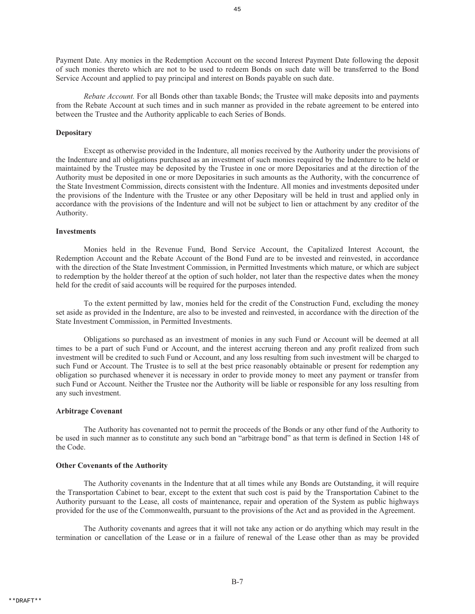Payment Date. Any monies in the Redemption Account on the second Interest Payment Date following the deposit of such monies thereto which are not to be used to redeem Bonds on such date will be transferred to the Bond Service Account and applied to pay principal and interest on Bonds payable on such date.

*Rebate Account.* For all Bonds other than taxable Bonds; the Trustee will make deposits into and payments from the Rebate Account at such times and in such manner as provided in the rebate agreement to be entered into between the Trustee and the Authority applicable to each Series of Bonds.

# **Depositary**

Except as otherwise provided in the Indenture, all monies received by the Authority under the provisions of the Indenture and all obligations purchased as an investment of such monies required by the Indenture to be held or maintained by the Trustee may be deposited by the Trustee in one or more Depositaries and at the direction of the Authority must be deposited in one or more Depositaries in such amounts as the Authority, with the concurrence of the State Investment Commission, directs consistent with the Indenture. All monies and investments deposited under the provisions of the Indenture with the Trustee or any other Depositary will be held in trust and applied only in accordance with the provisions of the Indenture and will not be subject to lien or attachment by any creditor of the Authority.

#### **Investments**

Monies held in the Revenue Fund, Bond Service Account, the Capitalized Interest Account, the Redemption Account and the Rebate Account of the Bond Fund are to be invested and reinvested, in accordance with the direction of the State Investment Commission, in Permitted Investments which mature, or which are subject to redemption by the holder thereof at the option of such holder, not later than the respective dates when the money held for the credit of said accounts will be required for the purposes intended.

To the extent permitted by law, monies held for the credit of the Construction Fund, excluding the money set aside as provided in the Indenture, are also to be invested and reinvested, in accordance with the direction of the State Investment Commission, in Permitted Investments.

Obligations so purchased as an investment of monies in any such Fund or Account will be deemed at all times to be a part of such Fund or Account, and the interest accruing thereon and any profit realized from such investment will be credited to such Fund or Account, and any loss resulting from such investment will be charged to such Fund or Account. The Trustee is to sell at the best price reasonably obtainable or present for redemption any obligation so purchased whenever it is necessary in order to provide money to meet any payment or transfer from such Fund or Account. Neither the Trustee nor the Authority will be liable or responsible for any loss resulting from any such investment.

#### **Arbitrage Covenant**

The Authority has covenanted not to permit the proceeds of the Bonds or any other fund of the Authority to be used in such manner as to constitute any such bond an "arbitrage bond" as that term is defined in Section 148 of the Code.

#### **Other Covenants of the Authority**

The Authority covenants in the Indenture that at all times while any Bonds are Outstanding, it will require the Transportation Cabinet to bear, except to the extent that such cost is paid by the Transportation Cabinet to the Authority pursuant to the Lease, all costs of maintenance, repair and operation of the System as public highways provided for the use of the Commonwealth, pursuant to the provisions of the Act and as provided in the Agreement.

The Authority covenants and agrees that it will not take any action or do anything which may result in the termination or cancellation of the Lease or in a failure of renewal of the Lease other than as may be provided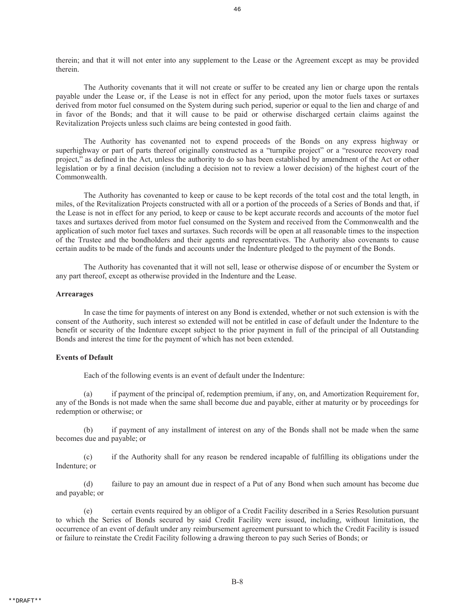The Authority covenants that it will not create or suffer to be created any lien or charge upon the rentals payable under the Lease or, if the Lease is not in effect for any period, upon the motor fuels taxes or surtaxes derived from motor fuel consumed on the System during such period, superior or equal to the lien and charge of and in favor of the Bonds; and that it will cause to be paid or otherwise discharged certain claims against the Revitalization Projects unless such claims are being contested in good faith.

The Authority has covenanted not to expend proceeds of the Bonds on any express highway or superhighway or part of parts thereof originally constructed as a "turnpike project" or a "resource recovery road project," as defined in the Act, unless the authority to do so has been established by amendment of the Act or other legislation or by a final decision (including a decision not to review a lower decision) of the highest court of the **Commonwealth** 

The Authority has covenanted to keep or cause to be kept records of the total cost and the total length, in miles, of the Revitalization Projects constructed with all or a portion of the proceeds of a Series of Bonds and that, if the Lease is not in effect for any period, to keep or cause to be kept accurate records and accounts of the motor fuel taxes and surtaxes derived from motor fuel consumed on the System and received from the Commonwealth and the application of such motor fuel taxes and surtaxes. Such records will be open at all reasonable times to the inspection of the Trustee and the bondholders and their agents and representatives. The Authority also covenants to cause certain audits to be made of the funds and accounts under the Indenture pledged to the payment of the Bonds.

The Authority has covenanted that it will not sell, lease or otherwise dispose of or encumber the System or any part thereof, except as otherwise provided in the Indenture and the Lease.

# **Arrearages**

In case the time for payments of interest on any Bond is extended, whether or not such extension is with the consent of the Authority, such interest so extended will not be entitled in case of default under the Indenture to the benefit or security of the Indenture except subject to the prior payment in full of the principal of all Outstanding Bonds and interest the time for the payment of which has not been extended.

# **Events of Default**

Each of the following events is an event of default under the Indenture:

(a) if payment of the principal of, redemption premium, if any, on, and Amortization Requirement for, any of the Bonds is not made when the same shall become due and payable, either at maturity or by proceedings for redemption or otherwise; or

(b) if payment of any installment of interest on any of the Bonds shall not be made when the same becomes due and payable; or

(c) if the Authority shall for any reason be rendered incapable of fulfilling its obligations under the Indenture; or

(d) failure to pay an amount due in respect of a Put of any Bond when such amount has become due and payable; or

(e) certain events required by an obligor of a Credit Facility described in a Series Resolution pursuant to which the Series of Bonds secured by said Credit Facility were issued, including, without limitation, the occurrence of an event of default under any reimbursement agreement pursuant to which the Credit Facility is issued or failure to reinstate the Credit Facility following a drawing thereon to pay such Series of Bonds; or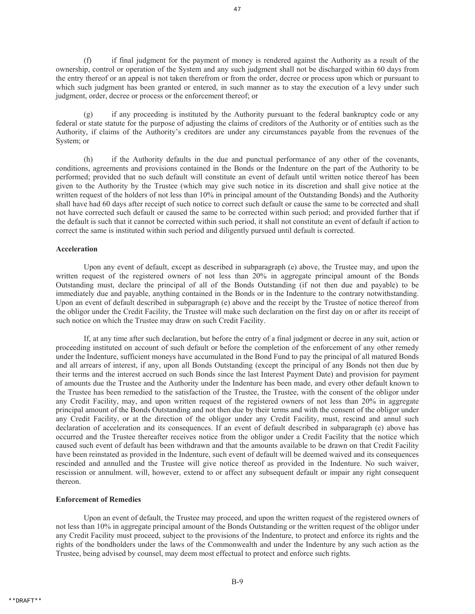(f) if final judgment for the payment of money is rendered against the Authority as a result of the ownership, control or operation of the System and any such judgment shall not be discharged within 60 days from the entry thereof or an appeal is not taken therefrom or from the order, decree or process upon which or pursuant to which such judgment has been granted or entered, in such manner as to stay the execution of a levy under such judgment, order, decree or process or the enforcement thereof; or

(g) if any proceeding is instituted by the Authority pursuant to the federal bankruptcy code or any federal or state statute for the purpose of adjusting the claims of creditors of the Authority or of entities such as the Authority, if claims of the Authority's creditors are under any circumstances payable from the revenues of the System; or

(h) if the Authority defaults in the due and punctual performance of any other of the covenants, conditions, agreements and provisions contained in the Bonds or the Indenture on the part of the Authority to be performed; provided that no such default will constitute an event of default until written notice thereof has been given to the Authority by the Trustee (which may give such notice in its discretion and shall give notice at the written request of the holders of not less than 10% in principal amount of the Outstanding Bonds) and the Authority shall have had 60 days after receipt of such notice to correct such default or cause the same to be corrected and shall not have corrected such default or caused the same to be corrected within such period; and provided further that if the default is such that it cannot be corrected within such period, it shall not constitute an event of default if action to correct the same is instituted within such period and diligently pursued until default is corrected.

# **Acceleration**

Upon any event of default, except as described in subparagraph (e) above, the Trustee may, and upon the written request of the registered owners of not less than 20% in aggregate principal amount of the Bonds Outstanding must, declare the principal of all of the Bonds Outstanding (if not then due and payable) to be immediately due and payable, anything contained in the Bonds or in the Indenture to the contrary notwithstanding. Upon an event of default described in subparagraph (e) above and the receipt by the Trustee of notice thereof from the obligor under the Credit Facility, the Trustee will make such declaration on the first day on or after its receipt of such notice on which the Trustee may draw on such Credit Facility.

If, at any time after such declaration, but before the entry of a final judgment or decree in any suit, action or proceeding instituted on account of such default or before the completion of the enforcement of any other remedy under the Indenture, sufficient moneys have accumulated in the Bond Fund to pay the principal of all matured Bonds and all arrears of interest, if any, upon all Bonds Outstanding (except the principal of any Bonds not then due by their terms and the interest accrued on such Bonds since the last Interest Payment Date) and provision for payment of amounts due the Trustee and the Authority under the Indenture has been made, and every other default known to the Trustee has been remedied to the satisfaction of the Trustee, the Trustee, with the consent of the obligor under any Credit Facility, may, and upon written request of the registered owners of not less than 20% in aggregate principal amount of the Bonds Outstanding and not then due by their terms and with the consent of the obligor under any Credit Facility, or at the direction of the obligor under any Credit Facility, must, rescind and annul such declaration of acceleration and its consequences. If an event of default described in subparagraph (e) above has occurred and the Trustee thereafter receives notice from the obligor under a Credit Facility that the notice which caused such event of default has been withdrawn and that the amounts available to be drawn on that Credit Facility have been reinstated as provided in the Indenture, such event of default will be deemed waived and its consequences rescinded and annulled and the Trustee will give notice thereof as provided in the Indenture. No such waiver, rescission or annulment. will, however, extend to or affect any subsequent default or impair any right consequent thereon.

# **Enforcement of Remedies**

Upon an event of default, the Trustee may proceed, and upon the written request of the registered owners of not less than 10% in aggregate principal amount of the Bonds Outstanding or the written request of the obligor under any Credit Facility must proceed, subject to the provisions of the Indenture, to protect and enforce its rights and the rights of the bondholders under the laws of the Commonwealth and under the Indenture by any such action as the Trustee, being advised by counsel, may deem most effectual to protect and enforce such rights.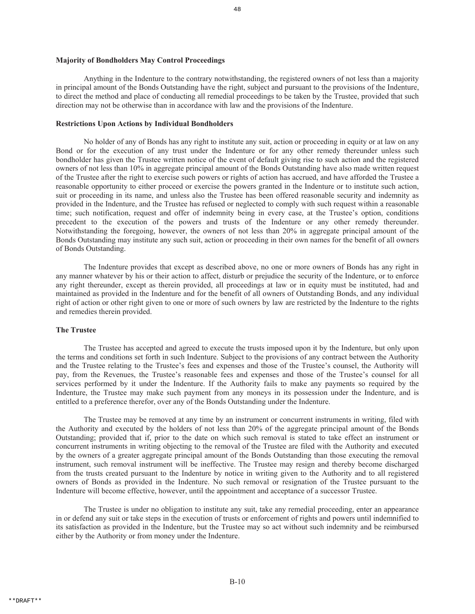# **Majority of Bondholders May Control Proceedings**

Anything in the Indenture to the contrary notwithstanding, the registered owners of not less than a majority in principal amount of the Bonds Outstanding have the right, subject and pursuant to the provisions of the Indenture, to direct the method and place of conducting all remedial proceedings to be taken by the Trustee, provided that such direction may not be otherwise than in accordance with law and the provisions of the Indenture.

# **Restrictions Upon Actions by Individual Bondholders**

No holder of any of Bonds has any right to institute any suit, action or proceeding in equity or at law on any Bond or for the execution of any trust under the Indenture or for any other remedy thereunder unless such bondholder has given the Trustee written notice of the event of default giving rise to such action and the registered owners of not less than 10% in aggregate principal amount of the Bonds Outstanding have also made written request of the Trustee after the right to exercise such powers or rights of action has accrued, and have afforded the Trustee a reasonable opportunity to either proceed or exercise the powers granted in the Indenture or to institute such action, suit or proceeding in its name, and unless also the Trustee has been offered reasonable security and indemnity as provided in the Indenture, and the Trustee has refused or neglected to comply with such request within a reasonable time; such notification, request and offer of indemnity being in every case, at the Trustee's option, conditions precedent to the execution of the powers and trusts of the Indenture or any other remedy thereunder. Notwithstanding the foregoing, however, the owners of not less than 20% in aggregate principal amount of the Bonds Outstanding may institute any such suit, action or proceeding in their own names for the benefit of all owners of Bonds Outstanding.

The Indenture provides that except as described above, no one or more owners of Bonds has any right in any manner whatever by his or their action to affect, disturb or prejudice the security of the Indenture, or to enforce any right thereunder, except as therein provided, all proceedings at law or in equity must be instituted, had and maintained as provided in the Indenture and for the benefit of all owners of Outstanding Bonds, and any individual right of action or other right given to one or more of such owners by law are restricted by the Indenture to the rights and remedies therein provided.

# **The Trustee**

The Trustee has accepted and agreed to execute the trusts imposed upon it by the Indenture, but only upon the terms and conditions set forth in such Indenture. Subject to the provisions of any contract between the Authority and the Trustee relating to the Trustee's fees and expenses and those of the Trustee's counsel, the Authority will pay, from the Revenues, the Trustee's reasonable fees and expenses and those of the Trustee's counsel for all services performed by it under the Indenture. If the Authority fails to make any payments so required by the Indenture, the Trustee may make such payment from any moneys in its possession under the Indenture, and is entitled to a preference therefor, over any of the Bonds Outstanding under the Indenture.

The Trustee may be removed at any time by an instrument or concurrent instruments in writing, filed with the Authority and executed by the holders of not less than 20% of the aggregate principal amount of the Bonds Outstanding; provided that if, prior to the date on which such removal is stated to take effect an instrument or concurrent instruments in writing objecting to the removal of the Trustee are filed with the Authority and executed by the owners of a greater aggregate principal amount of the Bonds Outstanding than those executing the removal instrument, such removal instrument will be ineffective. The Trustee may resign and thereby become discharged from the trusts created pursuant to the Indenture by notice in writing given to the Authority and to all registered owners of Bonds as provided in the Indenture. No such removal or resignation of the Trustee pursuant to the Indenture will become effective, however, until the appointment and acceptance of a successor Trustee.

The Trustee is under no obligation to institute any suit, take any remedial proceeding, enter an appearance in or defend any suit or take steps in the execution of trusts or enforcement of rights and powers until indemnified to its satisfaction as provided in the Indenture, but the Trustee may so act without such indemnity and be reimbursed either by the Authority or from money under the Indenture.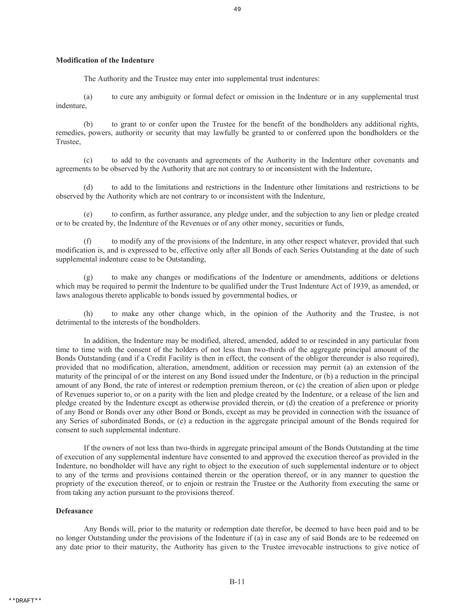# **Modification of the Indenture**

The Authority and the Trustee may enter into supplemental trust indentures:

(a) to cure any ambiguity or formal defect or omission in the Indenture or in any supplemental trust indenture,

(b) to grant to or confer upon the Trustee for the benefit of the bondholders any additional rights, remedies, powers, authority or security that may lawfully be granted to or conferred upon the bondholders or the Trustee,

(c) to add to the covenants and agreements of the Authority in the Indenture other covenants and agreements to be observed by the Authority that are not contrary to or inconsistent with the Indenture,

(d) to add to the limitations and restrictions in the Indenture other limitations and restrictions to be observed by the Authority which are not contrary to or inconsistent with the Indenture,

(e) to confirm, as further assurance, any pledge under, and the subjection to any lien or pledge created or to be created by, the Indenture of the Revenues or of any other money, securities or funds,

(f) to modify any of the provisions of the Indenture, in any other respect whatever, provided that such modification is, and is expressed to be, effective only after all Bonds of each Series Outstanding at the date of such supplemental indenture cease to be Outstanding,

(g) to make any changes or modifications of the Indenture or amendments, additions or deletions which may be required to permit the Indenture to be qualified under the Trust Indenture Act of 1939, as amended, or laws analogous thereto applicable to bonds issued by governmental bodies, or

(h) to make any other change which, in the opinion of the Authority and the Trustee, is not detrimental to the interests of the bondholders.

In addition, the Indenture may be modified, altered, amended, added to or rescinded in any particular from time to time with the consent of the holders of not less than two-thirds of the aggregate principal amount of the Bonds Outstanding (and if a Credit Facility is then in effect, the consent of the obligor thereunder is also required), provided that no modification, alteration, amendment, addition or recession may permit (a) an extension of the maturity of the principal of or the interest on any Bond issued under the Indenture, or (b) a reduction in the principal amount of any Bond, the rate of interest or redemption premium thereon, or (c) the creation of alien upon or pledge of Revenues superior to, or on a parity with the lien and pledge created by the Indenture, or a release of the lien and pledge created by the Indenture except as otherwise provided therein, or (d) the creation of a preference or priority of any Bond or Bonds over any other Bond or Bonds, except as may be provided in connection with the issuance of any Series of subordinated Bonds, or (e) a reduction in the aggregate principal amount of the Bonds required for consent to such supplemental indenture.

If the owners of not less than two-thirds in aggregate principal amount of the Bonds Outstanding at the time of execution of any supplemental indenture have consented to and approved the execution thereof as provided in the Indenture, no bondholder will have any right to object to the execution of such supplemental indenture or to object to any of the terms and provisions contained therein or the operation thereof, or in any manner to question the propriety of the execution thereof, or to enjoin or restrain the Trustee or the Authority from executing the same or from taking any action pursuant to the provisions thereof.

# **Defeasance**

Any Bonds will, prior to the maturity or redemption date therefor, be deemed to have been paid and to be no longer Outstanding under the provisions of the Indenture if (a) in case any of said Bonds are to be redeemed on any date prior to their maturity, the Authority has given to the Trustee irrevocable instructions to give notice of

49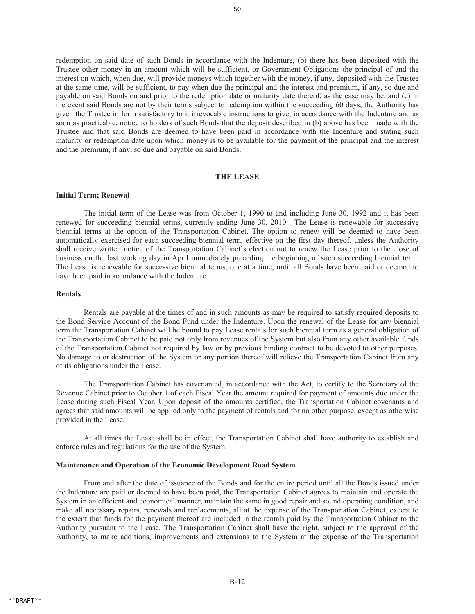redemption on said date of such Bonds in accordance with the Indenture, (b) there has been deposited with the Trustee other money in an amount which will be sufficient, or Government Obligations the principal of and the interest on which, when due, will provide moneys which together with the money, if any, deposited with the Trustee at the same time, will be sufficient, to pay when due the principal and the interest and premium, if any, so due and payable on said Bonds on and prior to the redemption date or maturity date thereof, as the case may be, and (c) in the event said Bonds are not by their terms subject to redemption within the succeeding 60 days, the Authority has given the Trustee in form satisfactory to it irrevocable instructions to give, in accordance with the Indenture and as soon as practicable, notice to holders of such Bonds that the deposit described in (b) above has been made with the Trustee and that said Bonds are deemed to have been paid in accordance with the Indenture and stating such maturity or redemption date upon which money is to be available for the payment of the principal and the interest and the premium, if any, so due and payable on said Bonds.

#### **THE LEASE**

# **Initial Term; Renewal**

The initial term of the Lease was from October 1, 1990 to and including June 30, 1992 and it has been renewed for succeeding biennial terms, currently ending June 30, 2010. The Lease is renewable for successive biennial terms at the option of the Transportation Cabinet. The option to renew will be deemed to have been automatically exercised for each succeeding biennial term, effective on the first day thereof, unless the Authority shall receive written notice of the Transportation Cabinet's election not to renew the Lease prior to the close of business on the last working day in April immediately preceding the beginning of such succeeding biennial term. The Lease is renewable for successive biennial terms, one at a time, until all Bonds have been paid or deemed to have been paid in accordance with the Indenture.

# **Rentals**

Rentals are payable at the times of and in such amounts as may be required to satisfy required deposits to the Bond Service Account of the Bond Fund under the Indenture. Upon the renewal of the Lease for any biennial term the Transportation Cabinet will be bound to pay Lease rentals for such biennial term as a general obligation of the Transportation Cabinet to be paid not only from revenues of the System but also from any other available funds of the Transportation Cabinet not required by law or by previous binding contract to be devoted to other purposes. No damage to or destruction of the System or any portion thereof will relieve the Transportation Cabinet from any of its obligations under the Lease.

The Transportation Cabinet has covenanted, in accordance with the Act, to certify to the Secretary of the Revenue Cabinet prior to October 1 of each Fiscal Year the amount required for payment of amounts due under the Lease during such Fiscal Year. Upon deposit of the amounts certified, the Transportation Cabinet covenants and agrees that said amounts will be applied only to the payment of rentals and for no other purpose, except as otherwise provided in the Lease.

At all times the Lease shall be in effect, the Transportation Cabinet shall have authority to establish and enforce rules and regulations for the use of the System.

# **Maintenance and Operation of the Economic Development Road System**

From and after the date of issuance of the Bonds and for the entire period until all the Bonds issued under the Indenture are paid or deemed to have been paid, the Transportation Cabinet agrees to maintain and operate the System in an efficient and economical manner, maintain the same in good repair and sound operating condition, and make all necessary repairs, renewals and replacements, all at the expense of the Transportation Cabinet, except to the extent that funds for the payment thereof are included in the rentals paid by the Transportation Cabinet to the Authority pursuant to the Lease. The Transportation Cabinet shall have the right, subject to the approval of the Authority, to make additions, improvements and extensions to the System at the expense of the Transportation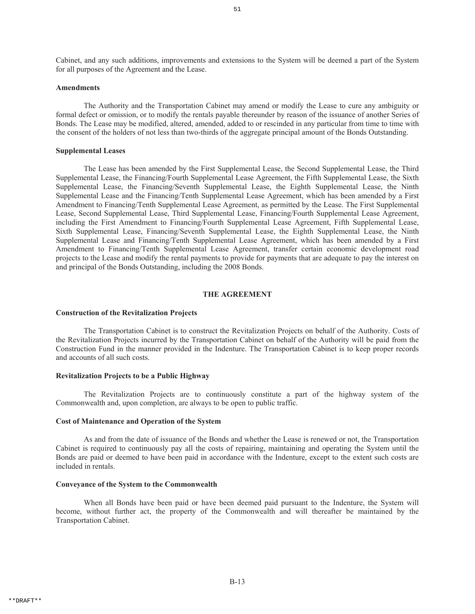Cabinet, and any such additions, improvements and extensions to the System will be deemed a part of the System for all purposes of the Agreement and the Lease.

#### **Amendments**

The Authority and the Transportation Cabinet may amend or modify the Lease to cure any ambiguity or formal defect or omission, or to modify the rentals payable thereunder by reason of the issuance of another Series of Bonds. The Lease may be modified, altered, amended, added to or rescinded in any particular from time to time with the consent of the holders of not less than two-thirds of the aggregate principal amount of the Bonds Outstanding.

#### **Supplemental Leases**

The Lease has been amended by the First Supplemental Lease, the Second Supplemental Lease, the Third Supplemental Lease, the Financing/Fourth Supplemental Lease Agreement, the Fifth Supplemental Lease, the Sixth Supplemental Lease, the Financing/Seventh Supplemental Lease, the Eighth Supplemental Lease, the Ninth Supplemental Lease and the Financing/Tenth Supplemental Lease Agreement, which has been amended by a First Amendment to Financing/Tenth Supplemental Lease Agreement, as permitted by the Lease. The First Supplemental Lease, Second Supplemental Lease, Third Supplemental Lease, Financing/Fourth Supplemental Lease Agreement, including the First Amendment to Financing/Fourth Supplemental Lease Agreement, Fifth Supplemental Lease, Sixth Supplemental Lease, Financing/Seventh Supplemental Lease, the Eighth Supplemental Lease, the Ninth Supplemental Lease and Financing/Tenth Supplemental Lease Agreement, which has been amended by a First Amendment to Financing/Tenth Supplemental Lease Agreement, transfer certain economic development road projects to the Lease and modify the rental payments to provide for payments that are adequate to pay the interest on and principal of the Bonds Outstanding, including the 2008 Bonds.

# **THE AGREEMENT**

#### **Construction of the Revitalization Projects**

The Transportation Cabinet is to construct the Revitalization Projects on behalf of the Authority. Costs of the Revitalization Projects incurred by the Transportation Cabinet on behalf of the Authority will be paid from the Construction Fund in the manner provided in the Indenture. The Transportation Cabinet is to keep proper records and accounts of all such costs.

#### **Revitalization Projects to be a Public Highway**

The Revitalization Projects are to continuously constitute a part of the highway system of the Commonwealth and, upon completion, are always to be open to public traffic.

# **Cost of Maintenance and Operation of the System**

As and from the date of issuance of the Bonds and whether the Lease is renewed or not, the Transportation Cabinet is required to continuously pay all the costs of repairing, maintaining and operating the System until the Bonds are paid or deemed to have been paid in accordance with the Indenture, except to the extent such costs are included in rentals.

#### **Conveyance of the System to the Commonwealth**

When all Bonds have been paid or have been deemed paid pursuant to the Indenture, the System will become, without further act, the property of the Commonwealth and will thereafter be maintained by the Transportation Cabinet.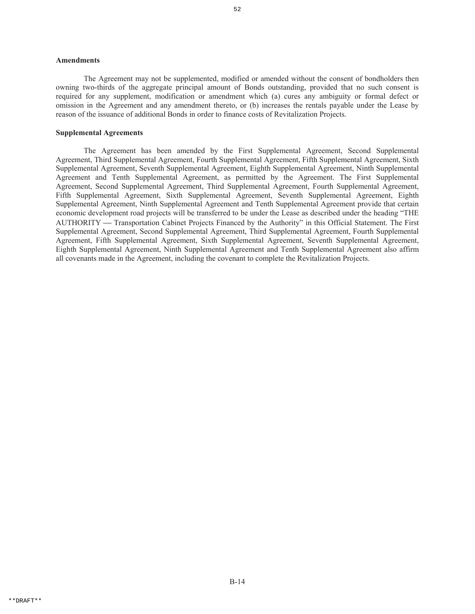#### 52

# **Amendments**

The Agreement may not be supplemented, modified or amended without the consent of bondholders then owning two-thirds of the aggregate principal amount of Bonds outstanding, provided that no such consent is required for any supplement, modification or amendment which (a) cures any ambiguity or formal defect or omission in the Agreement and any amendment thereto, or (b) increases the rentals payable under the Lease by reason of the issuance of additional Bonds in order to finance costs of Revitalization Projects.

### **Supplemental Agreements**

The Agreement has been amended by the First Supplemental Agreement, Second Supplemental Agreement, Third Supplemental Agreement, Fourth Supplemental Agreement, Fifth Supplemental Agreement, Sixth Supplemental Agreement, Seventh Supplemental Agreement, Eighth Supplemental Agreement, Ninth Supplemental Agreement and Tenth Supplemental Agreement, as permitted by the Agreement. The First Supplemental Agreement, Second Supplemental Agreement, Third Supplemental Agreement, Fourth Supplemental Agreement, Fifth Supplemental Agreement, Sixth Supplemental Agreement, Seventh Supplemental Agreement, Eighth Supplemental Agreement, Ninth Supplemental Agreement and Tenth Supplemental Agreement provide that certain economic development road projects will be transferred to be under the Lease as described under the heading "THE AUTHORITY — Transportation Cabinet Projects Financed by the Authority" in this Official Statement. The First Supplemental Agreement, Second Supplemental Agreement, Third Supplemental Agreement, Fourth Supplemental Agreement, Fifth Supplemental Agreement, Sixth Supplemental Agreement, Seventh Supplemental Agreement, Eighth Supplemental Agreement, Ninth Supplemental Agreement and Tenth Supplemental Agreement also affirm all covenants made in the Agreement, including the covenant to complete the Revitalization Projects.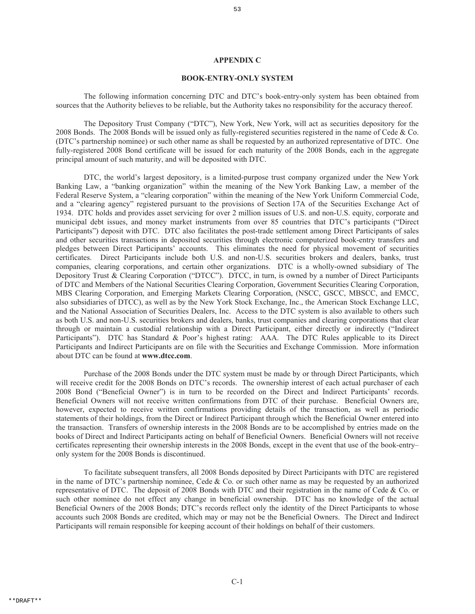### **APPENDIX C**

### **BOOK-ENTRY-ONLY SYSTEM**

The following information concerning DTC and DTC's book-entry-only system has been obtained from sources that the Authority believes to be reliable, but the Authority takes no responsibility for the accuracy thereof.

The Depository Trust Company ("DTC"), New York, New York, will act as securities depository for the 2008 Bonds. The 2008 Bonds will be issued only as fully-registered securities registered in the name of Cede & Co. (DTC's partnership nominee) or such other name as shall be requested by an authorized representative of DTC. One fully-registered 2008 Bond certificate will be issued for each maturity of the 2008 Bonds, each in the aggregate principal amount of such maturity, and will be deposited with DTC.

DTC, the world's largest depository, is a limited-purpose trust company organized under the New York Banking Law, a "banking organization" within the meaning of the New York Banking Law, a member of the Federal Reserve System, a "clearing corporation" within the meaning of the New York Uniform Commercial Code, and a "clearing agency" registered pursuant to the provisions of Section 17A of the Securities Exchange Act of 1934. DTC holds and provides asset servicing for over 2 million issues of U.S. and non-U.S. equity, corporate and municipal debt issues, and money market instruments from over 85 countries that DTC's participants ("Direct Participants") deposit with DTC. DTC also facilitates the post-trade settlement among Direct Participants of sales and other securities transactions in deposited securities through electronic computerized book-entry transfers and pledges between Direct Participants' accounts. This eliminates the need for physical movement of securities certificates. Direct Participants include both U.S. and non-U.S. securities brokers and dealers, banks, trust companies, clearing corporations, and certain other organizations. DTC is a wholly-owned subsidiary of The Depository Trust & Clearing Corporation ("DTCC"). DTCC, in turn, is owned by a number of Direct Participants of DTC and Members of the National Securities Clearing Corporation, Government Securities Clearing Corporation, MBS Clearing Corporation, and Emerging Markets Clearing Corporation, (NSCC, GSCC, MBSCC, and EMCC, also subsidiaries of DTCC), as well as by the New York Stock Exchange, Inc., the American Stock Exchange LLC, and the National Association of Securities Dealers, Inc. Access to the DTC system is also available to others such as both U.S. and non-U.S. securities brokers and dealers, banks, trust companies and clearing corporations that clear through or maintain a custodial relationship with a Direct Participant, either directly or indirectly ("Indirect Participants"). DTC has Standard & Poor's highest rating: AAA. The DTC Rules applicable to its Direct Participants and Indirect Participants are on file with the Securities and Exchange Commission. More information about DTC can be found at **www.dtcc.com**.

Purchase of the 2008 Bonds under the DTC system must be made by or through Direct Participants, which will receive credit for the 2008 Bonds on DTC's records. The ownership interest of each actual purchaser of each 2008 Bond ("Beneficial Owner") is in turn to be recorded on the Direct and Indirect Participants' records. Beneficial Owners will not receive written confirmations from DTC of their purchase. Beneficial Owners are, however, expected to receive written confirmations providing details of the transaction, as well as periodic statements of their holdings, from the Direct or Indirect Participant through which the Beneficial Owner entered into the transaction. Transfers of ownership interests in the 2008 Bonds are to be accomplished by entries made on the books of Direct and Indirect Participants acting on behalf of Beneficial Owners. Beneficial Owners will not receive certificates representing their ownership interests in the 2008 Bonds, except in the event that use of the book-entry– only system for the 2008 Bonds is discontinued.

To facilitate subsequent transfers, all 2008 Bonds deposited by Direct Participants with DTC are registered in the name of DTC's partnership nominee, Cede & Co. or such other name as may be requested by an authorized representative of DTC. The deposit of 2008 Bonds with DTC and their registration in the name of Cede & Co. or such other nominee do not effect any change in beneficial ownership. DTC has no knowledge of the actual Beneficial Owners of the 2008 Bonds; DTC's records reflect only the identity of the Direct Participants to whose accounts such 2008 Bonds are credited, which may or may not be the Beneficial Owners. The Direct and Indirect Participants will remain responsible for keeping account of their holdings on behalf of their customers.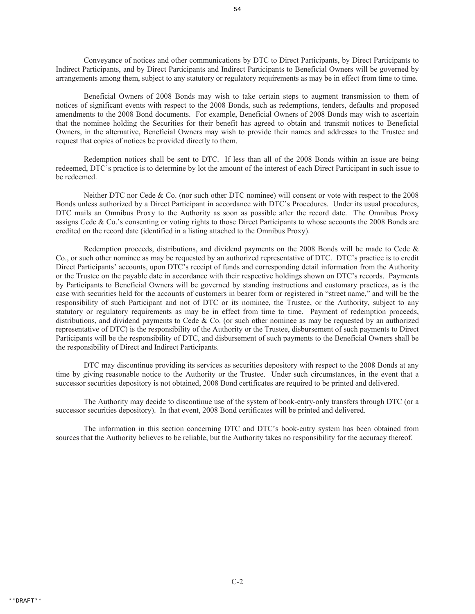Beneficial Owners of 2008 Bonds may wish to take certain steps to augment transmission to them of notices of significant events with respect to the 2008 Bonds, such as redemptions, tenders, defaults and proposed amendments to the 2008 Bond documents. For example, Beneficial Owners of 2008 Bonds may wish to ascertain that the nominee holding the Securities for their benefit has agreed to obtain and transmit notices to Beneficial Owners, in the alternative, Beneficial Owners may wish to provide their names and addresses to the Trustee and request that copies of notices be provided directly to them.

Redemption notices shall be sent to DTC. If less than all of the 2008 Bonds within an issue are being redeemed, DTC's practice is to determine by lot the amount of the interest of each Direct Participant in such issue to be redeemed.

Neither DTC nor Cede & Co. (nor such other DTC nominee) will consent or vote with respect to the 2008 Bonds unless authorized by a Direct Participant in accordance with DTC's Procedures. Under its usual procedures, DTC mails an Omnibus Proxy to the Authority as soon as possible after the record date. The Omnibus Proxy assigns Cede & Co.'s consenting or voting rights to those Direct Participants to whose accounts the 2008 Bonds are credited on the record date (identified in a listing attached to the Omnibus Proxy).

Redemption proceeds, distributions, and dividend payments on the 2008 Bonds will be made to Cede  $\&$ Co., or such other nominee as may be requested by an authorized representative of DTC. DTC's practice is to credit Direct Participants' accounts, upon DTC's receipt of funds and corresponding detail information from the Authority or the Trustee on the payable date in accordance with their respective holdings shown on DTC's records. Payments by Participants to Beneficial Owners will be governed by standing instructions and customary practices, as is the case with securities held for the accounts of customers in bearer form or registered in "street name," and will be the responsibility of such Participant and not of DTC or its nominee, the Trustee, or the Authority, subject to any statutory or regulatory requirements as may be in effect from time to time. Payment of redemption proceeds, distributions, and dividend payments to Cede & Co. (or such other nominee as may be requested by an authorized representative of DTC) is the responsibility of the Authority or the Trustee, disbursement of such payments to Direct Participants will be the responsibility of DTC, and disbursement of such payments to the Beneficial Owners shall be the responsibility of Direct and Indirect Participants.

DTC may discontinue providing its services as securities depository with respect to the 2008 Bonds at any time by giving reasonable notice to the Authority or the Trustee. Under such circumstances, in the event that a successor securities depository is not obtained, 2008 Bond certificates are required to be printed and delivered.

The Authority may decide to discontinue use of the system of book-entry-only transfers through DTC (or a successor securities depository). In that event, 2008 Bond certificates will be printed and delivered.

The information in this section concerning DTC and DTC's book-entry system has been obtained from sources that the Authority believes to be reliable, but the Authority takes no responsibility for the accuracy thereof.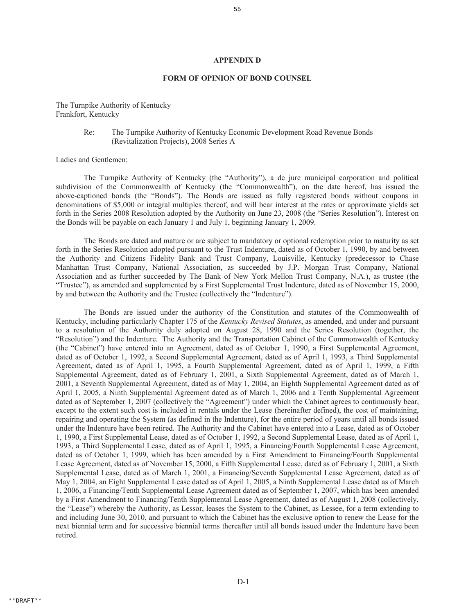# **APPENDIX D**

### **FORM OF OPINION OF BOND COUNSEL**

The Turnpike Authority of Kentucky Frankfort, Kentucky

# Re: The Turnpike Authority of Kentucky Economic Development Road Revenue Bonds (Revitalization Projects), 2008 Series A

Ladies and Gentlemen:

The Turnpike Authority of Kentucky (the "Authority"), a de jure municipal corporation and political subdivision of the Commonwealth of Kentucky (the "Commonwealth"), on the date hereof, has issued the above-captioned bonds (the "Bonds"). The Bonds are issued as fully registered bonds without coupons in denominations of \$5,000 or integral multiples thereof, and will bear interest at the rates or approximate yields set forth in the Series 2008 Resolution adopted by the Authority on June 23, 2008 (the "Series Resolution"). Interest on the Bonds will be payable on each January 1 and July 1, beginning January 1, 2009.

The Bonds are dated and mature or are subject to mandatory or optional redemption prior to maturity as set forth in the Series Resolution adopted pursuant to the Trust Indenture, dated as of October 1, 1990, by and between the Authority and Citizens Fidelity Bank and Trust Company, Louisville, Kentucky (predecessor to Chase Manhattan Trust Company, National Association, as succeeded by J.P. Morgan Trust Company, National Association and as further succeeded by The Bank of New York Mellon Trust Company, N.A.), as trustee (the "Trustee"), as amended and supplemented by a First Supplemental Trust Indenture, dated as of November 15, 2000, by and between the Authority and the Trustee (collectively the "Indenture").

The Bonds are issued under the authority of the Constitution and statutes of the Commonwealth of Kentucky, including particularly Chapter 175 of the *Kentucky Revised Statutes*, as amended, and under and pursuant to a resolution of the Authority duly adopted on August 28, 1990 and the Series Resolution (together, the "Resolution") and the Indenture. The Authority and the Transportation Cabinet of the Commonwealth of Kentucky (the "Cabinet") have entered into an Agreement, dated as of October 1, 1990, a First Supplemental Agreement, dated as of October 1, 1992, a Second Supplemental Agreement, dated as of April 1, 1993, a Third Supplemental Agreement, dated as of April 1, 1995, a Fourth Supplemental Agreement, dated as of April 1, 1999, a Fifth Supplemental Agreement, dated as of February 1, 2001, a Sixth Supplemental Agreement, dated as of March 1, 2001, a Seventh Supplemental Agreement, dated as of May 1, 2004, an Eighth Supplemental Agreement dated as of April 1, 2005, a Ninth Supplemental Agreement dated as of March 1, 2006 and a Tenth Supplemental Agreement dated as of September 1, 2007 (collectively the "Agreement") under which the Cabinet agrees to continuously bear, except to the extent such cost is included in rentals under the Lease (hereinafter defined), the cost of maintaining, repairing and operating the System (as defined in the Indenture), for the entire period of years until all bonds issued under the Indenture have been retired. The Authority and the Cabinet have entered into a Lease, dated as of October 1, 1990, a First Supplemental Lease, dated as of October 1, 1992, a Second Supplemental Lease, dated as of April 1, 1993, a Third Supplemental Lease, dated as of April 1, 1995, a Financing/Fourth Supplemental Lease Agreement, dated as of October 1, 1999, which has been amended by a First Amendment to Financing/Fourth Supplemental Lease Agreement, dated as of November 15, 2000, a Fifth Supplemental Lease, dated as of February 1, 2001, a Sixth Supplemental Lease, dated as of March 1, 2001, a Financing/Seventh Supplemental Lease Agreement, dated as of May 1, 2004, an Eight Supplemental Lease dated as of April 1, 2005, a Ninth Supplemental Lease dated as of March 1, 2006, a Financing/Tenth Supplemental Lease Agreement dated as of September 1, 2007, which has been amended by a First Amendment to Financing/Tenth Supplemental Lease Agreement, dated as of August 1, 2008 (collectively, the "Lease") whereby the Authority, as Lessor, leases the System to the Cabinet, as Lessee, for a term extending to and including June 30, 2010, and pursuant to which the Cabinet has the exclusive option to renew the Lease for the next biennial term and for successive biennial terms thereafter until all bonds issued under the Indenture have been retired.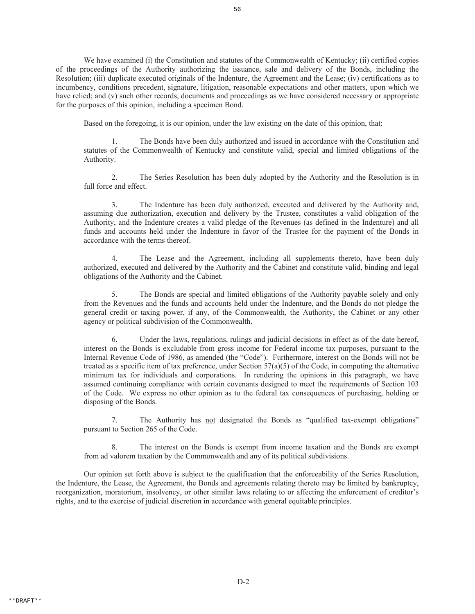We have examined (i) the Constitution and statutes of the Commonwealth of Kentucky; (ii) certified copies of the proceedings of the Authority authorizing the issuance, sale and delivery of the Bonds, including the Resolution; (iii) duplicate executed originals of the Indenture, the Agreement and the Lease; (iv) certifications as to incumbency, conditions precedent, signature, litigation, reasonable expectations and other matters, upon which we have relied; and (v) such other records, documents and proceedings as we have considered necessary or appropriate for the purposes of this opinion, including a specimen Bond.

Based on the foregoing, it is our opinion, under the law existing on the date of this opinion, that:

1. The Bonds have been duly authorized and issued in accordance with the Constitution and statutes of the Commonwealth of Kentucky and constitute valid, special and limited obligations of the Authority.

2. The Series Resolution has been duly adopted by the Authority and the Resolution is in full force and effect.

3. The Indenture has been duly authorized, executed and delivered by the Authority and, assuming due authorization, execution and delivery by the Trustee, constitutes a valid obligation of the Authority, and the Indenture creates a valid pledge of the Revenues (as defined in the Indenture) and all funds and accounts held under the Indenture in favor of the Trustee for the payment of the Bonds in accordance with the terms thereof.

The Lease and the Agreement, including all supplements thereto, have been duly authorized, executed and delivered by the Authority and the Cabinet and constitute valid, binding and legal obligations of the Authority and the Cabinet.

5. The Bonds are special and limited obligations of the Authority payable solely and only from the Revenues and the funds and accounts held under the Indenture, and the Bonds do not pledge the general credit or taxing power, if any, of the Commonwealth, the Authority, the Cabinet or any other agency or political subdivision of the Commonwealth.

6. Under the laws, regulations, rulings and judicial decisions in effect as of the date hereof, interest on the Bonds is excludable from gross income for Federal income tax purposes, pursuant to the Internal Revenue Code of 1986, as amended (the "Code"). Furthermore, interest on the Bonds will not be treated as a specific item of tax preference, under Section 57(a)(5) of the Code, in computing the alternative minimum tax for individuals and corporations. In rendering the opinions in this paragraph, we have assumed continuing compliance with certain covenants designed to meet the requirements of Section 103 of the Code. We express no other opinion as to the federal tax consequences of purchasing, holding or disposing of the Bonds.

7. The Authority has not designated the Bonds as "qualified tax-exempt obligations" pursuant to Section 265 of the Code.

8. The interest on the Bonds is exempt from income taxation and the Bonds are exempt from ad valorem taxation by the Commonwealth and any of its political subdivisions.

Our opinion set forth above is subject to the qualification that the enforceability of the Series Resolution, the Indenture, the Lease, the Agreement, the Bonds and agreements relating thereto may be limited by bankruptcy, reorganization, moratorium, insolvency, or other similar laws relating to or affecting the enforcement of creditor's rights, and to the exercise of judicial discretion in accordance with general equitable principles.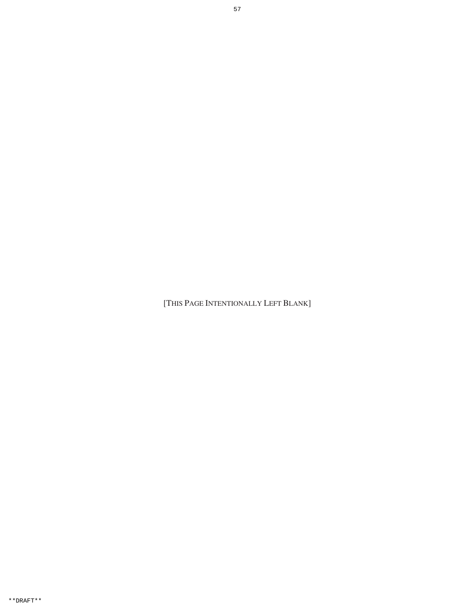[THIS PAGE INTENTIONALLY LEFT BLANK]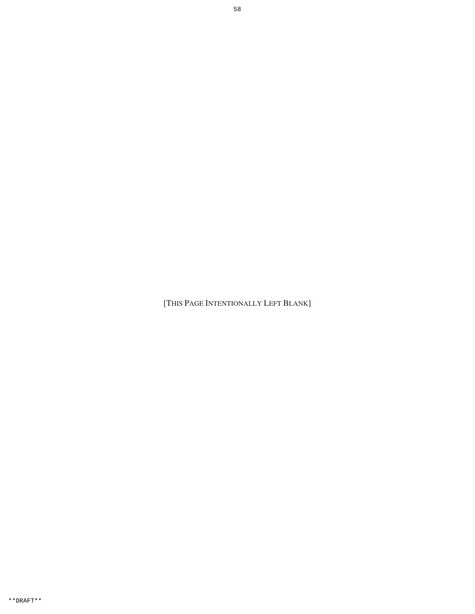[THIS PAGE INTENTIONALLY LEFT BLANK]